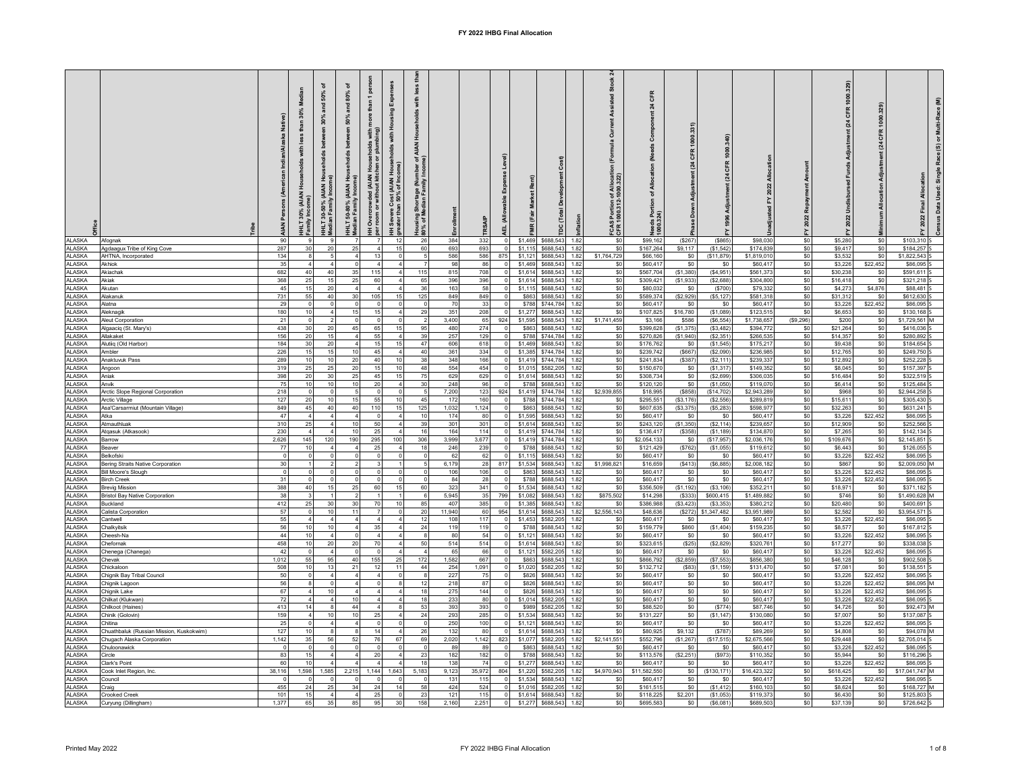## **FY 2022 IHBG Final Allocation**

|                                |                                                     |                        | 30%<br>than<br>(AIAN<br>HLT 30% | IHLT 30-50% (AIAN<br>Aedian Family Incor | 호 호<br>AIAN<br>IHLT 50-80%<br>Median Family | pers<br>than 1<br>with<br>ping)<br>holds<br>nen<br>S<br>wded (AIAN<br>without kitcl<br>Overcrow<br>room or<br>Ŧ. | (AIAN House<br>6 of Income)<br>$rac{4}{50%}$<br>ă<br>Severe C<br>ater than | less<br>$\frac{1}{2}$<br>ិ ខិ<br>로흘<br>Housing Shortage (I<br>80% of Median Fami |              |              | <b>Ise Level</b>           |                   | ion                                    | <b>Stock</b><br>sisted<br>õ<br>Lo<br>of Allocat<br>-1000.322)<br>1<br>1000.<br>10 | CFR<br>$\boldsymbol{z}$<br>š<br>ž<br>cation<br>৳<br>tion<br>1s Por<br>.324)<br>1000 | 331                      | $\mathbf{z}$            |                          | 2022                  | stment (24 CFR 1000.329)<br><b>Undisbursed Funds</b><br>2022 | CFR             | Multi-Race (M)<br>č<br>ø<br>Bara<br>Single<br>Used:<br>2022 Final<br>Data |
|--------------------------------|-----------------------------------------------------|------------------------|---------------------------------|------------------------------------------|---------------------------------------------|------------------------------------------------------------------------------------------------------------------|----------------------------------------------------------------------------|----------------------------------------------------------------------------------|--------------|--------------|----------------------------|-------------------|----------------------------------------|-----------------------------------------------------------------------------------|-------------------------------------------------------------------------------------|--------------------------|-------------------------|--------------------------|-----------------------|--------------------------------------------------------------|-----------------|---------------------------------------------------------------------------|
| <b>ALASKA</b>                  | Afognal                                             | 90                     |                                 |                                          |                                             |                                                                                                                  | 12                                                                         | 26                                                                               | 384          | 332          | $\Omega$<br>$\sqrt{2}$     | \$1,469           | \$688,543<br>1.82                      | SO                                                                                | \$99,162                                                                            | (\$267)                  | (\$865)                 | \$98,030                 | \$0                   | \$5,280                                                      | \$0             | \$103,310 \$                                                              |
| AI ASKA<br><b>ALASKA</b>       | Agdaagux Tribe of King Cove<br>AHTNA, Incorporated  | 287<br>134             | 30                              | $\overline{2}$                           | 25<br>$\overline{4}$                        | 13                                                                                                               | 15<br>$\mathbf{0}$                                                         | 60<br>5                                                                          | 693<br>586   | 693<br>586   | 875                        | \$1.11<br>\$1.12  | \$688.543<br>1.82<br>\$688.543<br>1.82 | \$0<br>\$1,764,729                                                                | \$167,264<br>\$66,160                                                               | \$9,117<br>\$0           | (\$1,542)<br>(S11.879)  | \$174.839<br>\$1,819,010 | \$0<br>\$0            | \$9,417<br>\$3,532                                           | \$0<br>\$0      | \$184,257<br>\$1,822,543                                                  |
| <b>ALASKA</b>                  | Akhiok                                              | 35                     |                                 |                                          | $\circ$                                     |                                                                                                                  | $\overline{4}$                                                             |                                                                                  | 98           | 86           | $\circ$                    | \$1,469           | \$688,543<br>1.82                      | \$0                                                                               | \$60,417                                                                            | \$0                      | \$0                     | \$60,417                 | \$0                   | \$3,226                                                      | \$22,452        | \$86,095                                                                  |
| <b>ALASKA</b>                  | Akiachal                                            | 682                    | 40                              | 40                                       | 35                                          | 115                                                                                                              | $\overline{4}$                                                             | 115                                                                              | 815          | 708          | $\mathbf 0$                | \$1.61            | \$688.543<br>1.82                      | \$0                                                                               | \$567,704                                                                           | (\$1,380)                | (\$4,951)               | \$561.373                | \$0                   | \$30,238                                                     | \$0             | \$591.611 S                                                               |
| <b>ALASKA</b>                  | Akiak                                               | 368                    | 2!                              | 15                                       | 25                                          | 60                                                                                                               |                                                                            | 65                                                                               | 396          | 396          |                            | \$1,614           | \$688,543<br>1.82                      | \$0                                                                               | \$309,421                                                                           | (\$1,933)                | (\$2,688)               | \$304,800                | \$0                   | \$16,418                                                     | \$0             | \$321,218                                                                 |
| <b>ALASKA</b>                  | Akutan                                              | 45                     | 15                              | 20                                       |                                             |                                                                                                                  |                                                                            | 36                                                                               | 163          | 58           | $\overline{0}$             | \$1,11            | \$688.543<br>1.82                      | \$0                                                                               | \$80,032                                                                            | \$0                      | (\$700)                 | \$79.332                 | \$0                   | \$4,273                                                      | \$4,876         | \$88,481                                                                  |
| <b>ALASKA</b><br><b>ALASKA</b> | Alakanuk<br>Alatna                                  | 731<br>29              | 55                              | 40                                       | 30<br>$\circ$                               | 105<br>$\Omega$                                                                                                  | 15<br>$\overline{0}$                                                       | 125<br>$\sqrt{2}$                                                                | 849<br>70    | 849<br>33    | $\overline{0}$             | \$86<br>\$788     | \$688.543<br>1.82<br>\$744.784<br>1.82 | \$0<br>\$0                                                                        | \$589,374<br>\$60,417                                                               | (\$2,929)<br>SO.         | (\$5, 127)<br>\$0       | \$581,318<br>\$60,417    | \$0<br>\$0            | \$31,312<br>\$3,226                                          | \$0<br>\$22,452 | \$612,630<br>\$86,095                                                     |
| <b>ALASKA</b>                  | Aleknagik                                           | 180                    |                                 |                                          | 15                                          | 15                                                                                                               |                                                                            | 29                                                                               | 351          | 208          | $\Omega$                   | \$1,277           | \$688,543<br>1.82                      | \$0                                                                               | \$107,825                                                                           | \$16,780                 | (S1,089)                | \$123,515                | \$0                   | \$6,653                                                      | \$0             | \$130,168                                                                 |
| <b>ALASKA</b>                  | Aleut Corporation                                   | 21                     |                                 |                                          | $\mathbf 0$                                 |                                                                                                                  | $\mathbf{0}$                                                               | $\overline{2}$                                                                   | 3,400        | 65           | 924                        | \$1,595           | \$688,543<br>1.82                      | \$1,741,459                                                                       | \$3,166                                                                             | \$586                    | (\$6,554)               | \$1,738,657              | (\$9,296)             | \$200                                                        | \$0             | \$1,729,561 M                                                             |
| <b>ALASKA</b>                  | Algaaciq (St. Mary's)                               | 438                    | 30                              | 20                                       | 45                                          | 65                                                                                                               | 15                                                                         | 95                                                                               | 480          | 274          | $\overline{0}$             | \$863             | \$688.543<br>1.82                      | \$0                                                                               | \$399,628                                                                           | (\$1,375)                | (\$3,482)               | \$394,772                | \$0                   | \$21,264                                                     | \$0             | \$416,036                                                                 |
| AI ASKA                        | Allakaket                                           | 156                    | 20                              | 15                                       |                                             | 55                                                                                                               | $\overline{4}$                                                             | 39                                                                               | 257          | 129          | 0                          | \$788             | \$744.784<br>1.82                      | \$0                                                                               | \$270,826                                                                           | (\$1,940)                | (S2.351)                | \$266,535                | \$0                   | \$14,357                                                     | \$0             | \$280,892                                                                 |
| <b>ALASKA</b><br><b>ALASKA</b> | Alutiiq (Old Harbor)<br>Ambler                      | 184<br>226             | 30<br>15                        | 20<br>15                                 | 10                                          | 15<br>45                                                                                                         | 15<br>$\overline{4}$                                                       | 47<br>40                                                                         | 606<br>361   | 618<br>334   | $\mathbf{0}$<br>$\Omega$   | \$1,469<br>\$1,38 | \$688,543<br>1.82<br>\$744,784<br>1.82 | \$0<br>\$0                                                                        | \$176,762<br>\$239,742                                                              | \$0<br>(\$667)           | (\$1,545)<br>(S2,090)   | \$175,217<br>\$236,985   | \$0<br>\$0            | \$9,438<br>\$12,765                                          | \$0<br>\$0      | \$184.654<br>\$249,750                                                    |
| <b>ALASKA</b>                  | Anaktuvuk Pass                                      | 289                    | 1 <sup>1</sup>                  | 10                                       | 20                                          | 40                                                                                                               | 10                                                                         | 38                                                                               | 348          | 166          | $\overline{0}$             | \$1,41            | \$744,784<br>1.82                      | \$0                                                                               | \$241,834                                                                           | $($ \$387)               | (\$2, 111)              | \$239,337                | \$0                   | \$12,892                                                     | \$0             | \$252,228                                                                 |
| <b>ALASKA</b>                  | Angoon                                              | 319                    | 25                              | 25                                       | 20                                          | 15                                                                                                               | 10                                                                         | 48                                                                               | 554          | 454          | $\Omega$                   | \$1,01            | \$582,205<br>1.82                      | \$0                                                                               | \$150,670                                                                           | $\$0$                    | (S1, 317)               | \$149,352                | \$0                   | \$8,045                                                      | \$0             | \$157,397                                                                 |
| <b>ALASKA</b>                  | Aniak                                               | 398                    | 20                              | 30                                       | 25                                          | 45                                                                                                               | 15                                                                         | 75                                                                               | 629          | 629          | $\mathbf{0}$               | \$1,614           | \$688.543<br>1.82                      | \$0                                                                               | \$308,734                                                                           | \$0                      | (S2, 699)               | \$306,035                | \$0                   | \$16,484                                                     | \$0             | \$322.519                                                                 |
| <b>ALASKA</b>                  | Anvik                                               | 75                     | 10                              | 10                                       | 10                                          | 20                                                                                                               | $\overline{4}$                                                             | 30                                                                               | 248          | 96           | $\circ$                    | \$788             | \$688.543<br>1.82                      | \$0                                                                               | \$120,120                                                                           | \$0                      | (\$1,050)               | \$119,070                | \$0                   | \$6,414                                                      | \$0             | \$125,484                                                                 |
| <b>ALASKA</b><br><b>ALASKA</b> | Arctic Slope Regional Corporation<br>Arctic Village | 218<br>127             | 20                              | 10                                       | 15                                          | C<br>55                                                                                                          | $^{\circ}$<br>10                                                           | - 5<br>45                                                                        | 7,200<br>172 | 123<br>160   | 924                        | \$1,419<br>\$788  | \$744.784<br>1.82<br>\$744,784<br>1.82 | \$2,939,855<br>\$0                                                                | \$18,995<br>\$295,551                                                               | $($ \$858)<br>(\$3, 176) | (\$14,702)<br>(S2, 556) | \$2,943,289<br>\$289,819 | \$0<br>\$0            | \$968<br>\$15,611                                            | \$0<br>\$0      | \$2.944.258<br>\$305,430                                                  |
| <b>ALASKA</b>                  | Asa'Carsarmiut (Mountain Village)                   | 849                    | 45                              | 40                                       | 40                                          | 110                                                                                                              | 15                                                                         | 125                                                                              | 1,032        | 1,124        | $\mathbf{0}$               | \$863             | \$688,543<br>1.82                      | \$0                                                                               | \$607,635                                                                           | (\$3,375)                | (\$5,283)               | \$598,977                | \$0                   | \$32,263                                                     | \$0             | \$631,241                                                                 |
| <b>ALASKA</b>                  | Atka                                                | 47                     |                                 | $\overline{A}$                           | $\overline{4}$                              | $\Omega$                                                                                                         | $\overline{4}$                                                             | 10                                                                               | 174          | - 80         | $\overline{0}$             | \$1,595           | \$688.543<br>1.82                      | \$0                                                                               | \$60,417                                                                            | \$0                      | \$0                     | \$60,417                 | $\$0$                 | \$3,226                                                      | \$22,452        | \$86,095                                                                  |
| <b>ALASKA</b>                  | Atmauthluak                                         | 310                    | 25                              |                                          | 10                                          | 50                                                                                                               |                                                                            | 39                                                                               | 301          | 301          | $\circ$                    | \$1,614           | \$688,543<br>1.82                      | \$0                                                                               | \$243,120                                                                           | (\$1,350)                | (\$2, 114)              | \$239,657                | \$0                   | \$12,909                                                     | \$0             | \$252,566                                                                 |
| <b>ALASKA</b>                  | Atqasuk (Atkasook)                                  | 230                    |                                 |                                          | 10                                          | 25                                                                                                               | $\overline{4}$                                                             | 16                                                                               | 164          | 114          | $\circ$                    | \$1,419           | \$744.784<br>1.82                      | \$0                                                                               | \$136,417                                                                           | (\$358)                  | (S1.189)                | \$134,870                | \$0                   | \$7,265                                                      | \$0             | \$142.134                                                                 |
| <b>ALASKA</b><br><b>ALASKA</b> | Barrow<br>Beaver                                    | 2,626<br>77            | 145<br>1(                       | 120                                      | 190                                         | 295<br>25                                                                                                        | 100<br>$\overline{4}$                                                      | 306<br>18                                                                        | 3,999<br>246 | 3,677<br>239 | $\mathsf 0$<br>0           | \$1,419<br>\$788  | \$744,784<br>1.82<br>\$688.543<br>1.82 | \$0<br>\$0                                                                        | \$2,054,133<br>\$121,429                                                            | \$0<br>(\$762)           | (\$17,957)<br>(\$1,055) | \$2,036,176<br>\$119,612 | \$0<br>\$0            | \$109,676<br>\$6,443                                         | \$0<br>\$0      | \$2,145,851<br>\$126,055                                                  |
| <b>ALASKA</b>                  | <b>Belkofski</b>                                    |                        |                                 |                                          |                                             |                                                                                                                  | $\Omega$                                                                   |                                                                                  | 62           | 62           | $\mathbf{0}$               | \$1,115           | \$688,543<br>1.82                      | \$0                                                                               | \$60,417                                                                            | \$0                      | \$0                     | \$60,417                 | \$0                   | \$3,226                                                      | \$22,452        | \$86,095                                                                  |
| <b>ALASKA</b>                  | Bering Straits Native Corporation                   | 30                     |                                 |                                          |                                             |                                                                                                                  |                                                                            |                                                                                  | 6,179        | 28           | 817                        | \$1.53            | \$688,543<br>1.82                      | \$1,998,821                                                                       | \$16,659                                                                            | ( \$413)                 | (\$6,885)               | \$2,008,182              | \$0                   | \$867                                                        | \$0             | \$2,009,050 M                                                             |
| <b>ALASKA</b>                  | Bill Moore's Slough                                 | $\Omega$               |                                 |                                          | $\Omega$<br>$\Omega$                        | $\Omega$                                                                                                         | $\mathsf{O}$<br>$\Omega$                                                   | $\overline{\mathbf{0}}$                                                          | 106          | 106          | $\overline{0}$             | \$863             | \$688,543<br>1.82                      | \$0                                                                               | \$60,417                                                                            | \$0                      | \$0                     | \$60,417                 | \$0                   | \$3,226                                                      | \$22,452        | \$86,095 S                                                                |
| <b>ALASKA</b><br><b>ALASKA</b> | <b>Birch Creek</b><br><b>Brevia Mission</b>         | 3 <sup>1</sup><br>388  | 40                              |                                          | 25                                          | $\Omega$<br>60                                                                                                   | 15                                                                         | 60                                                                               | 84<br>323    | 28<br>341    | $\overline{0}$<br>$\Omega$ | \$788<br>\$1,534  | \$688.543<br>1.82<br>\$688,543<br>1.82 | \$0<br>\$0                                                                        | \$60,417<br>\$356,509                                                               | \$0<br>(\$1, 192)        | \$0<br>(S3, 106)        | \$60,41<br>\$352,21      | \$0<br>\$0            | \$3,226<br>\$18,971                                          | \$22,452<br>\$0 | \$86,095<br>\$371,182                                                     |
| ALASKA                         | <b>Bristol Bay Native Corporation</b>               | 38                     |                                 |                                          |                                             |                                                                                                                  |                                                                            | 6                                                                                | 5,945        | 35           | 799                        | \$1,082           | \$688,543<br>1.82                      | \$875,502                                                                         | \$14,298                                                                            | ( \$333)                 | \$600,415               | \$1,489,882              | \$0                   | \$746                                                        | \$0             | \$1,490,628 M                                                             |
| <b>ALASKA</b>                  | Buckland                                            | 412                    | 25                              | 30                                       | 30                                          | 70                                                                                                               | 10                                                                         | 85                                                                               | 407          | 385          | $\overline{\mathbf{0}}$    | \$1,385           | \$688.543<br>1.82                      | \$0                                                                               | \$386,988                                                                           | (\$3,423)                | ( \$3,353)              | \$380,212                | \$0                   | \$20,480                                                     | \$0             | \$400,691 S                                                               |
| <b>ALASKA</b>                  | Calista Corporation                                 | 57                     |                                 | 10                                       | 11                                          |                                                                                                                  | $\Omega$                                                                   | 20                                                                               | 11,940       | 60           | 954                        | \$1.614           | \$688.543<br>1.82                      | \$2,556,143                                                                       | \$48,636                                                                            | (\$272)                  | 1,347,482               | \$3,951,989              | $\$0$                 | \$2,582                                                      | \$0             | \$3,954,571                                                               |
| <b>ALASKA</b><br><b>ALASKA</b> | Cantwell<br>Chalkyitsik                             | 55<br>56               |                                 | 10                                       |                                             | 35                                                                                                               | $\overline{4}$<br>$\overline{4}$                                           | 12<br>24                                                                         | 108<br>119   | 117<br>119   |                            | \$1.45<br>\$788   | \$582,205<br>1.82<br>\$688,543<br>1.82 | \$0<br>\$0                                                                        | \$60,417<br>\$159,779                                                               | \$0<br>\$860             | \$0<br>(\$1,404)        | \$60,417<br>\$159,235    | \$0<br>\$0            | \$3,226<br>\$8,577                                           | \$22.452<br>\$0 | \$86,095<br>\$167,812                                                     |
| <b>ALASKA</b>                  | Cheesh-Na                                           | 44                     | 1 <sup>1</sup>                  |                                          |                                             |                                                                                                                  | $\overline{4}$                                                             |                                                                                  | 80           | 54           | $\overline{0}$             | \$1,121           | \$688,543<br>1.82                      | \$0                                                                               | \$60,417                                                                            | \$0                      | \$0                     | \$60,417                 | \$0                   | \$3,226                                                      | \$22,452        | \$86,095                                                                  |
| <b>ALASKA</b>                  | Chefornak                                           | 458                    |                                 | 20                                       | 20                                          | 70                                                                                                               |                                                                            | 50                                                                               | 514          | 514          | $\circ$                    | \$1,614           | \$688,543<br>1.82                      | \$0                                                                               | \$323,615                                                                           | (\$25)                   | (\$2,829)               | \$320,761                | \$0                   | \$17,277                                                     | \$0             | \$338,038                                                                 |
| <b>ALASKA</b>                  | Chenega (Chanega)                                   | 42                     |                                 |                                          |                                             |                                                                                                                  |                                                                            |                                                                                  | 65           | 66           | $\circ$                    | \$1.121           | \$582.205<br>1.82                      | \$0                                                                               | \$60,417                                                                            | \$0                      | \$0                     | \$60,417                 | \$0                   | \$3,226                                                      | \$22,452        | \$86,095                                                                  |
| <b>ALASKA</b><br>AI ASKA       | Chevak<br>Chickaloon                                | 1,012<br>508           | 55<br>10                        | 95<br>13                                 | 40<br>21                                    | 155<br>12                                                                                                        | 25<br>11                                                                   | 172<br>44                                                                        | 1,582<br>254 | 667<br>1,091 | $\mathbf 0$<br>$\Omega$    | \$863<br>\$1,020  | \$688,543<br>1.82<br>\$582.205<br>1.82 | \$0<br>\$0                                                                        | \$866,792<br>\$132.712                                                              | (\$2,859)<br>(\$83)      | (S7, 553)<br>(S1, 159)  | \$856,380<br>\$131,470   | \$0<br>$\$0$          | \$46,128<br>\$7.081                                          | \$0<br>\$0      | \$902,508<br>\$138.551                                                    |
| <b>ALASKA</b>                  | Chignik Bay Tribal Council                          | 50                     |                                 |                                          |                                             |                                                                                                                  |                                                                            |                                                                                  | 227          | 75           |                            | \$826             | \$688,543<br>1.82                      | \$0                                                                               | \$60,417                                                                            | \$0                      | \$0                     | \$60,417                 | $\$0$                 | \$3,226                                                      | \$22,452        | \$86,095                                                                  |
| ALASKA                         | Chignik Lagoon                                      | 56                     |                                 |                                          |                                             |                                                                                                                  | 8                                                                          | 12                                                                               | 218          | 87           | $\mathsf 0$                | \$826             | \$688,543<br>1.82                      | \$0                                                                               | \$60,417                                                                            | \$0                      | \$0                     | \$60,417                 | \$0                   | \$3,226                                                      | \$22,452        | \$86,095 M                                                                |
| ALASKA                         | Chignik Lake                                        | 67                     |                                 | 10                                       | $\overline{a}$                              |                                                                                                                  | $\overline{4}$                                                             | 18                                                                               | 275          | 144          | $\circ$                    | \$826             | \$688,543<br>1.82                      | \$0                                                                               | \$60,417                                                                            | \$0                      | \$0                     | \$60,417                 | \$0                   | \$3,226                                                      | \$22,452        | \$86,095                                                                  |
| AI ASKA                        | Chilkat (Klukwan                                    | 72                     |                                 |                                          | 10                                          |                                                                                                                  |                                                                            | 18                                                                               | 233          | 80           | $\circ$                    | \$1,014           | \$582.205<br>1.82                      | \$0                                                                               | \$60,417                                                                            | \$0                      | \$0                     | \$60.417                 | \$0                   | \$3,226                                                      | \$22,452        | \$86,095                                                                  |
| <b>ALASKA</b><br><b>ALASKA</b> | Chilkoot (Haines)<br>Chinik (Golovin)               | 413<br>159             |                                 | 10                                       | 44<br>10                                    | 25                                                                                                               | $\overline{4}$                                                             | 53<br>24                                                                         | 393<br>293   | 393<br>285   | $\mathbf{0}$<br>$\circ$    | \$989<br>\$1,534  | \$582.205<br>1.82<br>\$688,543<br>1.82 | \$0<br>\$0                                                                        | \$88,520<br>\$131,227                                                               | \$0<br>\$0               | (S774)<br>(S1, 147)     | \$87,746<br>\$130,080    | \$0<br>\$0            | \$4,726<br>\$7,007                                           | \$0<br>\$0      | \$92.473 M<br>\$137,087 S                                                 |
| AI ASKA                        | Chitina                                             | 25                     |                                 |                                          | 4                                           | $\mathsf{C}$                                                                                                     | $\overline{0}$                                                             | - 0                                                                              | 250          | 100          | $\mathbf 0$                | \$1,12            | \$688.543<br>1.82                      | \$0                                                                               | \$60,417                                                                            | \$0                      | \$0                     | \$60,417                 | \$0                   | \$3,226                                                      | \$22,452        | \$86,095                                                                  |
| <b>ALASKA</b>                  | Chuathbaluk (Russian Mission, Kuskokwim)            | 127                    |                                 |                                          |                                             | 14                                                                                                               |                                                                            | 26                                                                               | 132          | 80           |                            | \$1,614           | \$688,543<br>1.82                      | \$0                                                                               | \$80,925                                                                            | \$9,132                  | (\$787)                 | \$89,269                 | \$0                   | \$4,808                                                      | \$0             | \$94,078 M                                                                |
| <b>ALASKA</b>                  | Chugach Alaska Corporation                          | 1,142                  | 35                              | 56                                       | 52                                          | 76                                                                                                               | 67                                                                         | 69                                                                               | 2,020        | 1,142        | 823                        | \$1.07            | \$582.205<br>1.82                      | \$2,141,551                                                                       | \$552,796                                                                           | (\$1,267)                | (\$17,515)              | \$2.675.566              | \$0                   | \$29.448                                                     | \$0             | \$2,705,014                                                               |
| <b>ALASKA</b><br>AI ASKA       | Chuloonawick<br>Circle                              | 83                     | 15                              |                                          |                                             | $\Omega$<br>20                                                                                                   | $\mathbf{0}$                                                               | $\sqrt{2}$<br>23                                                                 | 89<br>182    | 89<br>182    | $\overline{0}$             | \$863<br>\$788    | \$688,543<br>1.82<br>\$688.543<br>1.82 | \$C<br>\$0                                                                        | \$60,417<br>\$113,576                                                               | \$0<br>(\$2,251)         | \$0<br>(\$973)          | \$60,417<br>\$110.352    | \$0<br>S <sub>0</sub> | \$3,226<br>\$5,944                                           | \$22,452<br>\$0 | \$86,095<br>\$116,296                                                     |
| <b>ALASKA</b>                  | Clark's Point                                       | 60                     |                                 |                                          |                                             |                                                                                                                  |                                                                            | 18                                                                               | 138          | 74           | $\Omega$                   | \$1,277           | \$688,543<br>1.82                      | \$0                                                                               | \$60,417                                                                            | \$0                      | \$0                     | \$60,417                 | \$0                   | \$3,226                                                      | \$22,452        | \$86,095                                                                  |
| ALASKA                         | Cook Inlet Region, Inc.                             | 38,116                 | 1,598                           | 1,585                                    | 2,215                                       | 1,144                                                                                                            | 1,643                                                                      | 5,183                                                                            | 9,123        | 35,972       | 804                        | \$1,220           | \$582,205<br>1.82                      | \$4,970,943                                                                       | \$11,582,550                                                                        | \$0                      | (\$130, 171)            | \$16,423,322             | \$0                   | \$618,425                                                    | \$0             | \$17,041,747 M                                                            |
| <b>ALASKA</b>                  | Council                                             |                        |                                 |                                          |                                             |                                                                                                                  | $\Omega$                                                                   | - 0                                                                              | 131          | 115          | $\overline{0}$             | \$1,534           | \$688.543<br>1.82                      | \$0                                                                               | \$60,417                                                                            | \$0                      | \$0                     | \$60,417                 | \$0                   | \$3,226                                                      | \$22,452        | \$86,095 S                                                                |
| AI ASKA<br><b>ALASKA</b>       | Craig<br>Crooked Creek                              | 455<br>10 <sup>1</sup> | 24<br>15                        | 25                                       | 34                                          | 24<br>25                                                                                                         | 14<br>$\circ$                                                              | 58<br>23                                                                         | 424<br>121   | 524<br>115   |                            | \$1,016<br>\$1.61 | \$582.205<br>1.82<br>\$688.543<br>1.82 | \$0<br>\$0                                                                        | \$161.515<br>\$118,225                                                              | \$0<br>\$2,201           | (\$1,412)<br>(S1,053)   | \$160,103<br>\$119,373   | $\$0$<br>\$0          | \$8,624<br>\$6,430                                           | \$0<br>\$0      | \$168.727 M<br>\$125,803                                                  |
| ALASKA                         | Curyung (Dillingham)                                | 1.377                  | 65                              | 35                                       | 85                                          | 95                                                                                                               | 30                                                                         | 158                                                                              | 2,160        | 2,251        | $\overline{0}$             | \$1,277           | \$688,543<br>1.82                      | \$0                                                                               | \$695,583                                                                           | \$0                      | (S6,081)                | \$689,503                | \$0                   | \$37,139                                                     | \$0             | \$726,642 S                                                               |
|                                |                                                     |                        |                                 |                                          |                                             |                                                                                                                  |                                                                            |                                                                                  |              |              |                            |                   |                                        |                                                                                   |                                                                                     |                          |                         |                          |                       |                                                              |                 |                                                                           |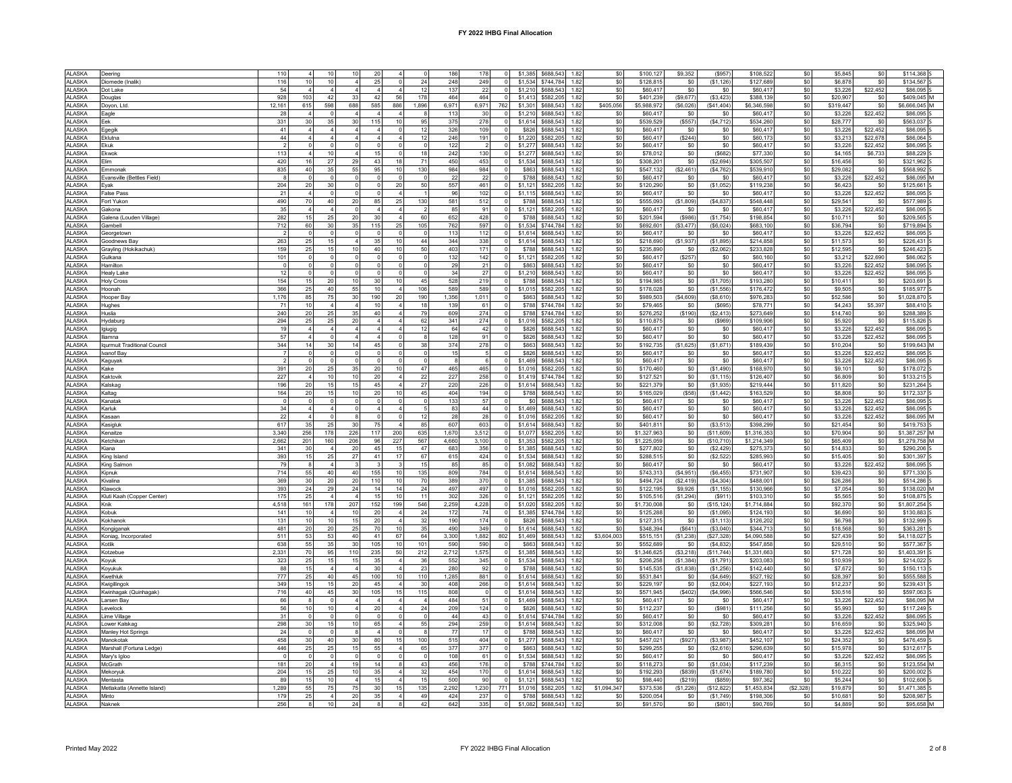| ALASKA                   | Deering                      | 110            |                         | 10              | 10              | 20             |                        |                | 186   | 178         | $\overline{0}$ | \$1,385 | 1.82<br>\$688,543 | \$0         | \$100.127   | \$9,352    | (S957)      | \$108.522   | \$0       | \$5,845   | \$0            | \$114,368     |
|--------------------------|------------------------------|----------------|-------------------------|-----------------|-----------------|----------------|------------------------|----------------|-------|-------------|----------------|---------|-------------------|-------------|-------------|------------|-------------|-------------|-----------|-----------|----------------|---------------|
| <b>ALASKA</b>            | Diomede (Inalik)             | 116            |                         | 10 <sup>1</sup> |                 |                |                        | 24             | 248   | 249         |                | \$1,534 | \$744,784<br>1.82 | \$0         | \$128,815   | \$0        | (S1, 126)   | \$127,689   | \$0       | \$6,878   | \$0            | \$134,567 S   |
| <b>ALASKA</b>            | Dot Lake                     | 54             |                         |                 |                 |                |                        | 12             | 137   | 22          |                | \$1,210 | \$688,543<br>1.82 | \$0         | \$60,417    | \$0        | \$0         | \$60,417    | \$0       | \$3,226   | \$22,452       | \$86,095 S    |
| <b>ALASKA</b>            | Douglas                      | 928            | 103                     | 42              | 33              | -42            | 56                     | 178            | 464   | 464         | $\Omega$       | \$1,413 | 1.82<br>\$582,205 | \$0         | \$401,239   | (\$9,677)  | (\$3,423)   | \$388,139   | \$0       | \$20,907  | \$0            | \$409,045 M   |
| AI ASKA                  | Doyon, Ltd                   | 12,161         | 615                     | 598             | 688             | 585            | 886                    | 1.896          | 6.971 | 6,971       | 762            | \$1,301 | \$688.543<br>1.82 | \$405,056   | \$5,988,972 | (\$6,026)  | (\$41,404)  | \$6,346,598 | \$0       | \$319.447 | \$0            | \$6,666,045 M |
|                          |                              | 28             |                         |                 |                 |                |                        |                |       |             |                |         |                   |             |             |            |             |             |           |           |                |               |
| <b>ALASKA</b>            | Eagle                        |                |                         |                 |                 |                |                        |                | 113   | 30          |                | \$1,210 | \$688,543<br>1.82 | \$0         | \$60,417    | \$0        | \$0         | \$60,41     | \$0       | \$3,226   | \$22,452       | \$86,095 S    |
| <b>ALASKA</b>            | Eek                          | 331            | 30                      | 35              | 30              | 115            | 10                     | 95             | 375   | 278         |                | \$1,614 | \$688,543<br>1.82 | \$0         | \$539,529   | (\$557)    | (\$4,712)   | \$534,260   | \$0       | \$28,777  | \$0            | \$563,037 S   |
| <b>ALASKA</b>            | Egegil                       | 41             | $\Delta$                | $\Delta$        | $\Delta$        |                | $\Omega$               | 12             | 326   | 109         | $\Omega$       | \$826   | \$688,543<br>1.82 | \$0         | \$60,417    | \$0        | \$0         | \$60,417    | $\$0$     | \$3,226   | \$22,452       | \$86,095 S    |
| AI ASKA                  | Fklutna                      | 44             | $\Delta$                |                 |                 |                |                        | 12             | 246   | 191         | $\Omega$       | \$1,220 | \$582.205<br>1.82 | \$0         | \$60.417    | (S244)     | \$0         | \$60.17     | \$0       | \$3.213   | \$22,678       | \$86,064 5    |
| <b>ALASKA</b>            | Ekuk                         |                |                         |                 |                 |                |                        | $\mathbf 0$    | 122   |             |                | \$1,277 | \$688,543<br>1.82 | \$0         | \$60,417    | \$0        | \$0         | \$60,417    | \$0       | \$3,226   | \$22.452       | \$86,095 S    |
| <b>ALASKA</b>            | Ekwol                        | 113            | $\overline{4}$          | 10              | $\overline{4}$  | 15             |                        | 18             | 242   | 130         |                | \$1,277 | \$688,543<br>1.82 | \$0         | \$78,012    | \$0        | (\$682)     | \$77,330    | \$0       | \$4,165   | \$6,733        | \$88,229 S    |
| AI ASKA                  | Flim                         | 420            | 16                      | 27              | 29              | 43             | 18                     | 71             | 450   | 453         | $\Omega$       | \$1.534 | \$688.543<br>1.82 | \$0         | \$308,201   | \$0        | (S2 694)    | \$305.50    | $\$0$     | \$16,456  | S <sub>0</sub> | \$321,962 5   |
|                          |                              |                |                         |                 |                 | 95             |                        |                |       |             |                |         |                   |             |             |            |             |             |           |           |                |               |
| <b>ALASKA</b>            | Emmonal                      | 835            | 40                      | 35              | 55              |                | 10                     | 130            | 984   | 984         |                | \$863   | \$688,543<br>1.82 | \$0         | \$547,132   | (\$2,461)  | (S4, 762)   | \$539,910   | $\$0$     | \$29,082  | \$0            | \$568,992 S   |
| <b>ALASKA</b>            | Evansville (Bettles Field)   |                | $\overline{0}$          |                 |                 |                |                        |                | 22    | 22          |                | \$788   | \$688,543<br>1.82 | \$0         | \$60,417    | \$0        | \$0         | \$60,417    | \$0       | \$3,226   | \$22,452       | \$86,095 M    |
| <b>ALASKA</b>            | Eyak                         | 204            | 20                      | 30 <sup>1</sup> | $\mathbf{0}$    |                | 20                     | 50             | 557   | 461         | $\Omega$       | \$1,121 | \$582,205<br>1.82 | \$0         | \$120,290   | \$0        | (\$1,052)   | \$119,238   | $\$0$     | \$6,423   | S <sub>0</sub> | \$125,661 S   |
| <b>ALASKA</b>            | <b>False Pass</b>            | 21             | $\overline{4}$          | $\Omega$        | $\Omega$        |                | $\mathbf{A}$           | $\overline{1}$ | 96    | 102         | $\Omega$       | \$1,115 | \$688,543<br>1.82 | \$0         | \$60,417    | \$0        | \$0         | \$60,41     | \$0       | \$3,226   | \$22,452       | \$86,095 S    |
| <b>ALASKA</b>            | Fort Yukon                   | 490            | 70                      | 40              | 20              | 85             | 25                     | 130            | 581   | 512         |                | \$788   | \$688,543<br>1.82 | \$0         | \$555,093   | (\$1,809)  | ( \$4,837)  | \$548,448   | \$0       | \$29,541  | \$0            | \$577,989 S   |
| <b>ALASKA</b>            | Gakona                       | 35             | $\overline{4}$          | $\overline{4}$  | $\circ$         |                |                        | $\overline{2}$ | 85    | 91          |                | \$1,121 | \$582,205<br>1.82 | \$0         | \$60,417    | \$0        | \$0         | \$60.41     | $\$0$     | \$3,226   | \$22,452       | \$86,095 S    |
|                          |                              |                |                         |                 |                 | 30             |                        |                |       |             |                |         |                   |             |             |            |             |             |           |           |                |               |
| <b>ALASKA</b>            | Galena (Louden Village)      | 282            | 15                      | 25              | 20              |                |                        | 60             | 652   | 428         |                | \$788   | \$688,543<br>1.82 | \$0         | \$201,594   | $($ \$986) | (\$1,754)   | \$198,854   | $\$0$     | \$10,711  | \$0            | \$209,565 S   |
| <b>ALASKA</b>            | Gambell                      | 712            | 60                      | 30 <sub>1</sub> | 35              | 115            | 25                     | 105            | 762   | 597         |                | \$1,534 | \$744.784<br>1.82 | SO.         | \$692,601   | (\$3,477)  | (\$6,024)   | \$683,100   | $\$0$     | \$36,794  | \$0            | \$719,894     |
| <b>ALASKA</b>            | Georgetown                   |                | $\Omega$                |                 |                 |                |                        |                | 113   | 112         |                | \$1,614 | \$688,543<br>1.82 | \$0         | \$60,417    | $\$0$      | \$0         | \$60,41     | $\$0$     | \$3,226   | \$22,452       | \$86,095 S    |
| <b>ALASKA</b>            | Goodnews Bay                 | 263            | 25                      | 15              |                 | 35             | 10                     | 44             | 344   | 338         |                | \$1,614 | \$688,543<br>1.82 | \$0         | \$218,690   | (\$1,937)  | ( \$1,895)  | \$214.85    | $\$0$     | \$11,573  | \$0            | \$226,431 S   |
| <b>ALASKA</b>            | Grayling (Hokikachuk)        | 159            | 25                      | 15              | 10              | 40             | 10                     | 50             | 403   | 171         | $\Omega$       | \$788   | \$688,543<br>1.82 | SO.         | \$235,890   | \$0        | (\$2,062)   | \$233,828   | \$0       | \$12,595  | \$0            | \$246,423 S   |
| <b>ALASKA</b>            | Gulkana                      | 101            | $\mathbf 0$             | $\circ$         | $\overline{0}$  |                |                        | $\mathbf 0$    | 132   | 142         | $\Omega$       | \$1,121 | \$582,205<br>1.82 | \$0         | \$60,417    | (\$257)    | \$0         | \$60,16     | \$0       | \$3,212   | \$22,690       | \$86,062 S    |
|                          |                              |                |                         | $\Omega$        |                 |                |                        | $\Omega$       | 29    |             |                | \$863   | 1.82              |             |             |            |             |             |           |           |                |               |
| <b>ALASKA</b>            | Hamilton                     |                |                         |                 |                 |                |                        |                |       | 21          |                |         | \$688,543         | \$0         | \$60,417    | \$0        | \$0         | \$60,41     | \$0       | \$3,226   | \$22,452       | \$86,095 S    |
| <b>ALASKA</b>            | <b>Healy Lake</b>            | 12             | $\mathbf 0$             | $\overline{0}$  | $\mathbf 0$     |                |                        | $\mathbf 0$    | 34    | 27          |                | \$1,210 | \$688,543<br>1.82 | \$0         | \$60,417    | \$0        | \$0         | \$60,417    | \$0       | \$3,226   | \$22,452       | \$86,095 S    |
| <b>ALASKA</b>            | <b>Holy Cross</b>            | 154            | 15                      | 20              | 10              | 30             | 10                     | 45             | 528   | 219         |                | \$788   | \$688,543<br>1.82 | \$0         | \$194,985   | \$0        | (\$1,705)   | \$193,280   | \$0       | \$10,411  | \$0            | \$203,691 S   |
| AI ASKA                  | Hoonah                       | 366            | 25                      | 40              | 55              | 10             | $\overline{A}$         | 106            | 589   | 589         |                | \$1.015 | \$582.205<br>1.82 | \$0         | \$178,028   | \$0        | (\$1.556)   | \$176,472   | \$0       | \$9,505   | \$0            | \$185.977     |
| <b>ALASKA</b>            | Hooper Bay                   | 1,176          | 85                      | 75              | 30              | 190            | 20                     | 190            | 1,356 | 1,011       |                | \$863   | \$688,543<br>1.82 | \$0         | \$989,503   | (\$4,609)  | (\$8,610)   | \$976.28    | $\$0$     | \$52,586  | \$0            | \$1,028,870 S |
| <b>ALASKA</b>            | Hughes                       | 71             | 10                      | 4               | $\overline{4}$  | 10             |                        | 18             | 139   | 61          |                | \$788   | \$744,784<br>1.82 | \$0         | \$79,465    | \$0        | (\$695)     | \$78,771    | $\$0$     | \$4,243   | \$5,397        | \$88,410 S    |
|                          |                              |                |                         | 25              | 35              | $\Delta$       |                        | 79             |       | 274         |                |         | \$744.784         |             |             |            |             |             |           |           |                |               |
| <b>ALASKA</b>            | Huslia                       | 240            | $20\,$                  |                 |                 |                |                        |                | 609   |             |                | \$788   | 1.82              | \$0         | \$276,252   | (\$190)    | (\$2,413)   | \$273,649   | $\$0$     | \$14,740  | \$0            | \$288,389     |
| <b>ALASKA</b>            | Hydaburg                     | 294            | 25                      | 25              | 20              |                |                        | 62             | 341   | 274         |                | \$1,016 | \$582,205<br>1.82 | \$0         | \$110,875   | \$0        | ( \$969)    | \$109,906   | \$0       | \$5,920   | \$0            | \$115,826 S   |
| <b>ALASKA</b>            | Igiugig                      | 19             | $\overline{\mathbf{4}}$ |                 |                 |                |                        | 12             | 64    | 42          |                | \$826   | \$688,543<br>1.82 | \$0         | \$60,417    | \$0        | \$0         | \$60,417    | \$0       | \$3,226   | \$22,452       | \$86,095 S    |
| <b>ALASKA</b>            | Iliamna                      | 57             | $\overline{4}$          | $\overline{0}$  | $\Delta$        |                |                        | 8              | 128   | 91          | $\Omega$       | \$826   | \$688,543<br>1.82 | \$0         | \$60,417    | \$0        | \$0         | \$60,417    | \$0       | \$3,226   | \$22,452       | \$86,095 S    |
| AI ASKA                  | Igurmuit Traditional Council | 344            | 14                      | 30 <sup>1</sup> | 14              | 4 <sup>5</sup> |                        | 38             | 374   | 278         |                | \$863   | \$688.543<br>1.82 | \$0         | \$192,735   | (\$1,625)  | (S1, 671)   | \$189,439   | $\$0$     | \$10,204  | \$0            | \$199,643 M   |
| <b>ALASKA</b>            | Ivanof Bay                   |                | $\Omega$                |                 |                 |                |                        |                | 15    |             |                | \$826   | \$688.543<br>1.82 | \$0         | \$60,417    | \$0        | \$0         | \$60,41     | $\$0$     | \$3,226   | \$22,452       | \$86,095 S    |
| <b>ALASKA</b>            |                              |                | $\Omega$                |                 |                 |                |                        | $\Omega$       |       | 6           |                | \$1,469 | \$688,543<br>1.82 | \$0         | \$60,417    | $\$0$      | \$0         | \$60,41     | $\$0$     | \$3,226   | \$22,452       | \$86,095 S    |
|                          | Kaguyak                      |                |                         |                 |                 |                |                        |                | 465   |             |                |         |                   |             |             |            |             |             |           |           |                |               |
| <b>ALASKA</b>            | Kake                         | 391            | $20\,$                  | 25              | 35              | 20             | 10                     | 47             |       | 465         |                | \$1,016 | \$582,205<br>1.82 | \$0         | \$170,460   | \$0        | (\$1,490)   | \$168,97    | $\$0$     | \$9,101   | \$0            | \$178,072 S   |
| <b>ALASKA</b>            | Kaktovik                     | 227            | $\overline{4}$          | 10 <sub>1</sub> | 10 <sup>1</sup> | 20             | $\boldsymbol{\Lambda}$ | 22             | 227   | 258         |                | \$1,419 | \$744.784<br>1.82 | \$0         | \$127,521   | \$0        | (S1, 115)   | \$126,407   | \$0       | \$6,809   | \$0            | \$133,215 S   |
| <b>ALASKA</b>            | Kalskag                      | 196            | 20                      | 15              | 15              | 45             |                        | 27             | 220   | 226         |                | \$1,614 | \$688.543<br>1.82 | \$0         | \$221,379   | \$0        | (S1, 935)   | \$219,444   | \$0       | \$11,820  | \$0            | \$231.264 S   |
| <b>ALASKA</b>            | Kaltag                       | 164            | 20                      | 15              | 10              | 20             | 10                     | 45             | 404   | 194         |                | \$788   | \$688,543<br>1.82 | \$0         | \$165,029   | (\$58)     | (\$1,442)   | \$163,529   | $\$0$     | \$8,808   | \$0            | \$172,337 S   |
| <b>ALASKA</b>            | Kanatal                      | $\overline{0}$ | $\overline{0}$          | $\circ$         | $\mathbf{0}$    |                | $\mathsf{C}$           | $\mathbf 0$    | 133   | 57          |                | \$0     | \$688,543<br>1.82 | \$0         | \$60,417    | \$0        | \$0         | \$60,417    | $\$0$     | \$3,226   | \$22,452       | \$86,095 S    |
| <b>ALASKA</b>            | Karluk                       | 34             | $\overline{4}$          |                 |                 |                |                        |                | 83    | 44          |                | \$1,469 | \$688.543<br>1.82 | \$0         | \$60,417    | \$0        | \$0         | \$60,41     | $\$0$     | \$3,226   | \$22,452       | \$86,095 S    |
| <b>ALASKA</b>            | Kasaan                       | 22             | $\overline{4}$          |                 |                 |                |                        | 12             | 28    | 28          |                | \$1,016 | \$582,205<br>1.82 | \$0         | \$60,417    | $\$0$      | \$0         | \$60,41     | $\$0$     | \$3,226   | \$22,452       | \$86,095 M    |
|                          |                              |                |                         |                 |                 |                |                        |                |       |             |                |         |                   |             |             |            |             |             |           |           |                |               |
| <b>ALASKA</b>            | Kasigluk                     | 617            | 35                      | 25              | 30              | 75             |                        | 85             | 607   | 603         | $\Omega$       | \$1,614 | \$688,543<br>1.82 | \$0         | \$401,811   | \$0        | ( \$3,513)  | \$398.29    | $\$0$     | \$21,454  | \$0            | \$419,753 S   |
| <b>ALASKA</b>            | Kenaitze                     | 3.340          | 256                     | 178             | 226             | 117            | 200                    | 635            | 1.670 | 3.512       | $\Omega$       | \$1,077 | \$582,205 1.82    | \$0         | \$1,327,963 | \$0        | (\$11,609)  | \$1.316.35  | $\$0$     | \$70,904  | \$0            | \$1,387,257 M |
| AI ASKA                  | Ketchikar                    | 2.662          | 201                     | 160             | 206             | 96             | 227                    | 567            | 4,660 | 3,100       |                | \$1,353 | \$582.205<br>1.82 | \$0         | \$1,225,059 | \$0        | (\$10,710)  | \$1,214.34  | \$0       | \$65,409  | \$0            | \$1,279,758 M |
| <b>ALASKA</b>            | Kiana                        | 341            | 30                      | $\overline{4}$  | 20              | 45             | 15                     | 47             | 683   | 356         |                | \$1,385 | \$688,543<br>1.82 | \$0         | \$277,802   | \$0        | (\$2,429)   | \$275.37    | \$0       | \$14,833  | \$0            | \$290,206 S   |
| <b>ALASKA</b>            | King Island                  | 393            | 15                      | 25              | 27              | 41             | 17                     | 67             | 615   | 424         |                | \$1,534 | \$688,543<br>1.82 | \$0         | \$288,515   | \$0        | (\$2,522)   | \$285,993   | \$0       | \$15,405  | \$0            | \$301,397 S   |
| <b>ALASKA</b>            |                              | 79             | $\mathbf{R}$            | $\Delta$        |                 |                |                        | 15             | 85    | 85          |                | \$1,082 | \$688.543<br>1.82 | \$0         | \$60,417    | \$0        | \$0         | \$60,41     | \$0       | \$3,226   | \$22,452       | \$86,095 S    |
|                          | King Salmon                  |                |                         |                 |                 |                |                        |                |       |             |                |         |                   |             |             |            |             |             |           |           |                |               |
| <b>ALASKA</b>            | Kipnuk                       | 714            | 55                      | 40              | 40              | 155            | 10                     | 135            | 809   | 784         |                | \$1,614 | \$688,543<br>1.82 | \$0         | \$743,313   | (\$4,951)  | (S6, 455)   | \$731,90    | \$0       | \$39,423  | \$0            | \$771,330 S   |
| <b>ALASKA</b>            | Kivalina                     | 369            | 30                      | 20              | 20              | 110            | 10                     | 70             | 389   | 370         |                | \$1,385 | \$688.543<br>1.82 | \$0         | \$494.724   | (S2.419)   | (\$4,304)   | \$488.00    | $\$0$     | \$26.28   | \$0            | \$514,286 S   |
| <b>ALASKA</b>            | Klawock                      | 393            | 24                      | 29              | 24              | 14             | 14                     | 24             | 497   | 497         |                | \$1,016 | \$582,205<br>1.82 | \$0         | \$122,195   | \$9,926    | (S1, 155)   | \$130,966   | $\$0$     | \$7,054   | \$0            | \$138,020 M   |
| AI ASKA                  | Kluti Kaah (Copper Center)   | 175            | 25                      | $\Delta$        | $\Delta$        | 15             | 10                     | 11             | 302   | 326         | $\Omega$       | \$1.121 | \$582.205<br>1.82 | \$0         | \$105,516   | (\$1,294)  | (S911)      | \$103.31    | \$0       | \$5,565   | \$0            | \$108,875 S   |
| <b>ALASKA</b>            | Knik                         | 4,518          | 161                     | 178             | 207             | 152            | 199                    | 546            | 2,259 | 4,228       |                | \$1,020 | \$582,205<br>1.82 | \$0         | \$1,730,008 | \$0        | (\$15, 124) | \$1,714,884 | \$0       | \$92,370  | \$0            | \$1,807,254 S |
| <b>ALASKA</b>            | Kobuk                        | 141            | 10                      | $\overline{4}$  | 10              | 20             |                        | 24             | 172   | 74          |                | \$1,385 | \$744,784<br>1.82 | \$0         | \$125,288   | \$0        | (S1.095)    | \$124.19    | \$0       | \$6,690   | \$0            | \$130,883 S   |
| <b>ALASKA</b>            | Kokhanok                     | 131            | 10                      | 10 <sup>1</sup> |                 | 20             | $\boldsymbol{\Lambda}$ |                | 190   | 174         |                | \$826   | \$688.543<br>1.82 | \$0         |             | \$0        |             |             | $\$0$     | \$6,798   | \$0            | \$132,999 5   |
|                          |                              |                |                         |                 | 15              |                |                        | 32             |       |             |                |         |                   |             | \$127,315   |            | (\$1, 113)  | \$126,20    |           |           |                |               |
| AI ASKA                  | Kongiganak                   | 481            | 20                      | 20              | 25              | 70             | 10                     | 35             | 490   | 349         |                | \$1,614 | \$688.543<br>1.82 | \$0         | \$348,394   | (S641)     | (S3,040)    | \$344,713   | \$0       | \$18,568  | \$0            | \$363.281     |
| <b>ALASKA</b>            | Koniag, Incorporated         | 511            | 53                      | 53              | 40              | 41             | 67                     | 64             | 3,300 | 1,882       | 802            | \$1,469 | \$688,543<br>1.82 | \$3,604,003 | \$515,151   | (\$1,238)  | (\$27,328)  | \$4,090,588 | $\$0$     | \$27,439  | \$0            | \$4,118,027 S |
| <b>ALASKA</b>            | Kotlik                       | 638            | 55                      | 35              | 30              | 105            | 10                     | 101            | 590   | 590         | $\sqrt{ }$     | \$863   | \$688,543<br>1.82 | \$0         | \$552,689   | \$0        | (\$4,832)   | \$547,858   | $\$0$     | \$29,510  | \$0            | \$577,367 S   |
| <b>ALASKA</b>            | Kotzebue                     | 2,331          | 70                      | 95              | 110             | 235            | 50                     | 212            | 2,712 | 1,575       | $\Omega$       | \$1,385 | \$688,543<br>1.82 | \$0         | \$1,346,625 | (\$3,218)  | (\$11,744)  | \$1,331,66  | $\$0$     | \$71,728  | \$0            | \$1,403,391 S |
| <b>ALASKA</b>            | Koyuk                        | 323            | 25                      | 15              | 15              | 35             |                        | 36             | 552   | 345         |                | \$1,534 | \$688,543<br>1.82 | \$0         | \$206,258   | (\$1,384)  | (S1,791)    | \$203,08    | \$0       | \$10,939  | \$0            | \$214,022 S   |
| <b>ALASKA</b>            | Koyukuk                      | 88             | 15                      |                 |                 | 3 <sub>0</sub> |                        | 23             | 280   | 92          |                | \$788   | \$688,543<br>1.82 | \$0         | \$145,535   | (\$1,838)  | (S1, 256)   | \$142,440   | \$0       | \$7,672   | \$0            | \$150,113 S   |
|                          |                              |                |                         |                 |                 |                |                        |                |       |             |                |         |                   |             |             |            |             |             |           |           |                | \$555,588 S   |
| <b>ALASKA</b><br>AI ASKA |                              |                |                         |                 |                 |                |                        |                |       |             |                |         |                   |             |             |            |             |             |           |           |                |               |
|                          | Kwethluk                     | 777            | 25                      | 40              | 45              | 100            | 10                     | 110            | 1,285 | 881         |                | \$1,614 | \$688,543<br>1.82 | \$0         | \$531,841   | \$0        | ( \$4,649)  | \$527,192   | $\$0$     | \$28,397  | \$0            |               |
|                          | Kwigillingok                 | 349            | 15                      | 15 <sub>1</sub> | 20              | 45             | $\overline{4}$         | 30             | 408   | 266         |                | \$1,614 | \$688.543<br>1.82 | \$0         | \$229,197   | \$0        | (\$2,004)   | \$227.19    | $\$0$     | \$12,237  | \$0            | \$239,431 S   |
| <b>ALASKA</b>            | Kwinhagak (Quinhagak)        | 716            | 40                      | 45              | 30              | 105            | 15                     | 115            | 808   | $\mathbf 0$ |                | \$1,614 | \$688,543<br>1.82 | \$0         | \$571,945   | (S402)     | ( \$4, 996) | \$566,546   | $\$0$     | \$30,516  | \$0            | \$597,063 S   |
| <b>ALASKA</b>            | arsen Bay                    | 66             |                         |                 |                 |                |                        |                | 484   | 51          |                | \$1,469 | \$688,543<br>1.82 | \$0         | \$60,417    | $\$0$      | \$0         | \$60,41     | $\$0$     | \$3,226   | \$22,452       | \$86,095 M    |
|                          | evelock                      | 56             | 10                      | 10 <sub>1</sub> |                 | $\overline{2}$ |                        | 24             |       |             |                |         |                   |             |             |            |             |             |           |           |                |               |
| <b>ALASKA</b>            |                              |                |                         |                 |                 |                |                        |                | 209   | 124         |                | \$826   | \$688,543<br>1.82 | \$0         | \$112,237   | \$0        | (\$981)     | \$111,256   | \$0       | \$5,993   | \$0            | \$117,249 S   |
| <b>ALASKA</b>            | ime Village                  | 31             | $\Omega$                | $\Omega$        |                 |                |                        | $\Omega$       | 44    | 43          |                | \$1.614 | \$744.784<br>1.82 | SO.         | \$60,417    | \$0        | \$0         | \$60,417    | $\$0$     | \$3,226   | \$22,452       | \$86,095      |
| AI ASKA                  | I ower Kalskao               | 298            | 30                      | 15 <sub>1</sub> | 10 <sup>1</sup> | 65             |                        | 55             | 294   | 259         |                | \$1,614 | \$688.543<br>1.82 | -SO         | \$312,008   | \$0        | (\$2,728)   | \$309.28    | \$0       | \$16,659  | \$0            | \$325,940 \$  |
| <b>ALASKA</b>            | Manley Hot Springs           | 24             | $\mathbf 0$             | $\mathbf{0}$    | 8               |                |                        | 8              | 77    | 17          |                | \$788   | \$688,543<br>1.82 | \$0         | \$60,417    | \$0        | \$0         | \$60.41     | \$0       | \$3,226   | \$22,452       | \$86,095 M    |
| <b>ALASKA</b>            | Manokotak                    | 458            | 30                      | 40              | 30              | 80             | 15                     | 100            | 515   | 404         |                | \$1,277 | \$688,543<br>1.82 | \$0         | \$457,021   | (S927)     | (S3,987)    | \$452,107   | $\$0$     | \$24,352  | \$0            | \$476,459 S   |
| AI ASKA                  | Marshall (Fortuna Ledge)     | 446            | $25\,$                  | 25              | 15              | 55             |                        | 65             | 377   | 377         | $\Omega$       | \$863   | \$688.543<br>1.82 | -SO         | \$299,255   | \$0        | (\$2,616)   | \$296.63    | \$0       | \$15.978  | \$0            | \$312,617 5   |
| <b>ALASKA</b>            | Mary's Igloo                 |                | $\Omega$                |                 | $\circ$         |                |                        | $\Omega$       | 108   | 61          |                | \$1,534 | \$688,543<br>1.82 | \$0         | \$60,417    | \$0        | \$0         | \$60,41     | \$0       | \$3,226   | \$22,452       | \$86,095 S    |
|                          |                              |                |                         |                 |                 | 14             |                        |                |       |             | $\Omega$       |         |                   |             |             |            |             |             |           |           |                |               |
| <b>ALASKA</b>            | McGrath                      | 181            | 20                      |                 | 19              |                |                        | 43             | 456   | 176         |                | \$788   | \$744.784<br>1.82 | \$0         | \$118,273   | \$0        | (\$1,034)   | \$117.23    | $\$0$     | \$6,315   | \$0            | \$123.554 M   |
| <b>ALASKA</b>            | Mekoryuk                     | 204            | 15                      | 25              | 10              | 35             |                        | 32             | 454   | 170         | $\mathbf 0$    | \$1,614 | \$688,543<br>1.82 | \$0         | \$192,293   | (S839)     | (S1, 674)   | \$189,780   | \$0       | \$10,222  | \$0            | \$200,002 S   |
| AI ASKA                  | Mentasta                     | 89             | 15                      | 10              | $\Delta$        | 15             |                        | 15             | 500   | 90          | $\Omega$       | \$1.121 | \$688.543<br>1.82 | \$0         | \$98,440    | (S219)     | (S859)      | \$97,362    | \$0       | \$5.244   | \$0            | \$102,606 5   |
| <b>ALASKA</b>            | Metlakatla (Annette Island)  | 1,289          | 55                      | 75              | 75              |                |                        | 135            | 2,292 | 1,230       | 771            | \$1,016 | \$582,205<br>1.82 | \$1,094,347 | \$373,536   | (\$1,226)  | (\$12,822)  | \$1,453,834 | (\$2,328) | \$19,879  | \$0            | \$1,471,385 S |
| <b>ALASKA</b>            | Minto                        | 179            | 25                      | 4 <sup>1</sup>  | 20              | 35             |                        | 49             | 424   | 237         |                | \$788   | \$688,543 1.82    | \$0         | \$200,054   | \$0        | (\$1,749)   | \$198,306   | \$0       | \$10,681  | \$0            | \$208,987 S   |
| <b>ALASKA</b>            | Naknek                       | 256            | 8                       | 10              | ${\bf 24}$      |                |                        | 42             | 642   | 335         |                | \$1,082 | \$688.543<br>1.82 | \$0         | \$91,570    | \$0        | (\$801)     | \$90,769    | $\$0$     | \$4,889   | \$0            | \$95,658 M    |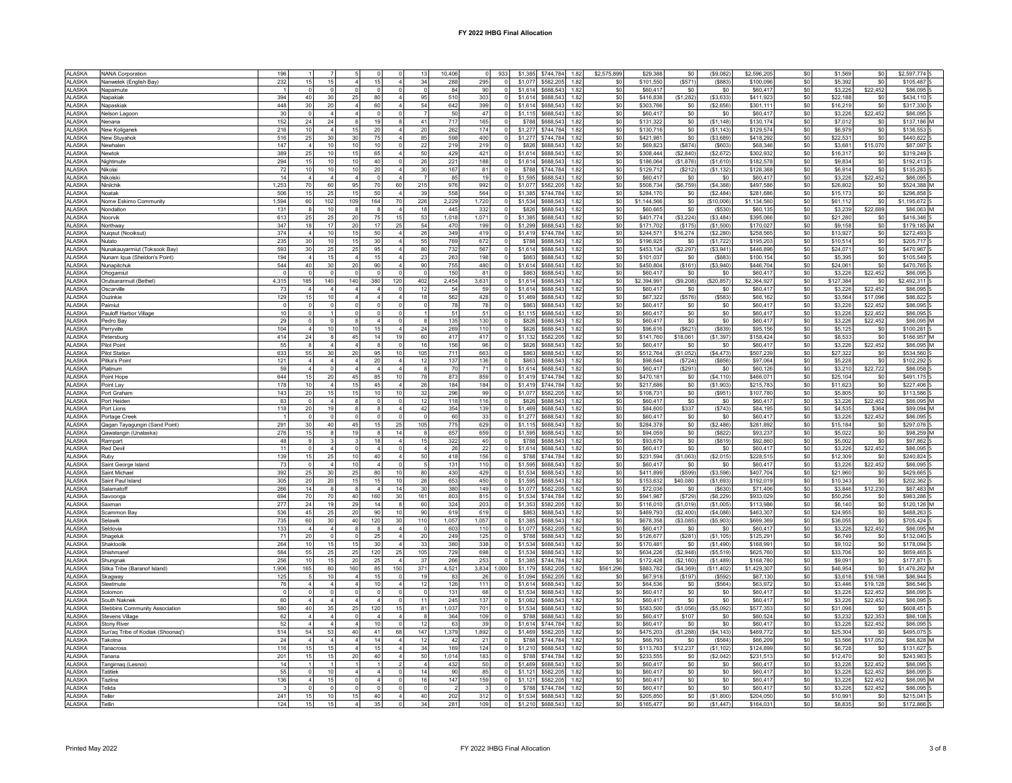| <b>ALASKA</b><br><b>ALASKA</b><br><b>ALASKA</b> | NANA Corporation                  | 196                    |                         |                         |                |                        | 13<br>10,406           | 933                              | \$1,385            | \$744,784<br>1.82                      | \$2,575,899  | \$29,388                 | \$0<br>(\$9,082)                     | \$2,596,205            | \$0        | \$1,569             | \$0        | \$2,597,774 S              |
|-------------------------------------------------|-----------------------------------|------------------------|-------------------------|-------------------------|----------------|------------------------|------------------------|----------------------------------|--------------------|----------------------------------------|--------------|--------------------------|--------------------------------------|------------------------|------------|---------------------|------------|----------------------------|
|                                                 | Nanwelek (English Bay)            | 232<br>15              | 15                      |                         | 15             |                        | 34<br>288              | $\circ$<br>295                   | \$1,077            | \$582,205<br>1.82                      | \$0          | \$101,550<br>(S571)      | (\$883                               | \$100,09               | \$0        | \$5,392             | \$0        | \$105,487                  |
|                                                 | Napaimute                         | $\Omega$               | $\Omega$                | $\Omega$                | $\Omega$       |                        | 84                     | $\circ$<br>90                    | \$1,614            | \$688,543<br>1.82                      | \$0          | \$60,417                 | \$0<br>\$0                           | \$60,41                | \$0        | \$3,226             | \$22,452   | \$86,095 S                 |
|                                                 | Napakiak                          | 394<br>40              | 30                      | 25                      | 80             |                        | 95<br>510              | 303<br>$\Omega$                  | \$1,614            | \$688,543<br>1.82                      | \$0          | \$416,838<br>(\$1,282)   | ( \$3,633]                           | \$411,92               | \$0        | \$22,188            | \$0        | \$434,110 S                |
| <b>ALASKA</b>                                   | Napaskiak                         | 448<br>30              | 20                      | 4 <sup>1</sup>          | 60             |                        | 54<br>642              | 399<br>$\circ$                   | \$1,614            | \$688.543<br>1.82                      | \$0          | \$303.766                | \$0<br>(\$2,656)                     | \$301.11               | \$0        | \$16,219            | \$0        | \$317,330 S                |
| <b>ALASKA</b>                                   | Nelson Lagoor                     | 30<br>$\overline{0}$   | $\overline{4}$          | 4 <sup>1</sup>          |                |                        | 50                     | 47<br>$\overline{\mathbf{0}}$    | \$1,115            | \$688,543<br>1.82                      | \$0          | \$60,417                 | \$0<br>\$0                           | \$60,41                | \$0        | \$3,226             | \$22,452   | \$86,095 S                 |
| AI ASKA                                         | Nenana                            | 152<br>$24\,$          | 24                      | 8                       | 19             | 8                      | 717<br>41              | 165<br>$\overline{0}$            | \$788              | \$688.543<br>1.82                      | \$0          | \$131.322                | \$0<br>(S1.148)                      | \$130.17               | \$0        | \$7,012             | \$0        | \$137.186 M                |
| <b>ALASKA</b>                                   | New Koliganel                     | 216<br>10              | $\overline{\mathbf{4}}$ | 15                      | 20             |                        | 20<br>262              | 174<br>$\overline{0}$            | \$1,277            | \$744,784<br>1.82                      | \$0          | \$130,716                | \$0<br>(S1, 143)                     | \$129,57               | \$0        | \$6,979             | \$0        | \$136,553 S                |
| <b>ALASKA</b>                                   | New Stuvahok                      | 25<br>516              | 30                      | 30                      | 75             |                        | 598<br>85              | 400<br>$\overline{0}$            | \$1,277            | \$744.784<br>1.82                      | \$0          | \$421.981                | \$0<br>(\$3,689)                     | \$418.29               | \$0        | \$22.531            | \$0        | \$440.822 S                |
| <b>ALASKA</b>                                   | Newhaler                          | 147<br>$\overline{4}$  | 10 <sup>1</sup>         | 10                      | 10             |                        | $22\,$<br>219          | 219<br>$\overline{0}$            | \$826              | \$688,543<br>1.82                      | \$0          | \$69,823<br>(S874)       | (\$603)                              | \$68,346               | \$0        | \$3,681             | \$15,070   | \$87,097 S                 |
| AI ASKA                                         | Newtok                            | 389<br>25              | 10 <sup>1</sup>         | 15                      | 65             |                        | 50<br>429              | 421<br>$\Omega$                  | \$1,614            | \$688,543<br>1.82                      | \$0          | (S2.840)<br>\$308 444    | (S2.672)                             | \$302,932              | \$0        | \$16,317            | \$0        | \$319,249 S                |
| <b>ALASKA</b>                                   | Nightmute                         | 294<br>15              | 10                      | 10                      | 40             |                        | 26<br>221              | 188<br>$\circ$                   | \$1.614            | \$688,543<br>1.82                      | \$0          | \$186.064<br>(S1.876)    | (S1.610)                             | \$182.57               | \$0        | \$9,834             | \$0        | \$192,413 S                |
| <b>ALASKA</b>                                   | Nikolai                           | 10<br>72               | 10                      | 10                      | 20             |                        | 30<br>167              | 81<br>$\overline{0}$             | \$788              | \$744.784<br>1.82                      | \$0          | \$129,712<br>(S212)      | (S1, 132)                            | \$128,368              | \$0        | \$6,914             | \$0        | \$135,283 S                |
| <b>ALASKA</b>                                   | Nikolski                          | 14<br>$\overline{4}$   | $\Delta$                | $\overline{4}$          | $\Omega$       |                        | 85                     | 19<br>$\overline{0}$             | \$1,595            | \$688.543<br>1.82                      | $\$0$        | \$60,417                 | \$0<br>\$0                           | \$60,417               | \$0        | \$3,226             | \$22,452   | \$86,095 S                 |
| <b>ALASKA</b>                                   | Ninilchik                         | 1,253<br>70            | 60                      | 95                      | 70             | 60                     | 215<br>976             | 992<br>$\overline{0}$            | \$1,077            | \$582,205<br>1.82                      | \$0          | \$508,734<br>(\$6,759)   | (S4, 388)                            | \$497,586              | \$0        | \$26,802            | \$0        | \$524,388 M                |
| <b>ALASKA</b>                                   | Noatak                            | 506<br>15              | 25                      | 15                      | 50             | $\overline{4}$         | 39<br>558              | 564<br>$\overline{0}$            | \$1,385            | \$744.784<br>1.82                      | \$0          | \$284.170                | (S2, 484)<br>\$0                     | \$281.68               | $\$0$      | \$15,173            | \$0        | \$296,858 S                |
| <b>ALASKA</b>                                   | Nome Eskimo Community             | 60<br>1,594            | 102                     | 109                     | 164            | 70                     | 226<br>2,229           | $\circ$<br>1,720                 | \$1,534            | \$688.543<br>1.82                      | \$0          | \$1,144,566              | \$0<br>(\$10,006]                    | \$1,134,56             | \$0        | \$61,112            | \$0        | \$1,195,672 S              |
| AI ASKA                                         | Nondaltor                         | 131<br>$\mathbf{g}$    | 10                      | $\mathbf{a}$            | $\mathbf{R}$   | $\overline{A}$         | 445<br>18              | 332<br>$\Omega$                  | \$826              | \$688.543<br>1.82                      | \$0          | \$60,665                 | \$0<br>(S530)                        | \$60.13                | \$0        | \$3,239             | \$22,689   | \$86,063 M                 |
| <b>ALASKA</b>                                   | Noorvik                           | 613<br>25              | 25                      | 20                      | 75             | 15                     | 53<br>1,018            | 1,071<br>$\Omega$                | \$1,385            | \$688,543<br>1.82                      | \$0          | \$401,774<br>(\$3,224)   | (S3, 484)                            | \$395,066              | \$0        | \$21,280            | \$0        | \$416,346 S                |
| <b>ALASKA</b>                                   | Northway                          | 347<br>18              | 17                      | 20                      | 17             | 25                     | 54<br>470              | 199<br>$\circ$                   | \$1,299            | \$688,543<br>1.82                      | \$0          | \$171.702<br>(\$175)     | (S1.500)                             | \$170,027              | \$0        | \$9.158             | \$0        | \$179,185 M                |
| <b>ALASKA</b>                                   | Nuigsut (Nooiksut)                | 374<br>$\overline{4}$  | 10                      | 15                      | 50             | $\overline{4}$         | 26<br>349              | 419<br>$\overline{0}$            | \$1,419            | \$744.784<br>1.82                      | \$0          | \$244.571<br>\$16,274    | (\$2,280)                            | \$258,565              | \$0        | \$13,927            | \$0        | \$272,493 S                |
| AI ASKA                                         | Nulato                            | 235<br>30              | 10 <sup>1</sup>         | 15                      | 30             |                        | 769<br>55              | 672<br>$\overline{\mathbf{0}}$   | \$788              | \$688,543<br>1.82                      | \$0          | \$196,925                | \$0<br>(\$1,722)                     | \$195.20               | \$0        | \$10.514            | \$0        | \$205,717 S                |
| <b>ALASKA</b>                                   | Nunakauyarmiut (Toksook Bay)      | 593<br>30              | 25                      | 25                      | 95             |                        | 732<br>80              | 567<br>$\overline{0}$            | \$1.614            | \$688.543<br>1.82                      | \$0          | \$453.134<br>(\$2,297)   | (S3.941)                             | \$446.89               | \$0        | \$24.071            | \$0        | \$470,967 S                |
| <b>ALASKA</b>                                   | Nunam Iqua (Sheldon's Point)      | 194<br>$\overline{4}$  | 15                      | $\overline{4}$          | 15             |                        | 23<br>263              | 198<br>$\overline{0}$            | \$863              | \$688.543<br>1.82                      | \$0          | \$101,037                | \$0<br>(\$883]                       | \$100,15               | \$0        | \$5,395             | \$0        | \$105,549 S                |
| <b>ALASKA</b>                                   | Nunapitchuk                       | 544<br>40              | 30                      | 20                      | 90             |                        | 90<br>755              | 480<br>$\circ$                   | \$1,614            | \$688,543<br>1.82                      | \$0          | \$450.804<br>(S161)      | (\$3,940)                            | \$446.70               | \$0        | \$24,061            | \$0        | \$470,765 S                |
| <b>ALASKA</b>                                   | Ohogamiut                         | $\Omega$               | $\Omega$                | $\circ$                 | $\Omega$       |                        | 150                    | 81<br>$\Omega$                   | \$863              | \$688.543<br>1.82                      | \$0          | \$60,417                 | \$0<br>\$0                           | \$60,41                | \$0        | \$3,226             | \$22,452   | \$86,095 S                 |
| <b>ALASKA</b>                                   | Orutsararmuit (Bethel)            | 4.315<br>185           | 140                     | 140                     | 380            | 120                    | 402<br>2,454           | 3.631<br>$\circ$                 | \$1,614            | \$688,543<br>1.82                      | \$0          | \$2,394,991<br>(\$9,208) | \$20,857                             | \$2,364,92             | \$0        | \$127,384           | \$0        | \$2,492,311 S              |
| <b>ALASKA</b>                                   | Oscarville                        | 73<br>$\overline{4}$   | $\overline{a}$          | $\overline{4}$          | $\overline{4}$ | $\Omega$               | 12<br>54               | 59<br>$\circ$                    | \$1,614            | \$688.543<br>1.82                      | \$0          | \$60,417                 | \$0<br>\$0                           | \$60,41                | \$0        | \$3,226             | \$22,452   | \$86,095 S                 |
| <b>ALASKA</b>                                   | Ouzinkie                          | 129<br>15              | 10                      | $\overline{4}$          |                |                        | 562<br>18              | 428<br>$\overline{\mathbf{0}}$   | \$1,469            | \$688,543<br>1.82                      | \$0          | $($ \$576)<br>\$67,322   | ( \$583)                             | \$66.16                | \$0        | \$3,564             | \$17,096   | \$86,822 S                 |
| <b>ALASKA</b>                                   | Paimiut                           | $\mathbf 0$            |                         | $\mathbf{0}$            |                |                        | 78                     | 78<br>$\circ$                    | \$863              | \$688,543<br>1.82                      | \$0          | \$60,417                 | \$0<br>\$0                           | \$60,41                | \$0        | \$3,226             | \$22,452   | \$86,095 S                 |
| <b>ALASKA</b>                                   | Pauloff Harbor Village            | 10<br>$\overline{0}$   |                         | $\mathbf{0}$            |                |                        | 51                     | $\overline{0}$<br>51             | \$1,115            | \$688,543<br>1.82                      | \$0          | \$60,417                 | \$0<br>\$0                           | \$60,41                | \$0        | \$3.226             | \$22,452   | \$86,095 S                 |
| <b>ALASKA</b>                                   | Pedro Bay                         | 29<br>$\circ$          | $\Omega$                | 8 <sup>1</sup>          | 4              | $\Omega$               | 135<br>8               | $\circ$<br>130                   | \$826              | \$688,543 1.82                         | \$0          | \$60,417                 | \$0<br>\$0                           | \$60,41                | \$0        | \$3,226             | \$22,452   | \$86,095 M                 |
| <b>ALASKA</b>                                   | Perryville                        | 104                    | 10 <sup>1</sup>         | 10                      | 15             |                        | 24<br>269              | 110<br>$\Omega$                  | \$826              | \$688.543<br>1.82                      | \$0          | \$96,616<br>(\$621)      | (\$839)                              | \$95,156               | \$0        | \$5.125             | \$0        | \$100,281 S                |
| <b>ALASKA</b>                                   | Petersburg                        | 414<br>24              | $\mathbf{a}$            | 45                      |                | 19                     | 60<br>417              | 417<br>$\Omega$                  | \$1,132            | \$582,205<br>1.82                      | \$0          | \$141,760<br>\$18,061    | (\$1,397)                            | \$158,42               | \$0        | \$8,533             | \$0        | \$166,957 M                |
| <b>ALASKA</b>                                   | Pilot Point                       | 55<br>8                | $\Delta$                | 4 <sup>1</sup>          |                |                        | 156<br>16              | 96<br>$\overline{0}$             | \$826              | \$688,543<br>1.82                      | \$0          | \$60,417                 | \$0<br>\$0                           | \$60,41                | \$0        | \$3,226             | \$22,452   | \$86,095 M                 |
| AI ASKA                                         | <b>Pilot Station</b>              | 633<br>55              | 30                      | 20                      | 95             | 10                     | 105<br>711             | 663<br>$\overline{0}$            | \$863              | \$688.543<br>1.82                      | \$0          | \$512,764<br>(\$1,052)   | (\$4,473)                            | \$507,23               | \$0        | \$27.322            | \$0        | \$534,560 S                |
| <b>ALASKA</b>                                   | Pitka's Point                     | 121<br>$\overline{4}$  |                         | $\overline{4}$          | 20             |                        | 12<br>137              | 136<br>$\overline{0}$            | \$863              | \$688,543<br>1.82                      | \$0          | \$98,644<br>(\$724)      | (\$856)                              | \$97,06                | \$0        | \$5,228             | \$0        | \$102,292 S                |
| <b>ALASKA</b>                                   | Platinum                          | 59<br>$\overline{4}$   | $\Omega$                | 4 <sup>1</sup>          |                |                        | 70                     | $\overline{0}$<br>71             | \$1,614            | \$688,543<br>1.82                      | \$0          | \$60,417<br>(S291)       | \$0                                  | \$60,12                | $\$0$      | \$3,210             | \$22,722   | \$86,058 S                 |
| <b>ALASKA</b>                                   | Point Hope                        | 15<br>644              | 20                      | 45                      | 85             | 10                     | 78<br>873              | $\overline{0}$<br>859            | \$1,41             | \$744.784<br>1.82                      | \$0          | \$470,181                | \$0<br>(\$4, 110)                    | \$466.07               | \$0        | \$25.104            | \$0        | \$491,175 S                |
| <b>ALASKA</b>                                   | Point Lay                         | 178<br>10              | $\overline{4}$          | 15                      | 45             | $\overline{4}$         | 184<br>26              | 184<br>$\circ$                   | \$1,419            | \$744.784<br>1.82                      | \$0          | \$217,686                | \$0<br>(S1.903)                      | \$215,783              | \$0        | \$11,623            | \$0        | \$227,406 S                |
| <b>ALASKA</b>                                   | Port Grahan                       | 143<br>$20\,$          | 15                      | 15                      | 10             | 10                     | 32<br>296              | 99<br>$\Omega$                   | \$1,077            | \$582,205<br>1.82                      | \$0          | \$108,731                | \$0<br>(\$951)                       | \$107,78               | \$0        | \$5,805             | \$0        | \$113,586 S                |
| <b>ALASKA</b>                                   | Port Heiden                       | 83<br>$\overline{0}$   | $\overline{4}$          | 8                       | $\circ$        | $\Omega$               | 12<br>118              | 116<br>$\circ$                   | \$826              | \$688,543<br>1.82                      | \$0          | \$60,417                 | \$0<br>\$0                           | \$60.41                | \$0        | \$3.226             | \$22,452   | \$86,095 M                 |
| AI ASKA                                         | Port Lions                        | 118<br>20              | 19                      | 8                       | 8              | $\boldsymbol{\Lambda}$ | 354<br>42              | 139<br>$\mathbf 0$               | \$1,469            | \$688.543<br>1.82                      | \$0          | \$337<br>\$84,600        | (\$743)                              | \$84.19                | \$0        | \$4,535             | \$364      | \$89,094 M                 |
| <b>ALASKA</b>                                   | Portage Creek                     | $\overline{0}$         | $\Omega$                | $\circ$                 |                |                        | 60                     | 33<br>$\overline{0}$             | \$1,277            | \$688,543<br>1.82                      | \$0          | \$60,417                 | \$0<br>\$0                           | \$60.41                | \$0        | \$3,226             | \$22,452   | \$86,095 S                 |
| <b>ALASKA</b>                                   | Qagan Tayagungin (Sand Point)     | 291<br>30              | 40                      | 45                      |                | 25                     | 105<br>775             | 629<br>$\overline{0}$            | \$1,115            | \$688,543<br>1.82                      | \$0          | \$284,378                | \$0<br>(\$2,486)                     | \$281,89               | \$0        | \$15,184            | \$0        | \$297,076 S                |
| <b>ALASKA</b>                                   | Qawalangin (Unalaska)             | 15<br>276              | $\mathbf{R}$            | 19                      |                | 14                     | 657                    | 659<br>$\circ$                   | \$1,595            | \$688,543<br>1.82                      | \$0          | \$94,059                 | \$0<br>(\$822)                       | \$93,23                | \$0        | \$5,022             | \$0        | \$98,259 M                 |
| <b>ALASKA</b>                                   | Rampart                           | 48<br>9                | $\mathbf{3}$            | $\overline{\mathbf{3}}$ | 18             |                        | 15<br>322              | $\circ$<br>40                    | \$788              | \$688.543<br>1.82                      | \$0          | \$93.679                 | \$0<br>(\$819)                       | \$92,86                | \$0        | \$5,002             | \$0        | \$97,862 S                 |
| ALASKA                                          | Red Devil                         | 11<br>$\circ$          | $\overline{4}$          | $\mathbf{0}$            |                |                        | 26                     | 22<br>$\circ$                    | \$1,614            | \$688,543<br>1.82                      | \$0          | \$60,417                 | \$0<br>\$0                           | \$60,41                | \$0        | \$3,226             | \$22,452   | \$86,095 S                 |
| <b>ALASKA</b>                                   | Ruby                              | 139<br>15              | 25                      | 10                      | 40             |                        | 50<br>418              | 156<br>$\circ$                   | \$788              | \$744,784<br>1.82                      | \$0          | \$231,594<br>(\$1,063)   | (\$2,015)                            | \$228,51               | \$0        | \$12,309            | \$0        | \$240,824 S                |
| <b>ALASKA</b>                                   | Saint George Island               | 73<br>$\overline{0}$   |                         |                         |                | $\Omega$               | 131                    | 110<br>$\circ$                   | \$1,595            | \$688.543<br>1.82                      | \$0          |                          |                                      |                        |            |                     |            |                            |
|                                                 | Saint Michael                     |                        |                         |                         |                |                        |                        |                                  |                    |                                        |              |                          |                                      |                        |            |                     |            |                            |
|                                                 |                                   |                        | $\overline{4}$          | 10                      |                |                        |                        |                                  |                    |                                        |              | \$60,417                 | \$0<br>\$0                           | \$60,41                | \$0        | \$3,226             | \$22,452   | \$86,095 S                 |
| <b>ALASKA</b>                                   |                                   | 392<br>25              | 30                      | 25                      | 80             | 10                     | 430<br>80              | 429<br>$\overline{0}$            | \$1,534            | \$688,543<br>1.82                      | \$0          | \$411,899<br>$($ \$599)  | (\$3,596)                            | \$407,704              | \$0        | \$21,960            | \$0        | \$429,665 S                |
| ALASKA                                          | Saint Paul Island                 | 305<br>20              | 20                      | 15                      | 15             | 10                     | 26<br>653              | 450<br>$\mathbf{0}$              | \$1,595            | \$688,543<br>1.82                      | \$0          | \$153,632<br>\$40,080    | (\$1,693)                            | \$192,01               | \$0        | \$10,343            | \$0        | \$202,362 S                |
| <b>ALASKA</b>                                   | Salamatoff                        | 266<br>14              | $\mathbf{a}$            | 8 <sup>1</sup>          |                | $14$                   | $30\,$<br>380          | 149<br>$\overline{0}$            | \$1,077            | \$582,205<br>1.82                      | \$0          | \$72,036                 | (\$630)<br>\$0                       | \$71.40                | \$0        | \$3,846             | \$12,230   | \$87,483 M                 |
| <b>ALASKA</b>                                   | Savoonga                          | 70<br>694              | 70<br>19                | 40                      | 160<br>14      | 30                     | 161<br>803             | $\circ$<br>815<br>$\Omega$       | \$1,534            | \$744.784<br>1.82                      | \$0          | \$941.987<br>(S729)      | (S8, 229)                            | \$933.02               | \$0        | \$50.256            | \$0        | \$983.286 S                |
| <b>ALASKA</b>                                   | Saxman                            | 277<br>24              |                         | 29                      |                |                        | 60<br>324              | 203                              | \$1,353            | \$582,205<br>1.82                      | \$0          | \$116,010<br>(\$1.019)   | (S1.005)                             | \$113,986              | \$0        | \$6,140             | \$0        | \$120,126 M                |
| <b>ALASKA</b>                                   | Scammon Bay<br>Selawik            | 536<br>45              | 25                      | 20                      | 90             | 10                     | 90<br>619              | 619<br>$\overline{0}$            | \$863              | \$688.543<br>1.82<br>\$688.543         | \$0          | \$469,793<br>(\$2,400)   | (\$4,086)                            | \$463,307              | \$0        | \$24,955            | \$0        | \$488,263 S                |
| <b>ALASKA</b>                                   |                                   | 735<br>60              | 30                      | 40                      | 120            | 30                     | 110<br>1.057           | 1.057<br>$\overline{0}$          | \$1,385            | 1.82                                   | \$0          | \$678,358<br>(\$3,085)   | (\$5,903)                            | \$669,369              | \$0        | \$36,055            | \$0        | \$705.424 S                |
| AI ASKA                                         | Seldovia                          | 133<br>$\overline{4}$  | $\overline{a}$          | 8                       |                |                        | 603<br>$\Omega$        | 110<br>$\overline{0}$            | \$1,077            | \$582.205<br>1.82                      | \$0          | \$60,417                 | \$0<br>\$0                           | \$60,417               | \$0        | \$3,226             | \$22,452   | \$86,095 M                 |
| <b>ALASKA</b>                                   | Shageluk                          | 71<br>20               | $\Omega$                | $\circ$                 | 25             |                        | $20\,$<br>249          | 125<br>$\overline{0}$            | \$788              | \$688,543<br>1.82                      | \$0          | \$126,677<br>(\$281)     | (S1, 105)                            | \$125,29               | \$0        | \$6,749             | \$0        | \$132,040 S                |
| <b>ALASKA</b>                                   | Shaktoolil                        | 264<br>10              | 15                      | 15                      | 30             | $\overline{4}$         | 33<br>380              | 338<br>$\circ$                   | \$1,534            | \$688,543<br>1.82                      | \$0          | \$170,481                | (\$1,490)<br>\$0                     | \$168,99               | \$0        | \$9,102             | \$0        | \$178,094 S                |
| <b>ALASKA</b>                                   | Shishmaret                        | 584<br>55              | 25                      | 25                      | 120            | 25                     | 105<br>729             | $\circ$<br>698                   | \$1,534            | \$688.543<br>1.82                      | \$0          | \$634,226<br>(S2.948)    | (\$5,519)                            | \$625.76               | \$0        | \$33,706            | \$0        | \$659,465 S                |
| <b>ALASKA</b>                                   | Shungnak                          | 256<br>10 <sup>1</sup> | 15                      | 20                      | 25             |                        | 37<br>266              | 253<br>$\circ$                   | \$1,385            | \$744,784<br>1.82                      | \$0          | \$172,428<br>(\$2,160)   | (S1, 489)                            | \$168,780              | \$0        | \$9,091             | \$0        | \$177,871 S                |
| ALASKA                                          | Sitka Tribe (Baranof Island)      | 1.906<br>165           | 80                      | 160                     | 85             | 150                    | 4,521<br>371           | 3,834 1,000                      | \$1,179            | \$582,205<br>1.82                      | \$561,296    | \$883,782<br>(\$4,369)   | (\$11,402)                           | \$1,429,30             | \$0        | \$46,954            | \$0        | \$1,476,262 M              |
| <b>ALASKA</b>                                   | Skagway                           | 125<br>5               | 10                      | $\overline{4}$          | 15             |                        | 19<br>83               | 26<br>$\overline{0}$             | \$1,094            | \$582,205<br>1.82                      | \$0          | \$67,918<br>(\$197)      | (\$592)                              | \$67,130               | \$0        | \$3,616             | \$16,198   | \$86,944 S                 |
| AI ASKA                                         | Sleetmute                         | 76<br>$\overline{4}$   | 4                       | $\overline{4}$          | 10             |                        | 12<br>126              | 111<br>$\overline{0}$            | \$1,614            | \$688.543<br>1.82                      | \$0          | \$64,536                 | (\$564)<br>\$0                       | \$63.97                | \$0        | \$3,446             | \$19,128   | \$86,546 \$                |
| <b>ALASKA</b>                                   | Solomon                           | $\circ$                |                         | $\Omega$                |                |                        | 131                    | 68<br>$\overline{0}$             | \$1,534            | \$688,543<br>1.82                      | \$0          | \$60,417                 | \$0<br>\$0                           | \$60,41                | \$0        | \$3,226             | \$22,452   | \$86,095 S                 |
| ALASKA                                          | South Naknek                      | 60                     |                         | 4 <sup>1</sup>          |                |                        | 11<br>245              | 137<br>$\circ$                   | \$1,082            | \$688.543<br>1.82                      | \$0          | \$60,417                 | \$0<br>\$0                           | \$60.41                | \$0        | \$3,226             | \$22,452   | \$86,095 S                 |
| <b>ALASKA</b>                                   | Stebbins Community Association    | 580<br>40              | 35                      | 25                      | 120            | 15                     | 1,037<br>81            | $\overline{0}$<br>701            | \$1,534            | \$688.543<br>1.82                      | \$0          | \$583.500<br>(\$1,056)   | (\$5,092)                            | \$577.35               | \$0        | \$31.098            | <b>SC</b>  | \$608,451 S                |
| AI ASKA                                         | Stevens Village                   | 62                     | $\Delta$                | $\Omega$                |                |                        | 364<br>$\mathbf{R}$    | 109<br>$\Omega$                  | \$788              | \$688.543<br>1.82                      | \$0          | \$60.417<br>\$107        | \$0                                  | \$60.52                | \$0        | \$3.232             | \$22,353   | \$86,108                   |
| <b>ALASKA</b>                                   | <b>Stony River</b>                | 52                     | $\overline{\mathbf{4}}$ | $\overline{4}$          | 10             |                        | 12<br>63               | 39<br>$\Omega$                   | \$1,614            | \$744,784<br>1.82                      | \$0          | \$60,417                 | \$0<br>\$0                           | \$60,41                | \$0        | \$3,226             | \$22,452   | \$86,095 S                 |
| <b>ALASKA</b>                                   | Sun'aq Tribe of Kodiak (Shoonaq') | 54<br>514              | 53                      | 40                      | 41             | 68                     | 147<br>1,379           | 1,892<br>$\overline{0}$          | \$1,469            | \$582,205<br>1.82                      | \$0          | \$475,203<br>(\$1,288)   | ( \$4, 143)                          | \$469,77               | \$0        | \$25,304            | \$0        | \$495,075 S                |
| <b>ALASKA</b>                                   | Takotna                           | 24<br>$\overline{4}$   | $\overline{4}$          | 4 <sup>1</sup>          | 14             | $\boldsymbol{\Lambda}$ | 12<br>42               | 21<br>$\overline{0}$             | \$788              | \$744.784<br>1.82                      | $\$0$        | \$66,793                 | (\$584)<br>\$0                       | \$66,20                | \$0        | \$3,566             | \$17,052   | \$86,828 M                 |
| <b>ALASKA</b>                                   | Tanacross                         | 116<br>15              | 15                      | 4 <sup>1</sup>          | 15             |                        | 34<br>169              | 124<br>$\overline{0}$            | \$1,210            | \$688,543<br>1.82                      | \$0          | \$113,763<br>\$12,237    | (\$1,102)                            | \$124,899              | \$0        | \$6,728             | \$0        | \$131,627 S                |
| <b>ALASKA</b>                                   | Tanana                            | 201<br>15              | 15                      | 20                      | 40             |                        | 1,014<br>50            | 183<br>$\overline{0}$            | \$788              | \$744.784<br>1.82                      | \$0          | \$233.555                | \$0<br>(\$2,042)                     | \$231,51               | \$0        | \$12,470            | \$0        | \$243.983 S                |
| <b>ALASKA</b>                                   | Tangirnaq (Lesnoi)                | 14<br>$\overline{1}$   |                         |                         |                |                        | 432<br>$\overline{A}$  | $\circ$<br>50                    | \$1,469            | \$688,543<br>1.82                      | \$0          | \$60,417                 | \$0<br>\$0                           | \$60,41                | \$0        | \$3,226             | \$22,452   | \$86,095 S                 |
| AI ASKA                                         | <b>Tatitlek</b>                   | 55<br>$\circ$          | 10 <sup>1</sup>         | $\overline{4}$          |                | $\Omega$               | 14<br>90               | $\circ$<br>85                    | \$1.12             | \$582.205<br>1.82                      | \$0          | \$60.417                 | \$0<br>\$0                           | \$60.41                | \$0        | \$3,226             | \$22,452   | \$86,095 \$                |
| <b>ALASKA</b>                                   | Tazlina                           | 136                    | 15                      | $\Omega$                |                |                        | 16<br>147              | 159<br>$\Omega$                  | \$1,12'            | \$582,205<br>1.82                      | \$0          | \$60,417                 | \$0<br>\$0                           | \$60,41                | \$0        | \$3,226             | \$22,452   | \$86,095 M                 |
| <b>ALASKA</b>                                   | Telida                            | $\circ$                | $\mathbf 0$             | $\mathbf{0}$            |                |                        |                        | $\circ$                          | \$788              | \$744.784<br>1.82                      | \$0          | \$60,417                 | \$0<br>\$0                           | \$60.41                | \$0        | \$3.226             | \$22,452   | \$86,095 S                 |
| <b>ALASKA</b><br><b>ALASKA</b>                  | Teller<br>Tetlin                  | 241<br>15<br>124<br>15 | 10<br>15                | 15<br>$\overline{4}$    | 40<br>35       | $\Omega$               | 202<br>40<br>34<br>281 | 312<br>$\circ$<br>109<br>$\circ$ | \$1,534<br>\$1,210 | \$688,543<br>1.82<br>\$688.543<br>1.82 | \$0<br>$\$0$ | \$205,850<br>\$165,477   | \$0<br>(\$1,800)<br>\$0<br>(S1, 447) | \$204,050<br>\$164,031 | \$0<br>\$0 | \$10,991<br>\$8.835 | \$0<br>\$0 | \$215,041 S<br>\$172,866 S |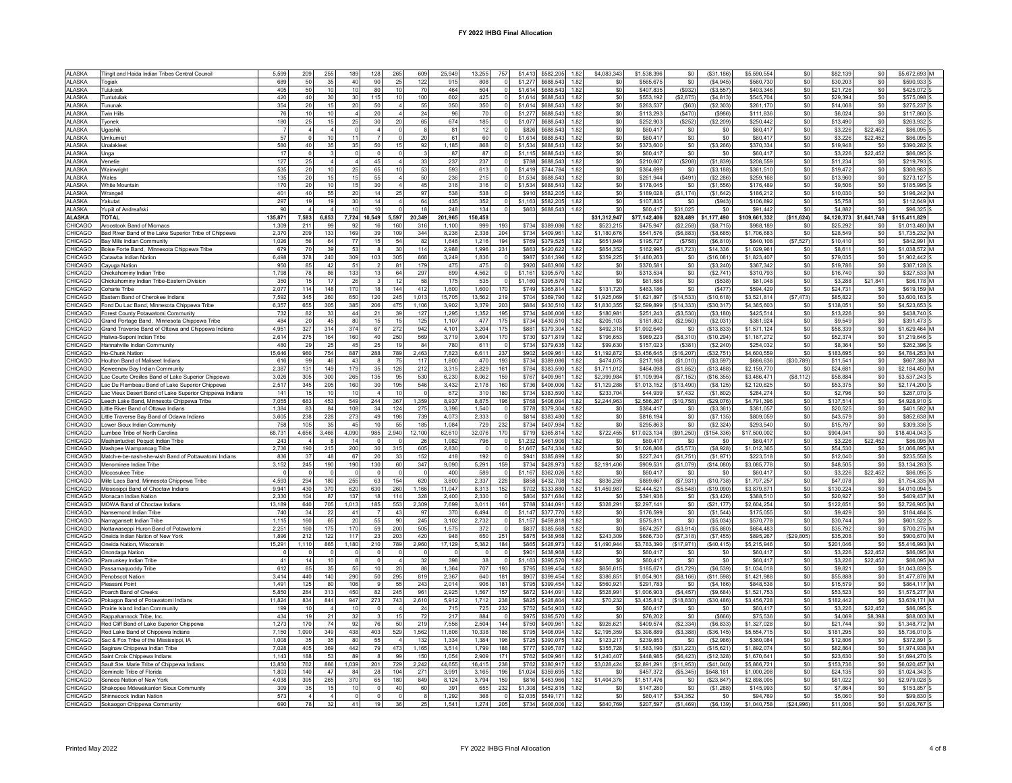|                | Tingit and Haida Indian Tribes Central Council          | 5.599   | 209            | 255              | 189            | 128             | 265       | 609      | 25.949  | 13 255         | 757      | \$1,413 \$582,205 1.82 |                | \$4,083,343     | \$1,538,396  | S0.        | $($ \$31.186) | \$5,590,554   |             | \$82 139    |                | \$5.672.693 M  |
|----------------|---------------------------------------------------------|---------|----------------|------------------|----------------|-----------------|-----------|----------|---------|----------------|----------|------------------------|----------------|-----------------|--------------|------------|---------------|---------------|-------------|-------------|----------------|----------------|
| <b>ALASKA</b>  | Togiak                                                  | 689     | 50             | 35               | 40             | 90              | 25        | 122      | 915     | 808            | $\Omega$ | \$1,277 \$688,543 1.82 |                | \$0             | \$565.675    | \$0        | (S4.945)      | \$560.730     | \$0         | \$30.203    | sol            | \$590,933 S    |
| ALASKA         | Tuluksak                                                | 405     | $50\,$         | 10               | 10             | 80              | 10        | 70       | 464     | 504            |          | \$1.614 \$688.543 1.82 |                | S <sub>0</sub>  | \$407.835    | $($ \$932) | (\$3,557)     | \$403.346     | \$0         | \$21,726    | \$0            | \$425,072 S    |
| <b>LASKA</b>   | Tuntutulial                                             | 420     | 40             | 30               | 30             | 115             | 10        | 100      | 602     | 425            |          | \$1,614<br>\$688,543   | 1.82           | S <sub>0</sub>  | \$553.192    | (\$2.675   | (S4.813)      | \$545.704     | \$0         | \$29.394    | \$0            | \$575,098 S    |
| <b>ALASKA</b>  | i <sup>r</sup> ununak                                   | 354     | 20             | 15               | 20             | 50              |           | 55       | 350     | 350            |          | \$1,614<br>\$688.543   | 1.82           | \$0             | \$263.53     | (\$63)     | (\$2,303)     | \$261.170     | \$0         | \$14.068    | \$0            | \$275,237 S    |
|                |                                                         |         |                | 10               | $\overline{4}$ |                 |           |          | 96      |                |          |                        |                |                 |              |            |               |               |             |             |                |                |
| ALASKA         | win Hills                                               | 76      | 10             |                  |                | 20              |           | 24       |         | $70\,$         |          | \$688,543<br>\$1,277   | 1.82           | \$0             | \$113,293    | (S470)     | (S986)        | \$111,836     | \$0         | \$6,024     | \$0            | \$117,860 S    |
| AI ASKA        | Tyonek                                                  | 180     | 25             | 15               | 25             | 30 <sup>1</sup> | 20        | 65       | 674     | 185            | $\Omega$ | \$1.077<br>\$688.543   | 1.82           | \$0             | \$252,903    | (S252)     | (S2.209)      | \$250.442     | \$0         | \$13,490    | $\sin$         | \$263,932 S    |
| <b>ALASKA</b>  | Jaashik                                                 |         |                |                  |                |                 |           | 8        | 81      | 12             |          | \$688,543<br>\$826     | 1.82           | \$0             | \$60.41      | \$0        | \$0           | \$60,417      | \$0         | \$3,226     | \$22,452       | \$86,095 S     |
| <b>ALASKA</b>  | Umkumiut                                                | 57      |                | 10               | 11             |                 |           | 20       | 61      | 60             |          | \$1.614 \$688.543 1.82 |                | \$0             | \$60.41      | \$0        | \$0           | \$60,417      | \$0         | \$3,226     | \$22,452       | \$86,095 S     |
| <b>ALASKA</b>  | Unalakleet                                              | 580     | 40             | 35               | 35             | 50              | 15        | 92       | 1,185   | 868            |          | \$1,534                | \$688,543 1.82 | \$0             | \$373,600    | \$0        | (\$3,266)     | \$370,334     | \$0         | \$19,948    | \$0            | \$390,282 S    |
| AI ASKA        | Jnga                                                    | 17      | $\Omega$       |                  | $\Omega$       | $\Omega$        |           |          | 87      | 87             |          | \$1.115<br>\$688.543   | 1.82           | \$0             | \$60.417     | \$0        | SO.           | \$60,417      | \$0         | \$3,226     | \$22,452       | \$86,095.5     |
| <b>ALASKA</b>  | √enetie                                                 | 127     | 25             |                  | $\overline{4}$ | 45              |           | 33       | 237     | 237            |          | \$788<br>\$688.543     | 1.82           | \$0             | \$210.60     | (\$208     | (\$1,839)     | \$208,559     | \$0         | \$11.234    | \$0            | \$219,793 S    |
|                |                                                         |         |                |                  |                |                 |           |          |         |                |          |                        |                |                 |              |            |               |               |             |             |                |                |
| ALASKA         | Wainwrigh                                               | 535     | 20             | 10               | 25             | 65              | 10        | 53       | 593     | 613            | $\Omega$ | \$1,419                | \$744,784 1.82 | \$0             | \$364,699    | \$0        | ( \$3, 188)   | \$361,510     | \$0         | \$19,472    | \$0            | \$380,983 S    |
| ALASKA         | Wales                                                   | 135     | $20\,$         | 15               | 15             | 55              | $\Lambda$ | 50       | 236     | 215            | $\cap$   | \$1,534<br>\$688,543   | 1.82           | \$0             | \$261.944    | $($ \$491) | (\$2,286)     | \$259.168     | \$0         | \$13,960    | \$0            | \$273,127 S    |
| <b>N ASKA</b>  | White Mountain                                          | 170     | 20             | 10 <sup>10</sup> | 15             | 30              |           | 45       | 316     | 316            |          | \$1,534<br>\$688,543   | 1.82           | \$0             | \$178,045    | \$0        | (\$1,556)     | \$176,489     | \$0         | \$9,506     | \$0            | \$185,995 S    |
| <b>ALASKA</b>  | Wrangell                                                | 401     | 40             | 55               | 20             | 14              | 25        | 97       | 538     | 538            |          | \$910<br>\$582.205     | 1.82           | \$0             | \$189.028    | (S1.174)   | (S1.642)      | \$186,212     | \$0         | \$10,030    | sol            | \$196,242 M    |
| ALASKA         | Yakutat                                                 | 297     | 19             | 19               | 30             | 14              |           | 64       | 435     | 352            |          | \$1,163<br>\$582,205   | 1.82           | \$0             | \$107,835    | \$0        | (\$943)       | \$106,892     | \$0         | \$5,758     | \$0            | \$112,649 M    |
| <b>ALASKA</b>  | Yupiit of Andreafski                                    | 90      |                |                  | 10             | 10              |           | 18       | 248     | 134            |          | \$863<br>\$688.543     | 1.82           | \$0             | \$60.41      | \$31.025   | \$0           | \$91.442      | \$0         | \$4,882     | \$0            | \$96,325       |
|                |                                                         |         |                |                  |                |                 |           |          |         |                |          |                        |                |                 |              |            |               |               |             |             |                |                |
| <b>ALASKA</b>  | <b>TOTAL</b>                                            | 135,871 | 7,583          | 6,853            |                | 7,724 10,549    | 5,597     | 20,349   | 201,965 | 150,458        |          |                        |                | \$31,312,947    | \$77,142,406 | \$28,489   | \$1,177,490   | \$109,661,332 | ( \$11,624) | \$4,120,373 | \$1,641,748    | \$115,411,829  |
| CHICAGO        | Aroostook Band of Micmacs                               | 1.309   | 211            | 99               | 92             | 16              | 160       | 316      | 1.100   | 999            | 193      | \$734<br>\$389,086     | 1.82           | \$523.21        | \$475.94     | (S2.258)   | (S8.715)      | \$988.189     | \$0         | \$25.292    | \$0            | \$1.013,480 M  |
| CHICAGO        | Bad River Band of the Lake Superior Tribe of Chippewa   | 2.370   | 209            | 133              | 169            | 39              | 109       | 344      | 8.236   | 2.338          | 204      | \$734<br>\$409.961     | 1.82           | \$1,180,676     | \$541.576    | (\$6,883)  | (S8.685)      | \$1,706,683   | \$0         | \$28,549    | \$0            | \$1,735,232 M  |
| CHICAGO        | Bay Mills Indian Community                              | 1,026   | 56             | 64               | 77             | 15              | 54        | 82       | 1,646   | 1,216          | 194      | \$379,525<br>\$769     | 1.82           | \$651,949       | \$195.727    | (S758)     | (S6, 810)     | \$840,108     | (\$7,527)   | \$10,410    | sol            | \$842,991 M    |
| CHICAGO        | Boise Forte Band, Minnesota Chippewa Tribe              | 679     | 70             | 39               | 53             | 8               | 30        | 114      | 2,988   | 1,996          | 231      | \$863                  | \$420,622 1.82 | \$854,352       | \$162,995    | (S1, 723)  | \$14,336      | \$1,029,96    | \$0         | \$8,611     | \$0            | \$1,038,572 M  |
| <b>CHICAGO</b> | Catawba Indian Nation                                   | 6.498   | 378            | 240              | 309            | 103             | 305       | 868      | 3,249   | 1.836          |          | \$987 \$361.396 1.82   |                | \$359,225       | \$1,480,263  | \$0        | (\$16,081)    | \$1,823,407   | \$0         | \$79,035    | sol            | \$1,902,442 S  |
| <b>HICAGO</b>  | Cayuga Nation                                           | 950     | 85             | 42               | 51             |                 | 81        | 179      | 475     | 475            |          | \$920<br>\$463,966     | 1.82           | \$0             | \$370.581    | \$0        | (S3.240)      | \$367.342     | \$0         | \$19,786    | \$0            | \$387,128 S    |
| <b>HICAGO</b>  |                                                         | 1.798   |                |                  |                | 13              |           |          | 899     |                |          | \$1.161<br>\$395,570   | 1.82           | \$0             | \$313.53     |            |               | \$310.793     |             | \$16,740    | \$0            | \$327.533 M    |
|                | Chickahominy Indian Tribe                               |         | 78             | 86               | 133            |                 | 64        | 297      |         | 4,562          |          |                        |                |                 |              | \$0        | (\$2,741)     |               | \$0         |             |                |                |
| CHICAGO        | Chickahominy Indian Tribe-Eastern Division              | 350     | 15             | 17               | $26\,$         |                 | 12        | 58       | 175     | 535            | $\Omega$ | \$1,160<br>\$395,570   | 1.82           | \$0             | \$61,586     | $\$0$      | (\$538)       | \$61,048      | \$0         | \$3,288     | \$21.841       | \$86,178 M     |
| CHICAGO        | Coharie Tribe                                           | 2.077   | 114            | 148              | 170            | 18              | 144       | 412      | 1.600   | 1.600          | 170      | \$749                  | \$365,814 1.82 | \$131,720       | \$463.18     | \$0        | (S477)        | \$594,429     | \$0         | \$24,731    | \$0            | \$619.159 M    |
| <b>HICAGO</b>  | Eastern Band of Cherokee Indians                        | 7,592   | 345            | 260              | 650            | 120             | 245       | 1,013    | 15,705  | 13,562         | 219      | \$704 \$369,790 1.82   |                | \$1,925,069     | \$1,621,897  | (\$14,533) | (\$10,618)    | \$3,521,814   | (\$7,473)   | \$85,822    | \$0            | \$3,600,163 S  |
| CHICAGO        | Fond Du Lac Band, Minnesota Chippewa Tribe              | 6.357   | 655            | 305              | 385            | 206             | 475       | 1.106    | 3.902   | 3.379          | 203      | \$884                  | \$430.510 1.82 | \$1,830,355     | \$2,599.899  | (S14.333)  | (S30.317)     | \$4,385,603   | \$0         | \$138.051   | sol            | \$4,523,653 S  |
| CHICAGO        | Forest County Potawatomi Community                      | 732     | 82             | 33               | 44             | 21              | 39        | 127      | 1,295   | 1,352          | 195      | \$734                  | \$406,006 1.82 | \$180,981       | \$251,243    | (\$3,530)  | (\$3,180)     | \$425,514     | \$0         | \$13,226    | \$0            | \$438,740 S    |
| HICAGO         | Grand Portage Band, Minnesota Chippewa Tribe            | 484     | 20             | 45               | 80             | 15              | 15        | 125      | 1.107   | 477            | 175      | \$734<br>\$430,510     | 1.82           | \$205.103       | \$181,802    | (\$2,950)  | (S2.031)      | \$381.924     | \$0         | \$9,549     | \$0            | \$391,473 5    |
| <b>HICAGO</b>  |                                                         | 4,951   | 327            | 314              | 374            | 67              | 272       | 942      | 4,101   | 3,204          | 175      | \$881<br>\$379,304     | 1.82           | \$492,318       | \$1,092,640  | \$0        | (\$13,833)    | \$1,571,124   | \$0         | \$58,339    | \$0            | \$1,629,464 M  |
|                | Grand Traverse Band of Ottawa and Chippewa Indians      |         |                |                  |                |                 |           |          |         |                |          |                        |                |                 |              |            |               |               |             |             |                |                |
| <b>HICAGO</b>  | Haliwa-Saponi Indian Tribe                              | 2.614   | 275            | 164              | 160            | 40              | 250       | 569      | 3.719   | 3.604          | 170      | \$730<br>\$371.819     | 1.82           | \$196,653       | \$989.223    | (S8.310)   | (S10.294)     | \$1,167,272   | \$0         | \$52,374    | \$0            | \$1,219,646 S  |
| CHICAGO        | Hannahville Indian Community                            | 480     | 29             | 25               | 45             | 25              | 19        | 84       | 780     | 611            | $\Omega$ | \$734 \$379.635        | 1.82           | \$99,630        | \$157,023    | (S381)     | (S2, 240)     | \$254.032     | \$0         | \$8,364     | sol            | \$262,396 S    |
| CHICAGO        | Ho-Chunk Nation                                         | 15.646  | 980            | 754              | 887            | 288             | 789       | 2.463    | 7.823   | 6.611          | 237      | \$902<br>\$409.961     | 1.82           | \$1,192,872     | \$3,456.645  | (\$16,207  | (S32.751)     | \$4,600,559   | \$0         | \$183.695   | \$0            | \$4.784.253 M  |
| CHICAGO        | <b>Houlton Band of Maliseet Indians</b>                 | 616     | 99             | 46               | 43             | 8               | 75        | 117      | 1.800   | 470            | 193      | \$734<br>\$389,086     | 1.82           | \$474.075       | \$217.168    | (S1.010)   | (S3.597)      | \$686,636     | (S30.789)   | \$11.541    | \$0            | \$667,388 M    |
| CHICAGO        | Keweenaw Bay Indian Community                           | 2.387   | 131            | 149              | 179            | 35              | 126       | 212      | 3,315   | 2,829          | 161      | \$784 \$383.590 1.82   |                | \$1,711.012     | \$464.098    | (\$1,852)  | (S13.488)     | \$2,159,770   | \$0         | \$24.681    | \$0            | \$2.184.450 M  |
| <b>HICAGO</b>  | Lac Courte Oreilles Band of Lake Superior Chippewa      | 3.026   | 305            | 300              | 265            | 135             | 95        | 530      | 6.230   | 8.062          | 159      | \$767 \$409.961        | 1.82           | \$2,399.984     | \$1,109,994  | (S7.152)   | (S16.355)     | \$3,486,471   | (\$8, 112)  | \$58,884    | \$0            | \$3.537,243 S  |
| <b>HICAGO</b>  | ac Du Flambeau Band of Lake Superior Chippewa.          | 2,517   | 345            | 205              | 160            | 30              | 195       | 546      | 3,432   | 2,178          | 160      | \$736<br>\$406,006     | 1.82           | \$1,129,288     | \$1,013,152  | (\$13,490) | (\$8, 125)    | \$2,120,825   | \$0         | \$53,375    | \$0            | \$2,174,200 S  |
| CHICAGO        | Lac Vieux Desert Band of Lake Superior Chippewa Indians | 141     | 15             | 10               | 10             |                 | 10        |          | 672     | 310            | 180      | \$734<br>\$383,590     | 1.82           | \$233.70        | \$44,93      | \$7,432    | (S1.802)      | \$284.274     | \$0         | \$2,796     | \$0            | \$287,070 \$   |
|                |                                                         |         |                |                  |                |                 |           |          |         |                |          |                        |                |                 |              |            |               |               |             |             |                |                |
| <b>CHICAGO</b> | Leech Lake Band, Minnesota Chippewa Tribe               | 7,055   | 683            | 453              | 549            | 244             | 367       | 1,359    | 8,937   | 8.875          | 196      | \$768 \$408,094        | 1.82           | \$2,244.963     | \$2,586,267  | (\$10,758) | (\$29,076)    | \$4,791,396   | \$0         | \$137.514   | \$0            | \$4.928.910 S  |
| <b>HICAGO</b>  | Little River Band of Ottawa Indians                     | 1,384   | 83             | 84               | 108            | 34              | 124       | 275      | 3,396   | 1,540          |          | \$778 \$379,304        | 1.82           | \$0             | \$384,41     | \$0        | (S3, 361)     | \$381,057     | \$0         | \$20,525    | \$0            | \$401,582 M    |
| CHICAGO        | Little Traverse Bay Band of Odawa Indians               | 3,605   | 238            | 228              | 273            | 49              | 198       | 739      | 4.073   | 2,333          |          | \$814 \$383,480 1.82   |                | \$0             | \$816,194    | \$0        | (\$7, 135)    | \$809,059     | \$0         | \$43.579    | sol            | \$852,638 M    |
| CHICAGO        | Lower Sioux Indian Community                            | 758     | 105            | 35               | 45             | 10              | 55        | 185      | 1,084   | 729            | 232      | \$734                  | \$407,984 1.82 | \$0             | \$295,86     | \$0        | (S2, 324)     | \$293,540     | \$0         | \$15,797    | \$0            | \$309,336 S    |
| HICAGO         | Lumbee Tribe of North Carolina                          | 68.731  | 4.656          | 3.466            | 4.090          | 985             | 2.940     | 12.100   | 62.610  | 32.076         | 170      | \$719<br>\$365814      | 1.82           | \$722 455       | \$17,023,134 | (\$91,250) | (S154.336)    | \$17,500,002  | \$0         | \$904,041   | S <sub>0</sub> | \$18,404,043 5 |
| <b>HICAGO</b>  | Mashantucket Pequot Indian Tribe                        | 243     |                |                  | 14             |                 |           | 26       | 1,082   | 796            |          | \$1,232<br>\$461,906   | 1.82           | \$0             | \$60,41      | \$0        | \$0           | \$60,417      | \$0         | \$3,226     | \$22.452       | \$86,095 M     |
| CHICAGO        | Mashpee Wampanoag Tribe                                 | 2,736   | 190            | 215              | 200            | 30              | 315       | 605      | 2,830   | $\overline{0}$ | $\Omega$ | \$1,667<br>\$474,334   | 1.82           | \$0             | \$1,026,866  | (\$5,573)  | (\$8,928)     | \$1,012,365   | \$0         | \$54,530    | \$0            | \$1,066,895 M  |
| CHICAGO        | Match-e-be-nash-she-wish Band of Pottawatomi Indians    | 836     | $37\,$         | 48               | 67             | 20              | 33        | 152      | 418     | 192            | $\Omega$ | \$941                  | \$385,899 1.82 | S <sub>0</sub>  | \$227,24     | (\$1,751   | (S1, 971)     | \$223,518     | \$0         | \$12,040    | S <sub>0</sub> | \$235,558 S    |
| <b>HICAGO</b>  | Menominee Indian Tribe                                  | 3.152   | 245            | 190              | 190            | 130             | 60        | 347      | 9.090   | 5.291          | 159      | \$734<br>\$428,973     | 1.82           | \$2,191,406     | \$909.53     | (\$1,079)  | (\$14,080)    | \$3,085,778   | \$0         | \$48,505    | $\sin$         | \$3.134.283.5  |
| <b>HICAGO</b>  | Miccosukee Tribe                                        |         |                |                  |                |                 |           | $\Omega$ |         | 589            | $\Omega$ |                        |                |                 |              |            | \$0           |               |             |             |                |                |
|                |                                                         |         |                |                  |                |                 |           |          |         |                |          |                        |                |                 |              |            |               |               |             |             |                |                |
| CHICAGO        |                                                         |         | $\Omega$       | $\mathbf 0$      | $\mathbf{0}$   | $\Omega$        |           |          | 400     |                |          | \$1.167<br>\$362,026   | 1.82           | \$0             | \$60,41      | \$0        |               | \$60,417      | \$0         | \$3,226     | \$22.452       | \$86,095 S     |
| <b>HICAGO</b>  | Mille Lacs Band, Minnesota Chippewa Tribe               | 4,593   | 294            | 180              | 255            | 63              | 154       | 620      | 3,800   | 2,337          | 228      | \$858 \$432,708 1.82   |                | \$836,259       | \$889,667    | (\$7,931)  | (\$10,738)    | \$1,707,257   | \$0         | \$47,078    | \$0            | \$1,754,335 M  |
|                | Mississippi Band of Choctaw Indians                     | 9,941   | 430            | 370              | 620            | 630             | 260       | 1,166    | 11,047  | 8,313          | 152      | \$702<br>\$333,880     | 1.82           | \$1,459,987     | \$2,444,521  | (\$5,548)  | (\$19,090)    | \$3,879,871   | \$0         | \$130,224   | \$0            | \$4,010,094 S  |
| <b>HICAGO</b>  | Monacan Indian Nation                                   | 2,330   | 104            | 87               | 137            | 18              | 114       | 328      | 2,400   | 2,330          |          | \$804<br>\$371,684     | 1.82           | \$0             | \$391,936    | $\$0$      | (\$3,426)     | \$388,510     | \$0         | \$20,927    | \$0            | \$409,437 M    |
| <b>HICAGO</b>  | MOWA Band of Choctaw Indians                            | 13.189  | 640            | 705              | 1.013          | 185             | 553       | 2.309    | 7.699   | 3.011          | 161      | \$788<br>\$344.091     | 1.82           | \$328,291       | \$2,297.14   | \$0        | (S21.177)     | \$2,604.254   | \$0         | \$122.651   | \$0            | \$2,726,905 M  |
| CHICAGO        | Nansemond Indian Tribe                                  | 740     | 34             | 22               | 41             |                 | 43        | 97       | 370     | 6.494          | $\Omega$ | \$1,147 \$377,770 1.82 |                | \$0             | \$176,599    | \$0        | (\$1,544)     | \$175,055     | \$0         | \$9,429     | sol            | \$184,484 S    |
| <b>HICAGO</b>  |                                                         | 1.115   | 160            | 65               | 20             | 55              | 90        | 245      | 3,102   | 2.732          | $\Omega$ | \$1.157 \$459.818 1.82 |                | S <sub>0</sub>  | \$575.81     | \$0        | (S5.034)      | \$570.77      | \$0         | \$30,744    | \$0            | \$601.522 S    |
|                | Narragansett Indian Tribe                               |         |                |                  |                |                 |           |          |         |                |          |                        |                |                 |              |            |               |               |             |             |                |                |
| CHICAGO        | Nottawaseppi Huron Band of Potawatomi                   | 2.25'   | 160            | 175              | 170            | 59              | 200       | 505      | 1,575   | 372            |          | \$837<br>\$385,568     | 1.82           | \$0             | \$674,257    | (\$3,914)  | (\$5,860)     | \$664,483     | \$0         | \$35,792    | \$0            | \$700,275 M    |
| CHICAGO        | Oneida Indian Nation of New York                        | 1.896   | 212            | 122              | 117            | 23              | 203       | 420      | 948     | 650            | 251      | \$875<br>\$438,968     | 1.82           | \$243,309       | \$666,730    | (S7.318)   | (S7.455)      | \$895.267     | (\$29,805)  | \$35.208    | sol            | \$900,670 M    |
| <b>HICAGO</b>  | Oneida Nation, Wisconsin                                | 15.291  | 1.110          | 865              | 1.180          | 210             | 789       | 2.960    | 17,129  | 5.382          | 184      | \$865<br>\$428,973     | 1.82           | \$1,490,944     | \$3,783,390  | (S17.971)  | (S40.415)     | \$5 215 946   | \$0         | \$201,046   | S <sub>0</sub> | \$5 416 993 M  |
| <b>HICAGO</b>  | Onondaga Nation                                         |         |                |                  |                |                 |           |          |         |                |          | \$901<br>\$438,968     | 1.82           | \$0             | \$60.41      | \$0        | \$0           | \$60,417      | \$0         | \$3,226     | \$22.452       | \$86,095 M     |
| CHICAGO        | Pamunkey Indian Tribe                                   | 41      | 14             | 10 <sub>1</sub>  | 8              |                 |           | 32       | 398     | 38             | $\Omega$ | \$1,163<br>\$395,570   | 1.82           | \$0             | \$60,41      | $\$0$      | \$0           | \$60,417      | \$0         | \$3,226     | \$22,452       | \$86,095 M     |
| CHICAGO        | Passamaquoddy Tribe                                     | 612     | 85             | 35               | 55             | 10 <sup>1</sup> | 20        | 88       | 1,364   | 707            | 193      | \$795<br>\$399,454     | 1.82           | \$856.615       | \$185,671    | (\$1,729)  | (S6.539)      | \$1,034,018   | \$0         | \$9,821     | \$0            | \$1.043.839 S  |
| CHICAGO        | Penobscot Nation                                        | 3.414   | 440            | 140              | 290            | 50 <sup>1</sup> | 295       | 819      | 2.367   | 640            | 181      | \$399 454<br>\$907     | 1.82           | \$386.851       | \$1,054,901  | (\$8, 166) | (\$11,598)    | \$1,421,988   | \$0         | \$55.888    | $\sin$         | \$1,477,876 M  |
| CHICAGO        | Pleasant Point                                          | 1.491   | 125            | 80               | 106            | 9               | 55        | 243      | 2.014   | 906            | 181      | \$795                  | \$399.454 1.82 | \$560.921       | \$291.78     | \$0        | (S4.166)      | \$848,538     | \$0         | \$15,579    | \$0            | \$864.117 M    |
| CHICAGO        | Poarch Band of Creeks                                   | 5,850   | 284            | 313              | 450            | 82              | 245       | 961      | 2,925   | 1,567          | 157      | \$872                  | \$344,091 1.82 | \$528,991       | \$1,006,903  | (\$4,457)  | (\$9,684)     | \$1,521,753   | \$0         | \$53,523    | \$0            | \$1,575,277 M  |
| <b>CHICAGO</b> |                                                         |         |                |                  | 947            |                 |           |          |         |                | 238      |                        | 1.82           |                 |              |            |               |               |             |             |                | \$3.639.171 M  |
|                | Pokagon Band of Potawatomi Indians                      | 11,824  | 834<br>10      | 844              |                | 273             | 743       | 2,610    | 5,912   | 1,712          |          | \$825 \$428,804        |                | \$70,232<br>\$ſ | \$3,435,812  | (\$18,830  | (\$30,486)    | \$3,456,728   | \$0         | \$182,442   | \$0            |                |
| <b>HICAGO</b>  | Prairie Island Indian Community                         | 199     |                |                  | 10             |                 |           | 24       | 715     | 725            | 232      | \$752<br>\$454,903     | 1.82           |                 | \$60.41      | \$0        | \$0           | \$60,417      | \$0         | \$3,226     | \$22.452       | \$86,095 S     |
| <b>CHICAGO</b> | Rappahannock Tribe, Inc.                                | 434     | 19             | 21               | 32             |                 | 15        | 72       | 217     | 884            |          | \$975<br>\$395,570     | 1.82           | \$0             | \$76,202     | \$0        | (\$666)       | \$75.53       | \$0         | \$4,069     | \$8,398        | \$88,003 M     |
| <b>CHICAGO</b> | Red Cliff Band of Lake Superior Chippewa                | 1,273   | 170            | 74               | 92             | 76              | 50        | 219      | 7,556   | 2,504          | 144      | \$750<br>\$409,961     | 1.82           | \$926,621       | \$409,574    | (\$2,334)  | ( \$6, 833)   | \$1,327,028   | \$0         | \$21,744    | \$0            | \$1,348,772 M  |
| CHICAGO        | Red Lake Band of Chippewa Indians                       | 7,150   | 1,090          | 349              | 438            | 403             | 529       | 1,562    | 11,806  | 10,338         | 186      | \$795 \$408,094 1.82   |                | \$2,195,359     | \$3,398,889  | (\$3,388)  | (S36.145)     | \$5,554,715   | \$0         | \$181.295   | \$0            | \$5,736,010 S  |
| CHICAGO        | Sac & Fox Tribe of the Mississippi. IA                  | 1,008   | 35             | 35               | 80             | 55              |           | 132      | 1,334   | 1.384          | 196      | \$725                  | \$390,075 1.82 | \$123,217       | \$239,853    | $\$0$      | (\$2,986)     | \$360,084     | \$0         | \$12,806    | $\sin$         | \$372,891 S    |
| CHICAGO        | Saginaw Chippewa Indian Tribe                           | 7,028   | 405            | 369              | 442            | 79              | 473       | 1,165    | 3.514   | 1.799          | 188      | \$777 \$395,787 1.82   |                | \$355.728       | \$1,583,190  | (\$31,223) | (S15.621)     | \$1,892.074   | \$0         | \$82.864    | \$0            | \$1,974,938 M  |
| CHICAGO        | Saint Croix Chippewa Indians                            | 1.143   | 188            | 53               | 89             | 8               | 99        | 150      | 1.054   | 2.909          | 171      | \$762<br>\$409.961     | 1.82           | \$1,240.407     | \$448.985    | (S6.423)   | (S12.328)     | \$1,670.641   | \$0         | \$23,630    | \$0            | \$1,694,270 S  |
| <b>HICAGO</b>  | Sault Ste. Marie Tribe of Chippewa Indians              | 13,850  | 762            | 866              | 1.039          | 201             | 729       | 2,242    | 44,655  | 16.415         | 238      | \$762<br>\$380.917     | 1.82           | \$3,028,424     | \$2,891,291  | (\$11,953) | (S41.040)     | \$5,866,721   | \$0         | \$153,736   | sol            | \$6,020,457 M  |
| CHICAGO        | Seminole Tribe of Florida                               | 1.803   | 140            | 47               | 84             | 28              | 104       | 271      | 3.991   | 3.165          | 196      | \$1.024<br>\$359,695   | 1.82           | \$0             | \$457.372    | (S5.345)   | \$548.181     | \$1,000.208   | \$0         | \$24.135    | sol            | \$1.024.343 S  |
|                |                                                         |         |                |                  |                | 65              |           |          |         |                |          |                        |                |                 |              |            |               |               |             |             | \$0            |                |
| <b>CHICAGO</b> | Seneca Nation of New York                               | 4,038   | 395            | 265              | 370            |                 | 180       | 849      | 8,124   | 3,794          | 159      | \$816<br>\$463.966     | 1.82           | \$1,404,376     | \$1.517.476  | \$0        | (\$23,847)    | \$2,898.00    | \$0         | \$81.02     |                | \$2,979,028 S  |
| CHICAGO        | Shakopee Mdewakanton Sioux Community                    | 309     | 35             | 15               | 10             | $\Omega$        | 40        | 60       | 391     | 655            | 232      | \$1,308<br>\$452,815   | 1.82           | \$0             | \$147.28     | \$0        | (\$1,288)     | \$145.993     | \$0         | \$7,864     | \$0            | \$153,857 S    |
| CHICAGO        | Shinnecock Indian Nation                                | 573     | $\overline{4}$ |                  | $\mathbf 0$    |                 |           |          | 1,292   | 368            |          | \$2.035 \$549.171 1.82 |                | \$0             | \$60.41      | \$34,352   | \$0           | \$94,769      | \$0         | \$5.060     | sol            | \$99,830 S     |
| CHICAGO        | Sokaogon Chippewa Community                             | 690     | 78             | 32               | 41             | 19              | 36        | 25       | 1,541   | 1,274          | 205      | \$734 \$406,006 1.82   |                | \$840,769       | \$207,597    | (\$1,469)  | (\$6, 139)    | \$1,040,758   | (S24,996)   | \$11,006    | \$0            | \$1,026,767 S  |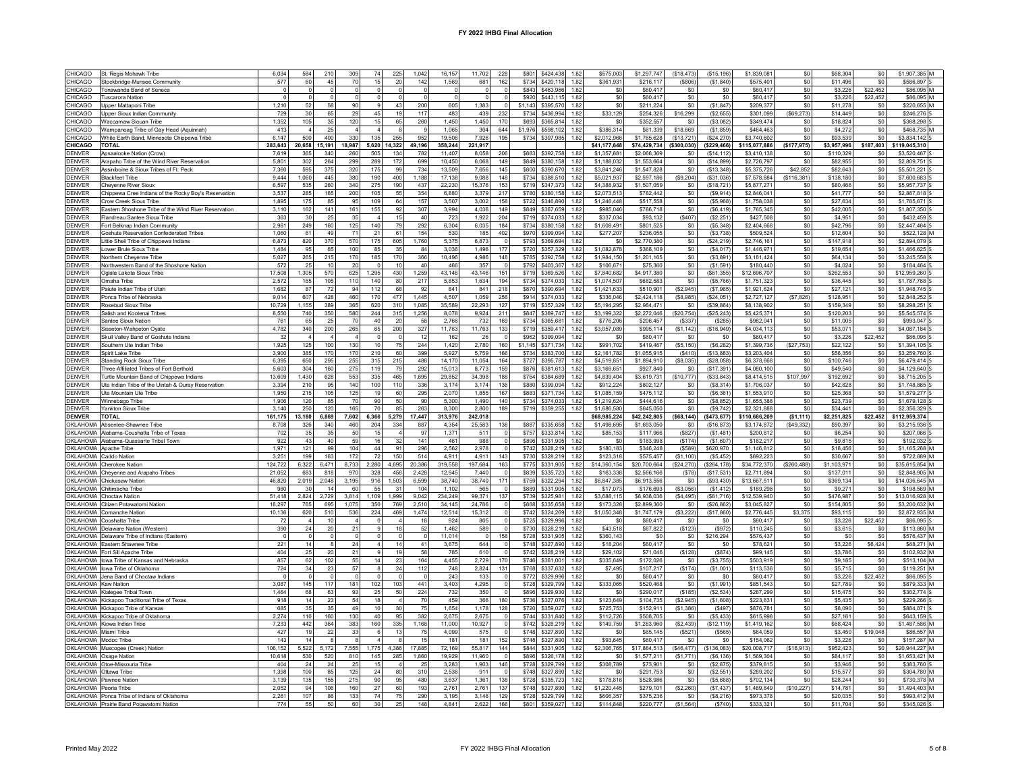| CHICAGO<br>St. Regis Mohawk Tribe                                                        | 6.034                  | 584            | 210          | 309                    | 74              | 225            | 1.042      | 16.157        | 11702          | 228                     | \$801   | \$424 438                               | 1.82 | \$575,003                  | \$1,297,747            | (S18, 473)        | (S15.196)               | \$1,839.08            | s٥          | \$68.304             |                | \$1,907,385 M              |
|------------------------------------------------------------------------------------------|------------------------|----------------|--------------|------------------------|-----------------|----------------|------------|---------------|----------------|-------------------------|---------|-----------------------------------------|------|----------------------------|------------------------|-------------------|-------------------------|-----------------------|-------------|----------------------|----------------|----------------------------|
| CHICAGO<br>Stockbridge-Munsee Community                                                  | 577                    | 60             | 45           | 70                     | 15              | 20             | 142        | 1.569         | 681            | 162                     |         | \$734 \$420.118 1.82                    |      | \$361.931                  | \$216.117              | (\$806)           | (S1.840)                | \$575.40              | \$0         | \$11,496             | \$0            | \$586,897 S                |
| CHICAGO<br>Tonawanda Band of Seneca                                                      |                        | $\Omega$       | $\Omega$     | $\Omega$               | $\Omega$        | $\Omega$       |            | $\circ$       | $\Omega$       | $\overline{\mathbf{0}}$ |         | \$843 \$463,966                         | 1.82 | \$0                        | \$60,417               | \$0               | \$0                     | \$60,417              | \$0         | \$3,226              | \$22.452       | \$86,095 M                 |
| CHICAGO<br><b>Tuscarora Nation</b>                                                       |                        | $\Omega$       | n            |                        |                 | $\sqrt{ }$     |            | $\Omega$      | $\Omega$       | $\Omega$                | \$920   | \$443.115                               | 1.82 | \$0                        | \$60.417               | \$0               | \$0                     | \$60.417              | \$0         | \$3.226              | \$22,452       | \$86,095 M                 |
| CHICAGO<br>Joper Mattaponi Tribe                                                         | 1,210                  | 52             | 58           | 90                     |                 | 43             | 200        | 605           | 1,383          | $\Omega$                | \$1.143 | \$395,570                               | 1.82 | \$0                        | \$211,224              | \$0               | (S1, 847)               | \$209.377             | \$0         | \$11.278             | \$0            | \$220,655 M                |
| CHICAGO<br>Upper Sioux Indian Community                                                  | 729                    | 30             | 65           | 29                     | 45              | 19             | 117        | 483           | 439            | 232                     | \$734   | \$436.994                               | 1.82 | \$33.129                   | \$254.326              | \$16,299          | (S2.655)                | \$301.099             | (\$69,273)  | \$14,449             | \$0            | \$246,276 S                |
| CHICAGO<br>Waccamaw Siouan Tribe                                                         | 1.35                   | 105            | 35           | 120                    | 15              | 65             | 260        | 1,450         | 1,450          | 170                     |         | \$693 \$365,814 1.82                    |      | \$ſ                        | \$352.557              | \$0               | (S3,082)                | \$349.474             | \$0         | \$18,824             | S <sub>0</sub> | \$368,298 S                |
| CHICAGO<br>Wampanoag Tribe of Gay Head (Aquinnah)                                        | 41                     |                | 25           |                        |                 |                |            | 1.065         | 304            | 644                     |         | \$1,976 \$598,102                       | 1.82 | \$386,314                  | \$61,339               | \$18,669          | (S1.859)                | \$464 463             | \$0         | \$4.272              | $\sin$         | \$468 735 M                |
| CHICAGO<br>White Earth Band, Minnesota Chippewa Tribe                                    | 6.14                   | 500            | 400          | 330                    | 135             | 255            | 952        | 19,506        | 7,926          | 195                     | \$734   | \$397,985                               | 1.82 | \$2,012,966                | \$1,765,628            | (\$13,721         | (\$24,270)              | \$3,740,602           | \$ſ         | \$93,539             | $\sin$         | \$3,834,142 S              |
| <b>CHICAGO</b><br><b>TOTAL</b>                                                           | 283,643                | 20,658         | 15,191       | 18,987                 | 5,620           | 14,322         | 49,196     | 358,244       | 221,917        |                         |         |                                         |      | \$41,177,648               | \$74,429,734           | (\$300,030)       | ( \$229,466)            | \$115,077,886         | (\$177,975) | \$3,957,996          | \$187,403      | \$119,045,310              |
| <b>DENVER</b>                                                                            |                        | 365            | 340          | 260                    | 505             | 134            | 782        | 11.407        | 8.058          | 206                     |         | \$883 \$392 758                         | 1.82 | \$1,357.88                 | \$2,066,369            | \$0               | (S14.112)               | \$3,410.138           |             | \$110,329            | \$0            | \$3,520,467                |
| Apsaalooke Nation (Crow)<br><b>DENVER</b><br>Arapaho Tribe of the Wind River Reservation | 7,619<br>5,80          | 302            | 264          | 299                    | 289             | 172            | 699        | 10,450        | 6.068          | 149                     |         | \$849 \$380,158                         | 1.82 | \$1,188,032                | \$1,553,664            | \$0               | (S14, 899)              | \$2,726,797           | \$C<br>\$0  | \$82,955             | \$0            | \$2,809,751                |
|                                                                                          |                        |                |              |                        |                 |                |            |               |                |                         |         |                                         |      |                            |                        |                   |                         |                       |             |                      |                |                            |
| <b>DENVER</b><br>Assiniboine & Sioux Tribes of Ft. Peck                                  | 7,360                  | 595            | 375          | 320                    | 175             | 99             | 734        | 13,509        | 7.656          | 145                     |         | \$800 \$390,670                         | 1.82 | \$3,841.24                 | \$1.547.828            | \$0               | (\$13,348)              | \$5,375,726           | \$42,852    | \$82,643             | \$0            | \$5.501.221                |
| <b>DENVER</b><br><b>Blackfeet Tribe</b>                                                  | 9,444                  | 1,060          | 445          | 380                    | 190             | 400            | 1,188      | 17,138        | 9.088          | 148                     |         | \$734 \$388,510                         | 1.82 | \$5,021.93                 | \$2,597,186            | (\$9,204)         | (\$31.036               | \$7,578,884           | (\$116,381  | \$138,180            | \$0            | \$7,600.683                |
| <b>DENVER</b><br>Cheyenne River Sioux                                                    | 6,597                  | 535            | 260          | 340                    | 275             | 190            | 437        | 22.230        | 15.376         | 153                     |         | \$719 \$347.373 1.82                    |      | \$4,388,932                | \$1,507.059            | SO.               | (\$18.721               | \$5,877.27            | \$0         | \$80,466             | \$0            | \$5,957,737 S              |
| <b>DENVER</b><br>Chippewa Cree Indians of the Rocky Boy's Reservation                    | 3,537                  | 285            | 165          | 200                    | 105             | 55             | 354        | 6,880         | 3,379          | 217                     |         | \$780 \$380,158 1.82                    |      | \$2,073,51                 | \$782,442              | \$0               | (\$9.914)               | \$2,846,04            | \$0         | \$41,777             | \$0            | \$2,887,818                |
| <b>DENVER</b><br>Crow Creek Sioux Tribe                                                  | 1.89                   | 175            | 85           | 95                     | 109             | 64             | 157        | 3,507         | 3,002          | 158                     |         | \$722 \$346,890 1.82                    |      | \$1,246,448                | \$517,558              | \$0               | ( \$5,968]              | \$1,758,038           | \$0         | \$27,634             | so             | \$1,785,671 S              |
| <b>DENVER</b><br>Eastern Shoshone Tribe of the Wind River Reservation                    | 3,11                   | 162            | 141          | 161                    | 155             | 92             | 307        | 3,994         | 4,036          | 149                     |         | \$849 \$367,659 1.82                    |      | \$985,046                  | \$786,718              | \$0               | (\$6,419                | \$1,765,345           | \$0         | \$42,005             | sol            | \$1,807,350 \$             |
| <b>DENVER</b><br>Flandreau Santee Sioux Tribe                                            | 36                     | 30             | 25           | 35                     |                 | 15             | 40         | 723           | 1,922          | 204                     |         | \$719 \$374.033                         | 1.82 | \$337,034                  | \$93,132               | (\$407)           | (\$2,251                | \$427,508             | \$0         | \$4.95               | \$0            | \$432,459                  |
| <b>DENVER</b><br>Fort Belknap Indian Community                                           | 2,981                  | 249            | 160          | 125                    | 140             | 79             | 292        | 6,304         | 6.035          | 184                     | \$734   | \$380.158                               | 1.82 | \$1,608,491                | \$801,525              | \$0               | (S5.348)                | \$2,404,668           | \$0         | \$42,796             | \$0            | \$2,447,464                |
| <b>DENVER</b><br>Goshute Reservation Confederated Tribes                                 | 1.06                   | 61             | 49           | 71                     | 21              | 61             | 154        | 530           | 185            | 402                     | \$970   | \$399.094                               | 1.82 | \$277.207                  | \$236,055              | \$0               | (S3.738)                | \$509.524             | \$0         | \$12,604             | \$0            | \$522.128 M                |
| <b>DENVER</b><br>Little Shell Tribe of Chippewa Indians                                  | 6,87                   | 820            | 370          | 570                    | 175             | 605            | 1,760      | 5,375         | 6,873          | $\Omega$                | \$793   | \$369.694                               | 1.82 | \$C                        | \$2,770,380            | \$0               | (\$24, 219)             | \$2,746,16            | \$0         | \$147.91             | \$0            | \$2.894.079 S              |
| <b>DENVER</b><br>Lower Brule Sioux Tribe                                                 | 1.484                  | 95             | 65           | 100                    | 85              | 35             | 84         | 3.036         | 1.496          | 177                     | \$720   | \$357,329                               | 1.82 | \$1,082,878                | \$368,109              | S0                | (S4.017)                | \$1,446.97            | \$0         | \$19,654             | \$0            | \$1,466,625                |
| <b>DENVER</b><br>Northern Chevenne Tribe                                                 | 5,02                   | 265            | 215          | 170                    | 185             | 170            | 366        | 10,496        | 4,986          | 148                     |         | \$785 \$392,758                         | 1.82 | \$1,984,150                | \$1,201,165            | \$0               | (S3, 891)               | \$3,181,424           | \$0         | \$64,134             | \$0            | \$3,245,558 \$             |
| <b>DENVER</b><br>Northwestern Band of the Shoshone Nation                                | 572                    | 25             | 10           | 20                     |                 | 10             | 40         | 466           | 357            | $\overline{\mathbf{0}}$ |         | \$792 \$403,367                         | 1.82 | \$106.67                   | \$75,360               | \$0               | (S1.591)                | \$180,440             | \$0         | \$4.024              | sol            | \$184,464                  |
| <b>DENVER</b><br>Oglala Lakota Sioux Tribe                                               | 17,508                 | 1,305          | 570          | 625                    | 1,295           | 430            | 1,259      | 43,146        | 43.146         | 151                     |         | \$719 \$369.526                         | 1.82 | \$7,840,682                | \$4,917,380            | \$0               | ( \$61, 355)            | \$12,696,707          | \$0         | \$262,553            | \$0            | \$12,959,260               |
| <b>DENVER</b><br>Omaha Tribe                                                             | 2.573                  | 165            | 105          | 110                    | 140             | 80             | 217        | 5.853         | 1.634          | 194                     |         | \$734 \$374 033                         | 1.82 | \$1,074.50                 | \$682,583              | \$0               | (S5.766)                | \$1,751,323           | \$0         | \$36 445             | s <sub>0</sub> | \$1,787,768                |
| <b>DENVER</b><br>Paiute Indian Tribe of Utah                                             | 1,682                  | 87             | 72           | 94                     | 112             | 68             | 92         | 841           | 841            | 218                     | \$870   | \$390,694                               | 1.82 | \$1,421.63                 | \$510,901              | (\$2,945)         | (\$7.965                | \$1,921,624           | \$0         | \$27,121             | \$0            | \$1,948,745                |
| <b>DENVER</b><br>Ponca Tribe of Nebraska                                                 | 9,014                  | 607            | 428          | 460                    | 170             | 477            | 1,445      | 4,507         | 1,059          | 256                     |         | \$914 \$374,033                         | 1.82 | \$336,046                  | \$2,424,118            | (\$8,985)         | (\$24,051               | \$2,727,127           | (\$7,826)   | \$128,951            | \$0            | \$2,848,252 \$             |
| Rosebud Sioux Tribe                                                                      |                        | 1.155          | 389          | 365                    |                 | 310            | 1.085      | 35.589        | 22.293         | 127                     |         | \$719 \$357,329                         | 1.82 |                            | \$2.984.47             |                   |                         | \$8,138,902           | \$0         | \$159,349            | \$0            | \$8,298,251 9              |
| DENVER<br><b>DENVER</b>                                                                  | 10,729<br>8.550        | 740            | 350          | 580                    | 620<br>244      | 315            | 1.256      | 8,078         | 9.924          | 211                     |         | \$847 \$369,747 1.82                    |      | \$5,194,295<br>\$3,199,322 | \$2,272.046            | \$0<br>(\$20.754) | (\$39,864)<br>(\$25.243 | \$5,425,37            | \$0         | \$120,203            | \$0            | \$5,545,574                |
| Salish and Kootenai Tribes<br>Santee Sioux Nation                                        | 76                     | 65             | 25           | 70                     | 40              |                | 58         |               | 732            | 169                     |         |                                         |      |                            |                        |                   |                         |                       | \$0         |                      | sol            | \$993,047 S                |
| <b>DENVER</b>                                                                            |                        |                |              |                        |                 | 20             |            | 2,766         |                |                         |         | \$734 \$365,681 1.82                    |      | \$776,206                  | \$206,457              | (S337)            | (\$285)                 | \$982,041             |             | \$11,005             |                |                            |
| <b>DENVER</b><br>Sisseton-Wahpeton Ovate                                                 | 4,782                  | 340            | 200          | 265                    | 65              | 200            | 327        | 11,763        | 11,763         | 133                     |         | \$719 \$359,417                         | 1.82 | \$3,057,089                | \$995.114              | (S1.142)          | (\$16.949)              | \$4,034,113           | \$0         | \$53,071             | sol            | \$4,087,184 S              |
| <b>DENVER</b><br>Skull Valley Band of Goshute Indians                                    | 3 <sub>1</sub>         | $\Delta$       |              | $\boldsymbol{\Lambda}$ |                 | $\Omega$       | 12         | 162           | 26             | $\overline{\mathbf{0}}$ | \$962   | \$399.094                               | 1.82 | <b>SC</b>                  | \$60,417               | \$0               | \$0                     | \$60,417              | \$0         | \$3,226              | \$22,452       | \$86,095                   |
| <b>DENVER</b><br>Southern Ute Indian Tribe                                               | 1.92                   | 125            | 100          | 130                    | 10              | 75             | 244        | 1,420         | 2.780          | 160                     | \$1,145 | \$371.734                               | 1.82 | \$991,702                  | \$419,467              | (\$5, 150)        | (S6.282)                | \$1,399,736           | (S27.753)   | \$22.12              | \$0            | \$1,394.105                |
| <b>DENVER</b><br>Spirit Lake Tribe                                                       | 3,900                  | 385            | 170          | 170                    | 210             | 60             | 399        | 5,927         | 5.759          | 166                     | \$734   | \$383,700                               | 1.82 | \$2,161,782                | \$1,055,915            | ( \$410)          | (\$13,883]              | \$3,203,404           | \$0         | \$56,356             | \$0            | \$3,259,760                |
| <b>DENVER</b><br><b>Standing Rock Sioux Tribe</b>                                        | 6.39                   | 650            | 295          | 255                    | 315             | 215            | 488        | 14.170        | 11.054         | 164                     | \$727   | \$395,787                               | 1.82 | \$4,519.85                 | \$1,894.910            | (\$8,035)         | (\$28,058)              | \$6,378,668           | \$0         | \$100.746            | \$0            | \$6,479.414                |
| <b>DENVER</b><br>Three Affiliated Tribes of Fort Berthold                                | 5.60                   | 304            | 160          | 275                    | 119             | 79             | 292        | 15.013        | 8.773          | 159                     | \$876   | \$381,613                               | 1.82 | \$3,169.65                 | \$927,840              | SO.               | (\$17,391)              | \$4,080,100           | \$0         | \$49,540             | \$0            | \$4.129.640                |
| <b>DENVER</b><br>Turtle Mountain Band of Chippewa Indians                                | 13.609                 | 1430           | 628          | 553                    | 335             | 465            | 1.895      | 29,852        | 34.398         | 188                     | \$764   | \$384,689                               | 1.82 | \$4,839,404                | \$3,619,731            | (\$10,777)        | ( \$33.843              | \$8,414,515           | \$107.997   | \$192,692            | sn             | \$8,715,205                |
| <b>DENVER</b><br>Ute Indian Tribe of the Uintah & Ouray Reservation                      | 3.39                   | 210            | 95           | 140                    | 100             | 110            | 336        | 3.174         | 3.174          | 136                     | \$880   | \$399.094                               | 1.82 | \$912.224                  | \$802.127              | \$0               | (S8.314)                | \$1,706.03            | \$0         | \$42,828             | \$0            | \$1,748,865                |
| <b>DENVER</b><br>Ute Mountain Ute Tribe                                                  | 1,950                  | 215            | 105          | 125                    | 19              | 60             | 295        | 2,070         | 1,855          | 167                     |         | \$883 \$371,734                         | 1.82 | \$1,085,159                | \$475,112              | \$0               | (\$6,361                | \$1,553,910           | \$0         | \$25,368             | sol            | \$1,579,277 \$             |
| <b>DENVER</b><br>Winnebago Tribe                                                         | 1,906                  | 120            | 85           | 70                     | 90              | 50             | 90         | 5,300         | 1,490          | 140                     |         | \$734 \$374,033                         | 1.82 | \$1,219,624                | \$444,616              | \$0               | (S8, 852)               | \$1,655,388           | \$0         | \$23,73              | \$0            | \$1,679,128                |
| <b>DENVER</b><br>Yankton Sioux Tribe                                                     | 3,14                   | 250            | 120          | 165                    | 70              | 85             | 263        | 8,300         | 2,800          | 189                     | \$719   | \$359.255                               | 1.82 | \$1,686,580                | \$645,050              | \$0               | (S9.742)                | \$2,321,888           | \$0         | \$34,441             | \$0            | \$2,356,329                |
| <b>DENVER</b><br><b>TOTAL</b>                                                            | 161,175                | 13,180         | 6,869        | 7,602                  | 6,366           | 5.279          | 17.447     | 313.976       | 242.018        |                         |         |                                         |      | \$68,985,224               | \$42.242.805           | (S68.144)         | (S473.677)              | \$110.686.209         | (\$1,111)   | \$2.251.825          | \$22.452       | \$112.959.374              |
| OKLAHOMA<br>Absentee-Shawnee Tribe                                                       | 8,70                   | 326            | 340          | 460                    | 204             | 334            | 887        | 4,354         | 25,583         | 138                     | \$887   | \$335,658                               | 1.82 | \$1,498,695                | \$1,693,050            | \$0               | (\$16, 873              | \$3,174,872           | (\$49,332   | \$90,39              | \$0            | \$3,215,936                |
| OKI AHOMA Alabama-Coushatta Tribe of Texas                                               | 702                    | 35             | 35           | 50                     | 15              | $\Delta$       | 97         | 1.371         | 511            | $\Omega$                |         | \$757 \$333 814 1.82                    |      | \$85.153                   | \$117,966              | (S827)            | (S1.481)                | \$200,812             | \$0         | \$6,254              | \$0            | \$207,066                  |
| OKLAHOMA Alabama-Quassarte Tribal Town                                                   | 922                    | 43             | 40           | 59                     | 16              | 32             | 141        | 461           | 988            | $\Omega$                | 3896    | \$331,905                               | 1.82 | \$0                        | \$183,998              | (S174)            | (S1, 607)               | \$182,217             | \$0         | \$9,815              | $\sin$         | \$192,032 S                |
| OKLAHOMA Apache Tribe                                                                    | 1,971                  | 121            | 99           | 104                    | 44              | 91             | 296        | 2,562         | 2,978          | $\overline{\mathbf{0}}$ |         | \$742 \$328,219                         | 1.82 | \$180,183                  | \$346,248              | ( \$589)          | \$620,970               | \$1,146,812           | \$0         | \$18,456             | \$0            | \$1,165,268 M              |
| OKLAHOMA Caddo Nation                                                                    | 3,25                   | 199            | 163          | 172                    | 72              | 150            | 514        | 4.911         | 4.911          | 143                     |         | \$730 \$328,219                         | 1.82 | \$123,318                  | \$575.457              | (\$1,100)         | (\$5,452                | \$692,223             | \$0         | \$30.66              | \$0            | \$722,889 M                |
| OKI AHOMA Cherokee Nation                                                                | 124.722                | 6.322          | 6.471        | 8.733                  | 2.280           | 4 695          | 20.386     | 319.558       | 197.684        | 163                     |         | \$775 \$331 905                         | 1.82 | \$14,360,154               | \$20,700,664           | (S24.270)         | (S264.178)              | \$34,772,370          | (S260.488)  | \$1.103.97           | \$0            | \$35.615.854 M             |
| OKLAHOMA<br>Cheyenne and Arapaho Tribes                                                  | 21.05                  | 683            | 818          | 970                    | 328             | 456            | 2,428      | 12,945        | 7.440          | $\overline{0}$          | \$839   | \$335,723                               | 1.82 | \$163,338                  | \$2,566,166            | ( \$78)           | (\$17,531               | \$2,711,894           | \$0         | \$137.01             | \$0            | \$2.848.905 M              |
| OKLAHOMA<br>Chickasaw Nation                                                             | 46.82                  | 2.019          | 2.048        | 3.195                  | 916             | 1.503          | 6.59       | 38.740        | 38.740         | 171                     | \$759   | \$322.294                               | 1.82 | \$6,847.38                 | \$6.913.556            | \$0               | (S93.430)               | \$13,667.51           | \$0         | \$369.134            | \$0            | \$14.036.645 M             |
| OKLAHOMA<br>Chitimacha Tribe                                                             | 98                     | 30             | 14           | 60                     | 55              | 31             | 104        | 1,102         | 565            | $\overline{\mathbf{0}}$ | \$889   | \$331.905                               | 1.82 | \$17,073                   | \$176,693              | (\$3,056)         | (S1, 412)               | \$189,298             | \$0         | \$9,271              | \$0            | \$198,569 M                |
| OKLAHOMA Choctaw Nation                                                                  | 51.41                  | 2.824          | 2.729        | 3.814                  | 1,109           | 1.999          | 9.042      | 234.249       | 99.371         | 137                     |         | \$739 \$325,981 1.82                    |      | \$3,688,115                | \$8,938,036            | (\$4,495)         | (\$81.716)              | \$12,539,940          | \$0         | \$476.987            | sol            | \$13.016.928 M             |
| OKLAHOMA Citizen Potawatomi Nation                                                       | 18,297                 | 765            | 695          | 1,075                  | 350             | 769            | 2,510      | 34.145        | 24.786         |                         | \$888   | \$335,658                               | 1.82 | \$173,328                  | \$2,899,360            | \$0               | (\$26,862)              | \$3,045,827           | \$0         | \$154,805            | $\sin$         | \$3,200,632 M              |
| OKLAHOMA Comanche Nation                                                                 | 10.136                 | 620            | 510          | 536                    | 224             | 469            | 1.474      | 12.514        | 15.312         | $\overline{0}$          |         | \$742 \$324.269                         | 1.82 | \$1.050.348                | \$1,747,179            | (\$3,222)         | (S17.860)               | \$2,776,445           | \$3,375     | \$93.115             | \$0            | \$2.872.935 M              |
| OKLAHOMA Coushatta Tribe                                                                 | -72                    | $\overline{4}$ | 10           | $\overline{a}$         |                 | $\overline{4}$ | 18         | 924           | 805            | $\overline{\mathbf{0}}$ |         | \$725 \$329,996                         | 1.82 | -SC                        | \$60,417               | SO.               | \$0                     | \$60,417              | \$0         | \$3,226              | \$22,452       | \$86,095 S                 |
| OKLAHOMA Delaware Nation (Western)                                                       | 390                    | 24             | 20           | 21                     |                 | 18             | 52         | 1.462         | 589            | $\Omega$                |         | \$730 \$328.219                         | 1.82 | \$43.518                   | \$67,822               | (\$123)           | (\$972)                 | \$110.245             | \$0         | \$3.615              | \$0            | \$113,860 M                |
|                                                                                          |                        |                |              |                        |                 | $\Omega$       |            |               |                |                         |         |                                         |      |                            |                        |                   |                         |                       |             | \$0                  |                |                            |
| OKLAHOMA Delaware Tribe of Indians (Eastern)                                             |                        |                |              |                        |                 |                |            | 11,014        |                | 158                     | \$728   | \$331,905                               | 1.82 | \$360,143                  | \$0                    | \$0               | \$216,294               | \$576,437             | \$0         |                      | \$0            | \$576,437 M                |
| OKLAHOMA Eastern Shawnee Tribe                                                           | 221<br>40 <sub>4</sub> | 14             |              | 24<br>21               |                 | 14             | 41         | 3,675<br>785  | 644<br>610     | $\circ$<br>$\Omega$     |         | \$748 \$327,890                         | 1.82 | \$18,204                   | \$60,417               | \$0               | \$0                     | \$78,62               | \$0         | \$3,226<br>\$3,786   | \$6,424<br>\$0 | \$88,271 M                 |
| OKLAHOMA Fort Sill Apache Tribe                                                          |                        | 25             | 20           | 55                     | 14              | 19             | 58         |               |                |                         |         | \$742 \$328,219                         | 1.82 | \$29,102                   | \$71,046               | (S128)            | (S874)                  | \$99,145              | \$0         |                      |                | \$102,932 M                |
| OKLAHOMA lowa Tribe of Kansas and Nebraska                                               | 857                    | 62             | 102          |                        |                 | 23             | 164        | 4,455         | 2,729          | 170                     |         | \$746 \$361,001                         | 1.82 | \$335,649                  | \$172,026              | \$0               | (S3, 755)               | \$503,919             | \$0         | \$9,185              | \$0            | \$513,104 M                |
| OKLAHOMA Ilowa Tribe of Oklahoma                                                         | 724                    | 34             | 23           | 57                     |                 | 24             | 112        | 748           | 2.824          | 131                     |         | \$768 \$337,632 1.82                    |      | \$7,495                    | \$107.217              | (S174)            | (\$1,001)               | \$113.536             | \$0         | \$5,715              | \$0            | \$119.251 M                |
| OKLAHOMA Jena Band of Choctaw Indians                                                    |                        | $\sqrt{2}$     |              | $\Omega$               |                 | $\sqrt{ }$     |            | 243           | 133            | $\overline{\mathbf{0}}$ |         | \$772 \$329,996                         | 1.82 | -SC                        | \$60,417               | \$0               | \$0                     | \$60,417              | \$0         | \$3,226              | \$22,452       | \$86,095 S                 |
| OKI AHOMA Kaw Nation                                                                     | 3.087                  | 145            | 117          | 181                    | 102             | 103            | 441        | 3.403         | 4 2 9 5        | $\overline{0}$          |         | \$728 \$329 799                         | 1.82 | \$333,065                  | \$520,468              | \$0               | (S1.991)                | \$851.543             | \$0         | \$27,789             | -SO            | \$879,333 M                |
| OKLAHOMA Kialegee Tribal Town                                                            | 1,464                  | 68             | 63           | 93                     | 25              | 50             | 224        | 732           | 350            | $\overline{0}$          | \$896   | \$329,930                               | 1.82 | \$C                        | \$290,017              | ( \$185)          | (S2, 534)               | \$287,299             | \$0         | \$15,475             | \$0            | \$302,774 S                |
| OKLAHOMA Kickapoo Traditional Tribe of Texas                                             | 918                    | 14             | 23           | 54                     | 18              |                | 70         | 459           | 366            | 180                     | \$736   | \$327.076                               | 1.82 | \$123,649                  | \$104,735              | (\$2,945)         | (\$1,608)               | \$223.83              | \$0         | \$5.43               | \$0            | \$229,266 S                |
| OKLAHOMA Kickapoo Tribe of Kansas                                                        | 68                     | 35             | 35           | 49                     | 10              | 30             | 75         | 1.654         | 1,178          | 128                     | \$720   | \$359,027                               | 1.82 | \$725,753                  | \$152.911              | (\$1,386)         | (\$497                  | \$876.78              | \$0         | \$8,090              | \$0            | \$884,871 S                |
| OKLAHOMA Kickapoo Tribe of Oklahoma                                                      | 2.274                  | 110            | 160          | 130                    | 40              | 95             | 382        | 2,675         | 2.675          | $\Omega$                |         | \$744 \$331,840                         | 1.82 | \$112,726                  | \$508,705              | \$0               | (S5.433)                | \$615,998             | \$0         | \$27,161             | \$0            | \$643.159                  |
| OKLAHOMA Kiowa Indian Tribe                                                              | 7.23                   | 442            | 364          | 383                    | 160             | 335            | 1,168      | 11.000        | 10.927         | $\Omega$                | \$742   | \$328,219                               | 1.82 | \$149,759                  | \$1,283,960            | (S2.439)          | (S12.119)               | \$1,419,162           | \$0         | \$68,424             | sol            | \$1,487,586 M              |
| OKLAHOMA Miami Tribe                                                                     | 427                    | 19             | 22           | 33                     | 6               | 13             | 75         | 4.099         | 575            | $\overline{\mathbf{0}}$ |         | \$748 \$327,890                         | 1.82 | <b>SC</b>                  | \$65,145               | (S521)            | (\$565)                 | \$64,059              | \$0         | \$3,450              | \$19,048       | \$86,557 M                 |
| OKLAHOMA Modoc Tribe                                                                     | 14 <sup>°</sup>        | 14             | $\mathbf{g}$ | 8                      | $\overline{4}$  | -8             | 15         | 181           | 181            | 152                     |         | \$748 \$327,890                         | 1.82 | \$93,645                   | \$60,417               | \$0               | \$0                     | \$154,062             | \$0         | \$3,226              | S <sub>0</sub> | \$157,287 M                |
| OKLAHOMA Muscogee (Creek) Nation                                                         | 106,152                | 5.522          | 5.172        | 7.555                  | 1.775           | 4.386          | 17,885     | 72.169        | 55.817         | 144                     |         | \$844 \$331,905                         | 1.82 | \$2,306,765                | \$17,884.513           | (\$46.477)        | (S136.083)              | \$20,008,717          | (S16.913)   | \$952.423            | sol            | \$20.944.227 M             |
| OKLAHOMA Osage Nation                                                                    | 10,618                 | 530            | 520          | 810                    | 145             | 285            | 1,860      | 19,929        | 11.960         |                         | \$896   | \$326,178                               | 1.82 | \$0                        | \$1,577,211            | (S1.771)          | (S6, 136)               | \$1,569,304           | \$0         | \$84,117             | \$0            | \$1,653,421 M              |
| OKLAHOMA Otoe-Missouria Tribe                                                            | 40 <sub>4</sub>        | 24             | 24           | 25                     | 15              | $\overline{4}$ | 25         | 3.283         | 1.903          | 146                     | \$728   | \$329,799                               | 1.82 | \$308,789                  | \$73,901               | \$0               | (S2.875)                | \$379.815             | \$0         | \$3,946              | \$0            | \$383,760 S                |
| <b>OKLAHOMA</b> Ottawa Tribe                                                             | 1,398                  | 100            | 85           | 125                    | 24              | 80             | 310        | 2,536         | 911            | $\circ$                 |         | \$748 \$327,890                         | 1.82 | -SC                        | \$291,753              | \$0               | (S2, 551)               | \$289,202             | \$0         | \$15.57              | S <sub>0</sub> | \$304,780 M                |
| OKI AHOMA Pawnee Nation                                                                  |                        |                | 155          | 215                    | 90 <sup>1</sup> | 95             | 480        | 3.637         | 1.361          | 138                     |         | \$728 \$335 723                         | 1.82 | \$178,816                  | \$528,986              | \$0               | (S5.668)                | \$702.134             | \$0         | \$28,244             | $\sin$         | \$730.378 M                |
|                                                                                          | 3.139                  | 135            |              |                        |                 |                |            |               |                |                         |         |                                         |      |                            |                        |                   |                         |                       |             |                      |                |                            |
|                                                                                          |                        | 94             |              | 160                    |                 |                |            |               | 2.761          | 137                     | \$748   |                                         | 1.82 |                            |                        |                   |                         |                       |             |                      | $\sin$         |                            |
| OKLAHOMA Peoria Tribe                                                                    | 2,052                  |                | 106          |                        | 27              | 60             | 193        | 2,761         |                |                         |         | \$327,890                               |      | \$1,220,445                | \$279,101              | (\$2,260)         | (S7, 437)               | \$1,489,849           | (\$10,227)  | \$14,781             |                | \$1,494,403 M              |
| OKLAHOMA Ponca Tribe of Indians of Oklahoma<br>OKLAHOMA Prairie Band Potawatomi Nation   | 2,26<br>774            | 107<br>55      | 86<br>50     | 133<br>60              | 74<br>30        | 75<br>25       | 290<br>148 | 3,195<br>4841 | 3.146<br>2.622 | 129<br>166              |         | \$728 \$329,799 1.82<br>\$801 \$359.027 | 1.82 | \$606,357<br>\$114,848     | \$375,236<br>\$220,777 | \$0<br>(S1.564)   | (S8, 216)<br>(S740)     | \$973,378<br>\$333.32 | \$0<br>\$0  | \$20,035<br>\$11,704 | \$0<br>sol     | \$993,412 M<br>\$345,026 S |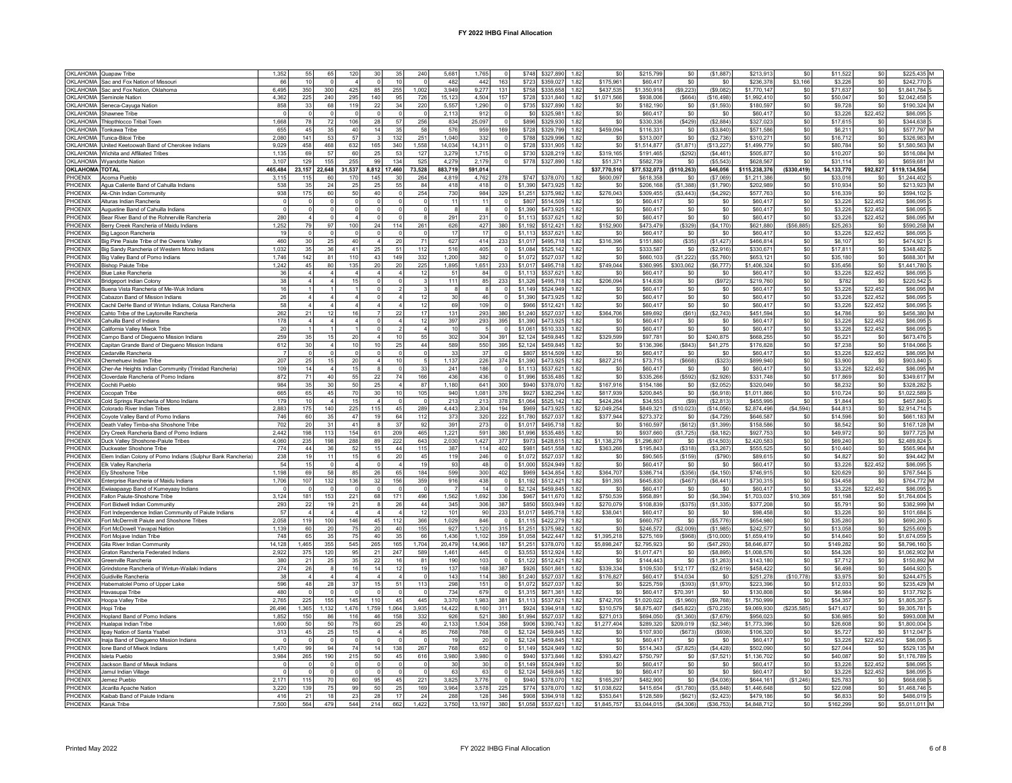|                       | OKLAHOMA Quapaw Tribe                                                                             | 1,352           | 55                   | 65           | 120             | 30                      | 35                           | 240          | 5,681             | 1.765<br>$\overline{0}$         |                    | \$748 \$327,890        | 1.82         | \$0                        | \$215,799                  | \$0                     | (\$1.887               | \$213,913                  | \$0               | \$11,522              | \$0             | \$225.435 M                  |  |
|-----------------------|---------------------------------------------------------------------------------------------------|-----------------|----------------------|--------------|-----------------|-------------------------|------------------------------|--------------|-------------------|---------------------------------|--------------------|------------------------|--------------|----------------------------|----------------------------|-------------------------|------------------------|----------------------------|-------------------|-----------------------|-----------------|------------------------------|--|
|                       | OKLAHOMA Sac and Fox Nation of Missouri                                                           | 66              | 10                   |              |                 | $\Omega$                | 10                           |              | 482               | 442<br>163                      | \$723              | \$359,027              | 1.82         | \$175.961                  | \$60,417                   | \$0                     | \$0                    | \$236,378                  | \$3,166           | \$3,226               | \$0             | \$242,770                    |  |
|                       | OKLAHOMA Sac and Fox Nation, Oklahoma                                                             | 6,495           | 350                  | 300          | 425             | 85                      | 255                          | 1,002        | 3,949             | 9,277<br>131                    |                    | \$758 \$335,658        | 1.82         | \$437,535                  | \$1,350,918                | (S9.223)                | (\$9.082)              | \$1,770,147                | \$0               | \$71,637              | \$0             | \$1,841,784                  |  |
|                       | OKI AHOMA Seminole Nation                                                                         | 4.362           | 225                  | 240          | 295             | 140                     | 95                           | 726          | 15.123            | 4.504<br>157                    |                    | \$728 \$331 840 182    |              | \$1,071,566                | \$938,006                  | (S664)                  | (S16.498)              | \$1,992,410                | \$0               | \$50,047              | \$0             | \$2,042,458                  |  |
| <b>OKLAHOMA</b>       | Seneca-Cayuga Nation                                                                              | 858             | 33                   | 68           | 119             | 22                      | 34                           | 220          | 5.55              | 1.290                           | \$735              | \$327,890              | 1.82         | S0                         | \$182.190                  | \$0                     | (S1.593)               | \$180,597                  | \$0               | \$9,728               | \$0             | \$190.324 M                  |  |
|                       | OKLAHOMA Shawnee Tribe                                                                            |                 |                      |              |                 |                         |                              |              | 2.11              | 912                             | \$0                | \$325,981              | 1.82         | $\$0$                      | \$60,417                   | $\$0$                   | \$0                    | \$60,417                   | \$0               | \$3,226               | \$22,452        | \$86,095                     |  |
| <b>OKLAHOMA</b>       | Thlopthlocco Tribal Town                                                                          | 1.668           | 78                   | 72           | 106             | 28                      | 57                           | 256          | 834               | 25.097<br>$\Omega$              | \$896              | \$329,930              | 1.82         | \$0                        | \$330.336                  | (\$429)                 | (S2.884)               | \$327,023                  | \$0               | \$17,615              | \$0             | \$344.638                    |  |
| <b>OKLAHOMA</b>       | Tonkawa Tribe                                                                                     | 655             | 45                   | 35           | 40              | 14                      | 35                           | 58           | 576               | 169<br>959                      | \$728              | \$329,799              | 1.82         | \$459,094                  | \$116.33                   | \$0                     | (S3.840)               | \$571.586                  | \$0               | \$6,211               | \$0             | \$577.797 M                  |  |
| OKLAHOMA              | Tunica-Biloxi Tribe                                                                               | 2,080           | 141                  | 53           | 57              | $\overline{\mathbf{3}}$ | 132                          | 251          | 1,040             | 332                             | \$788              | \$329,996              | 1.82         | \$0                        | \$313,007                  | \$0                     | (S2, 736)              | \$310,27                   | \$O               | \$16,712              | \$0             | \$326,983 M                  |  |
| OKLAHOMA              | United Keetoowah Band of Cherokee Indians                                                         | 9,029           | 458                  | 468          | 632             | 165                     | 340                          | 1.558        | 14,034            | 14.311<br>$\overline{0}$        | \$728              | \$331,905              | 1.82         | \$0                        | \$1,514,877                | (\$1,871)               | (S13, 227)             | \$1,499,77                 | \$0               | \$80,784              | \$0             | \$1,580,563 M                |  |
|                       | OKLAHOMA Wichita and Affiliated Tribes                                                            | 1.135           | 69                   | 57           | 60              | 25                      | 53                           | 127          | 3.275             | 1.715<br>$\Omega$               | \$730              | \$328,219              | 1.82         | \$319.165                  | \$191.46                   | (\$292                  | (S4.461)               | \$505.87                   | \$0               | \$10,207              | \$0             | \$516,084 M                  |  |
|                       | OKLAHOMA Wyandotte Nation                                                                         | 3,107           | 129                  | 155          | 255             | 99                      | 134                          | 525          | 4,279             | 2,179<br>$\circ$                | \$778              | \$327,890              | 1.82         | \$51,371                   | \$582,739                  | \$0                     | (\$5,543               | \$628,567                  | \$0               | \$31,114              | \$0             | \$659,681 M                  |  |
| <b>OKLAHOMA TOTAL</b> |                                                                                                   | 465.484         | 23.157               | 22.648       | 31.537          |                         | 17.460                       | 73.528       | 883.719           | 591.014                         |                    |                        |              | \$37.770.510               | \$77.532.073               | (\$110.263)             | \$46.056               | \$115.238.376              | ( \$330.419)      | \$4.133.770           | \$92.827        | \$119.134.554                |  |
|                       |                                                                                                   |                 |                      |              |                 | 8,812                   |                              |              |                   |                                 |                    |                        |              |                            |                            |                         |                        |                            |                   |                       |                 |                              |  |
| PHOENIX<br>PHOFNIX    | Acoma Pueblo                                                                                      | 3,115<br>538    | 115<br>35            | 60<br>24     | 170<br>25       | 145<br>25               | 30<br>55                     | 264<br>84    | 4,81<br>418       | 4,762<br>278<br>418<br>$\Omega$ | \$747<br>\$1,390   | \$378,070<br>\$473,925 | 1.82<br>1.82 | \$600,097                  | \$618,358<br>\$206,168     | \$0<br>(S1.388)         | (\$7,069<br>(S1.790)   | \$1,211,386<br>\$202,989   | \$0<br>\$0        | \$33,016<br>\$10,934  | \$0<br>\$0      | \$1,244,402 S<br>\$213.923 M |  |
|                       | Agua Caliente Band of Cahuilla Indians                                                            |                 |                      |              |                 |                         |                              |              |                   |                                 |                    |                        |              | \$0                        |                            |                         |                        |                            |                   |                       |                 |                              |  |
| PHOFNIX               | Ak-Chin Indian Community                                                                          | 938             | 175                  | 60           | 50 <sub>1</sub> | 40                      |                              | 254          | 730               | 984<br>329                      | \$1.251            | \$375,982              | 1.82         | \$276,043                  | \$309,455                  | (\$3,443)               | (S4, 292)              | \$577,763                  | \$0               | \$16,339              | \$0             | \$594,102 S                  |  |
| PHOENIX               | Alturas Indian Rancheria                                                                          | $\mathbf 0$     | $\mathbf 0$          |              | $\mathbf 0$     | $\circ$                 |                              | $\mathbf 0$  | 11                | 11<br>$\circ$                   | \$807              | \$514,509              | 1.82         | \$0                        | \$60,417                   | \$0                     | \$0                    | \$60.41                    | \$0               | \$3.226               | \$22.452        | \$86,095                     |  |
| PHOFNIX               | Augustine Band of Cahuilla Indians                                                                | $\Omega$        | $\overline{0}$       | n            | $\Omega$        | $\Omega$                |                              | $^{\circ}$   | -8                | 8<br>$\Omega$                   | \$1,390            | \$473,925              | 1.82         | \$0                        | \$60.417                   | \$0                     | \$0                    | \$60.41                    | \$0               | \$3,226               | \$22.452        | \$86,095.5                   |  |
| PHOENIX               | Bear River Band of the Rohnerville Rancheria                                                      | 280             | $\overline{4}$       |              | $\Delta$        | $\Omega$                |                              |              | 291               | 231<br>$\Omega$                 | \$1.113            | \$537,621              | 1.82         | \$0                        | \$60,417                   | \$0                     | \$0                    | \$60,417                   | \$0               | \$3.226               | \$22,452        | \$86,095 M                   |  |
| PHOENIX               | Berry Creek Rancheria of Maidu Indians                                                            | 1,252           | 79                   | 97           | 100             | 24                      | 114                          | 261          | 626               | 427<br>380                      | \$1,192            | \$512,421              | 1.82         | \$152,900                  | \$473,479                  | $($ \$329)              | (\$4, 170              | \$621,880                  | (\$56,885)        | \$25,263              | \$0             | \$590.258 M                  |  |
| PHOENIX               | Big Lagoon Rancheria                                                                              | 19              | $\overline{0}$       | $\Omega$     | $\Omega$        | $\Omega$                |                              | $\Omega$     | 17                | 17<br>$\mathbf 0$               | \$1,113            | \$537,621              | 1.82         | \$0                        | \$60,41                    | \$0                     | \$0                    | \$60.41                    | \$0               | \$3,226               | \$22,452        | \$86,095                     |  |
| PHOFNIX               | Big Pine Paiute Tribe of the Owens Valley                                                         | 460             | 30                   | 25           | 40              | $\Delta$                | 20                           | 71           | 627               | 414<br>233                      | \$1,017            | \$495,718              | 1.82         | \$316,396                  | \$151,880                  | (\$35)                  | (\$1,427               | \$466,814                  | \$0               | \$8.107               | \$0             | \$474.921                    |  |
| PHOFNIX               | Big Sandy Rancheria of Western Mono Indians                                                       | 1.032           | 35                   | 36           | 41              | 25                      | 51                           | 112          | 516               | 405<br>$\Omega$                 | \$1,084            | \$525.142              | 1.82         | \$0                        | \$333.587                  | \$0                     | (\$2,916)              | \$330,67                   | \$0               | \$17,811              | \$0             | \$348,482                    |  |
| PHOENIX               | Big Valley Band of Pomo Indians                                                                   | 1.746           | 142                  | 81           | 110             | 43                      | 149                          | 332          | 1,200             | 382<br>$\mathbf 0$              | \$1,072            | \$527.037              | 1.82         | \$0                        | \$660,103                  | (S1.222)                | (S5.760)               | \$653.12                   | \$0               | \$35,180              | \$0             | \$688,301 M                  |  |
| PHOENIX               | <b>Bishop Paiute Tribe</b>                                                                        | 1,242           | 45                   | 80           | 135             | 20                      | 20                           | 225          | 1,895             | 1.651<br>233                    | \$1,017            | \$495,718              | 1.82         | \$749.044                  | \$360.995                  | \$303,062               | (\$6,777)              | \$1,406,324                | \$0               | \$35,456              | \$0             | \$1,441.780                  |  |
| PHOENIX               | Blue Lake Rancheria                                                                               | 36              | 4                    |              |                 |                         |                              | 12           | 51                | 84<br>$\circ$                   | \$1,113            | \$537,621              | 1.82         | \$0                        | \$60,41                    | \$0                     | \$0                    | \$60.41                    | \$0               | \$3,226               | \$22,452        | \$86,095                     |  |
| PHOENIX               | Bridgeport Indian Colony                                                                          | 38              |                      |              | 15              |                         |                              |              | 111               | 85<br>233                       | \$1,326            | \$495.718              | 1.82         | \$206.094                  | \$14,63                    | \$0                     | (\$972)                | \$219.76                   | \$0               | \$782                 | \$0             | \$220.542                    |  |
| PHOENIX               | Buena Vista Rancheria of Me-Wuk Indians                                                           | 16              |                      |              |                 | $\Omega$                |                              |              |                   | $\overline{0}$<br>8             | \$1,149            | \$524,949              | 1.82         | \$0                        | \$60,417                   | \$0                     | \$0                    | \$60,41                    | \$0               | \$3,226               | \$22,452        | \$86,095 M                   |  |
| PHOFNIX               | Cabazon Band of Mission Indians                                                                   | 26              |                      |              | $\Delta$        | $\Omega$                | $\boldsymbol{\Lambda}$       | 12           | 30                | 46<br>$\Omega$                  | \$1,390            | \$473.925              | 1.82         | \$0                        | \$60.41                    | \$0                     | \$0                    | \$60.41                    | \$0               | \$3.226               | \$22 452        | \$86,095.5                   |  |
| PHOENIX               | Cachil DeHe Band of Wintun Indians, Colusa Rancheria                                              | 58              |                      |              |                 | $\overline{4}$          |                              | 12           | 69                | 109<br>$\Omega$                 | \$966              | \$512,421              | 1.82         | \$0                        | \$60,417                   | \$0                     | \$0                    | \$60,41                    | \$0               | \$3,226               | \$22,452        | \$86,095 S                   |  |
| PHOENIX               | Cahto Tribe of the Laytonville Rancheria                                                          | 262             | 21                   | 12           | 16              | $\overline{7}$          | 22                           | 17           | 131               | 293<br>380                      | \$1,240            | \$527.037              | 1.82         | \$364,706                  | \$89,692                   | (\$61)                  | (S2, 743)              | \$451.594                  | \$0               | \$4.786               | \$0             | \$456,380 M                  |  |
| PHOFNIX               | Cahuilla Band of Indians                                                                          | 178             | $\overline{4}$       | $\Delta$     | $\overline{a}$  | $\Omega$                | $\boldsymbol{\Lambda}$       | 12           | 397               | 293<br>395                      | \$1,390            | \$473,925              | 1.82         | \$0                        | \$60,417                   | \$0                     | \$0                    | \$60,417                   | \$0               | \$3,226               | \$22,452        | \$86,095 S                   |  |
| PHOFNIX               | California Vallev Miwok Tribe                                                                     | 20 <sub>0</sub> |                      |              |                 | $\Omega$                |                              |              | 10                | -5<br>$\Omega$                  | \$1.061            | \$510,333              | 1.82         | \$0                        | \$60.417                   | \$0                     | \$0                    | \$60.41                    | \$0               | \$3.226               | \$22,452        | \$86,095                     |  |
| PHOENIX               | Campo Band of Diegueno Mission Indians                                                            | 259             | 35                   | 15           | 20              |                         | 10                           | 55           | 302               | 304<br>391                      | \$2,124            | \$459,845              | 1.82         | \$329,599                  | \$97,781                   | \$0                     | \$240,875              | \$668,255                  | \$0               | \$5,221               | \$0             | \$673,476                    |  |
| PHOENIX               | Capitan Grande Band of Diegueno Mission Indians                                                   | 612             | 30                   |              | 10              | 10                      | 25                           | 44           | 589               | 550<br>395                      | \$2,124            | \$459,845              | 1.82         | \$0                        | \$136,39                   | (\$843                  | \$41,275               | \$176,828                  | \$0               | \$7,238               | \$0             | \$184,066                    |  |
| PHOENIX               | Cedarville Rancheria                                                                              | $\overline{7}$  | $\Omega$             |              | $\Omega$        | $\Omega$                |                              | $\sqrt{2}$   | 33                | 37<br>$\Omega$                  | \$807              | \$514,509              | 1.82         | \$0                        | \$60,41                    | \$0                     | \$0                    | \$60,41                    | \$0               | \$3,226               | \$22,452        | \$86,095 M                   |  |
| PHOENIX               | Chemehuevi Indian Tribe                                                                           | 207             | 25                   | 15           | 20              |                         | 10                           |              | 1,137             | 226<br>374                      | \$1,390            | \$473,925              | 1.82         | \$827,216                  | \$73,71                    | $($ \$668)              | (S323)                 | \$899,940                  | \$0               | \$3,900               | \$0             | \$903,840 5                  |  |
| PHOENIX               | Cher-Ae Heights Indian Community (Trinidad Rancheria)                                             | 109             | 14                   |              | 15              | 8                       |                              | 33           | 24                | 186<br>$\overline{0}$           | \$1,113            | \$537.621              | 1.82         | \$0                        | \$60.41                    | \$0                     | \$0                    | \$60.41                    | \$0               | \$3,226               | \$22.452        | \$86,095 M                   |  |
| PHOENIX               | Cloverdale Rancheria of Pomo Indians                                                              | 872             | 71                   | 40           | 55              | 22                      | 74                           | 166          | 436               | 436<br>$\overline{0}$           | \$1,996            | \$535 485              | 1.82         | \$0                        | \$335.266                  | (\$592)                 | (S2.926)               | \$331,748                  | \$0               | \$17,869              | \$0             | \$349.617 M                  |  |
| PHOENIX               | Cochiti Pueblo                                                                                    | 984             | 35                   | 30           | 50              | 25                      |                              | 87           | 1,180             | 641<br>300                      | \$940              | \$378,070              | 1.82         | \$167,916                  | \$154.186                  | \$0                     | (S2.052)               | \$320.04                   | \$0               | \$8,232               | \$0             | \$328.282                    |  |
| PHOENIX               | Cocopah Tribe                                                                                     | 665             | 65                   | 45           | 70              | 30                      | 10                           | 105          | 940               | 1,081<br>376                    | \$927              | \$382,294              | 1.82         | \$817,939                  | \$200,845                  | \$0                     | (\$6,918               | \$1.011.86                 | \$0               | \$10,724              | \$0             | \$1,022,589                  |  |
| PHOENIX               | Cold Springs Rancheria of Mono Indians                                                            | 179             | 10                   |              | 15              | $\Delta$                | $\Omega$                     | $\Omega$     | 213               | 213<br>378                      | \$1,064            | \$525.142              | 1.82         | \$424,264                  | \$34,553                   | (S9)                    | (S2.813)               | \$455.99                   | \$0               | \$1,844               | \$0             | \$457,840                    |  |
| PHOENIX               | Colorado River Indian Tribes                                                                      | 2.883           | 175                  | 140          | 225             | 115                     | 45                           | 289          | 4 4 4 3           | 2.304<br>194                    | \$969              | \$473,925 1.82         |              | \$2,049.254                | \$849.321                  | (\$10.023)              | (S14.056)              | \$2,874,496                | (S4.594)          | \$44,813              | S <sub>0</sub>  | \$2,914,714                  |  |
| PHOENIX               | Coyote Valley Band of Pomo Indians                                                                | 746             | 60                   | 35           | 47              | 19                      | 64                           | 112          | 373               | 222<br>320                      | \$1,780            | \$527,037              | 1.82         | \$377,944                  | \$273.37                   | \$0                     | (\$4.729)              | \$646,587                  | \$0               | \$14,596              | \$0             | \$661.183 M                  |  |
| PHOENIX               | Death Valley Timba-sha Shoshone Tribe                                                             | 702             | 20                   | 31           | 41              |                         | 37                           | 92           | 391               | 273<br>$\circ$                  |                    | \$1.017 \$495,718      | 1.82         | \$0                        | \$160.597                  | (\$612                  | (\$1,399               | \$158,586                  | \$0               | \$8,542               | \$0             | \$167,128 M                  |  |
|                       |                                                                                                   |                 |                      |              |                 |                         |                              |              | 1,221             | 380                             |                    | \$535,485              | 1.82         | \$0                        | \$937,660                  | (\$1,725                | (\$8.182)              | \$927,753                  | \$0               | \$49,972              | \$0             | \$977,725 M                  |  |
| PHOFNIX               |                                                                                                   | 2.442           | 198                  | 113          | 154             | 61                      | 209                          | 465          |                   | 591                             | \$1,996            |                        |              |                            |                            | \$0                     |                        |                            |                   |                       | \$0             |                              |  |
| PHOFNIX               | Dry Creek Rancheria Band of Pomo Indians<br>Duck Valley Shoshone-Paiute Tribes                    | 4.060           | 235                  | 198          | 288             | 89                      | 222                          | 643          | 2.030             | 1,427<br>377                    | \$973              | \$428,615              | 1.82         | \$1.138.279                | \$1,296,807                |                         | (S14.503)              | \$2,420.58                 | \$0               | \$69,240              |                 | \$2,489,824 5                |  |
| PHOENIX               | Duckwater Shoshone Tribe                                                                          | 774             | 44                   | 36           | 52              | 15                      | 44                           | 115          | 387               | 114<br>402                      | \$981              | \$451.558              | 1.82         | \$363,266                  | \$195.84                   | (\$318)                 | (S3.267)               | \$555.52                   | \$0               | \$10,440              | \$0             | \$565.964 M                  |  |
|                       |                                                                                                   |                 |                      | 11           |                 | 6                       |                              | 45           |                   | $\overline{\mathbf{0}}$         |                    |                        | 1.82         | \$0                        |                            |                         | (\$790                 |                            |                   |                       |                 |                              |  |
| PHOENIX<br>PHOFNIX    | Elem Indian Colony of Pomo Indians (Sulphur Bank Rancheria)                                       | 238<br>54       | 19<br>15             | $\sqrt{2}$   | 15<br>$\Delta$  | $\Omega$                | 20<br>$\boldsymbol{\Lambda}$ | 19           | 119<br>93         | 246<br>$\Delta$ <sub>R</sub>    | \$1,072<br>\$1,000 | \$527,037              | 1.82         |                            | \$90,565                   | (\$159)<br>\$0          |                        | \$89,61                    | \$0               | \$4,827               | \$0             | \$94,442 M<br>\$86,095       |  |
| PHOENIX               | Elk Valley Rancheria<br>Elv Shoshone Tribe                                                        | 1.198           | 69                   | 58           | 85              | 26                      | 65                           | 184          | 599               | $^{\circ}$<br>300<br>402        | \$969              | \$524,949<br>\$434,854 | 1.82         | \$0<br>\$364,707           | \$60,41<br>\$386,714       | (\$356)                 | \$0<br>(S4, 150)       | \$60,41<br>\$746,91        | $\$0$<br>\$0      | \$3,226<br>\$20,629   | \$22,452<br>\$0 | \$767,544 S                  |  |
| PHOENIX               | Enterprise Rancheria of Maidu Indians                                                             | 1.706           | 107                  | 132          | 136             | 32                      | 156                          | 359          |                   | 438<br>$\mathbf 0$              | \$1.192            | \$512.421              | 1.82         | \$91,393                   | \$645,830                  | (S467)                  | (S6.441)               | \$730.31                   | \$0               |                       | \$0             | \$764,772 M                  |  |
|                       |                                                                                                   | $\overline{0}$  | $\overline{0}$       | $\Omega$     | $\Omega$        | $\mathbf{0}$            | $\Omega$                     | $\mathbf 0$  | 916               | 14<br>$\overline{0}$            |                    |                        | 1.82         |                            |                            |                         |                        |                            |                   | \$34,458              |                 | \$86,095 S                   |  |
| PHOENIX<br>PHOFNIX    | Ewiiaapaayp Band of Kumeyaay Indians<br>Fallon Paiute-Shoshone Tribe                              | 3.124           | 181                  | 153          | 221             | 68                      |                              | 496          |                   | 1.692<br>336                    | \$2,124<br>\$967   | \$459,845<br>\$411,670 | 1.82         | \$0<br>\$750,539           | \$60,417<br>\$958.89       | \$0<br>\$0              | \$0<br>(S6.394)        | \$60,417<br>\$1,703.03     | \$0<br>\$10,369   | \$3,226<br>\$51.198   | \$22,452<br>\$0 | \$1,764,604                  |  |
| PHOENIX               | Fort Bidwell Indian Community                                                                     | 293             | 22                   |              | 21              |                         | 171<br>26                    | 44           | 1,562<br>345      | 306<br>387                      | \$850              | \$503,949              | 1.82         | \$270,079                  | \$108,839                  | (\$375)                 | (S1, 335)              | \$377,208                  | \$0               | \$5,791               | \$0             | \$382,999 M                  |  |
| PHOENIX               |                                                                                                   | 57              |                      |              |                 |                         |                              | 12           | 101               | 90<br>233                       | \$1.017            | \$495.718              | 1.82         | \$38.041                   | \$60.41                    | \$0                     | \$C                    | \$98.45                    | \$0               | \$3.226               | \$0             | \$101.684                    |  |
| PHOENIX               | Fort Independence Indian Community of Paiute Indians<br>Fort McDermitt Paiute and Shoshone Tribes | 2.058           | 119                  | 100          | 146             | 45                      | 112                          | 366          | 1.029             | 846<br>$\Omega$                 | \$1,115            | \$422,279              | 1.82         | S <sub>0</sub>             | \$660.757                  | \$0                     | (\$5.776               | \$654.98                   | \$0               | \$35,280              | \$0             | \$690,260                    |  |
|                       | Fort McDowell Yavapai Nation                                                                      | 1,139           | 60                   | 20           | 75              | 20                      | 40                           | 155          | 927               | 1,120<br>315                    | \$1,251            | \$375,982              | 1.82         | \$0                        | \$246,572                  | (\$2,009)               | (S1, 985)              | \$242,577                  | \$0               | \$13,058              | \$0             | \$255,609                    |  |
| PHOENIX<br>PHOFNIX    | Fort Moiave Indian Tribe                                                                          | 748             | 65                   | 35           | 75              | 40                      | 35                           | 66           |                   | 359                             | \$1,058            | \$422,447              | 1.82         |                            |                            |                         |                        |                            |                   | \$14,640              | \$0             | \$1,674,059                  |  |
| PHOENIX               |                                                                                                   | 14.128          | 1.465                | 355          | 545             |                         |                              |              | 1,436             | 1,102<br>14.966<br>187          | \$1,251            | \$378,070              | 1.82         | \$1,395,218<br>\$5,898,247 | \$275,169                  | (\$968)<br>\$0          | (\$10,000              | \$1,659,419<br>\$8,646.87  | \$0               | \$149.282             | \$0             | \$8,796,160                  |  |
| PHOFNIX               | Gila River Indian Community<br>Graton Rancheria Federated Indians                                 |                 |                      | 120          |                 | 265<br>21               | 165<br>247                   | 1,704<br>589 | 20,479<br>1.461   | 445<br>$\Omega$                 | \$3,553            | \$512.924              | 1.82         | \$0                        | \$2,795,923<br>\$1,017.471 |                         | (\$47,293<br>(\$8.895  | \$1,008.576                | \$0<br>\$0        | \$54,326              | \$0             |                              |  |
| PHOENIX               | <b>Greenville Rancheria</b>                                                                       | 2,922           | 375                  | 25           | 95              |                         | 16                           |              |                   | 103<br>$\circ$                  | \$1.122            |                        | 1.82         |                            | \$144.44                   | \$0                     |                        |                            |                   |                       |                 | \$1.062,902 M<br>\$150,892 M |  |
|                       |                                                                                                   | 380             | 21                   | 8            | 35              | 22<br>14                |                              | 81<br>19     | 190               |                                 |                    | \$512,421              |              | \$0                        |                            | \$0                     | (\$1,263               | \$143,180                  | \$0               | \$7,712               | \$0             |                              |  |
| PHOENIX               | Grindstone Rancheria of Wintun-Wailaki Indians                                                    | 274<br>38       | 26<br>$\overline{4}$ | $\Delta$     | 16<br>$\Delta$  | $\Delta$                | 12<br>$\boldsymbol{\Lambda}$ | $\Omega$     | 137               | 168<br>387                      | \$926              | \$501,861              | 1.82         | \$339,334                  | \$109,530                  | \$12,177                | (S2, 619)              | \$458,422                  | \$0               | \$6,498               | \$0             | \$464,920                    |  |
| PHOENIX<br>PHOENIX    | Guidiville Rancheria<br>Habematolel Pomo of Upper Lake                                            | 596             | 48                   | 28           | 37              | 15 <sub>1</sub>         | 51                           | 113          | 143               | 114<br>380<br>$\Omega$          | \$1,240            | \$527.037<br>\$527.037 | 1.82<br>1.82 | \$176,827<br>\$0           | \$60,417                   | \$14,034                | \$0                    | \$251,278                  | (S10, 778)<br>\$0 | \$3,975               | \$0             | \$244.475<br>\$235.429       |  |
|                       |                                                                                                   |                 |                      |              | $\Omega$        |                         |                              |              | 298               | 151                             | \$1,072            |                        |              |                            | \$225,759                  | ( \$393]                | (S1, 970)              | \$223,396                  |                   | \$12,033              | \$0             |                              |  |
| PHOENIX               | Havasupai Tribe                                                                                   | 480             |                      |              |                 | $\circ$                 |                              | $\mathbf 0$  | 734               | 679<br>$\circ$                  | \$1,315            | \$671.361              | 1.82         | \$0                        | \$60,417                   | \$70.391                | \$0                    | \$130.80                   | \$0               | \$6,984               | \$0             | \$137.792                    |  |
| PHOENIX<br>PHOFNIX    | Hoopa Valley Tribe<br>Hopi Tribe                                                                  | 2.765<br>26.496 | 225<br>1.365         | 155<br>1.132 | 145<br>1476     | 110<br>1.759            | 45<br>1.064                  | 445<br>3.935 | 3,370<br>14 4 2 2 | 1.983<br>381<br>8.160<br>311    | \$1,113<br>\$924   | \$537,621<br>\$394 918 | 1.82<br>1.82 | \$742,705<br>\$310,579     | \$1,020,022<br>\$8,875,407 | (\$1,960)<br>(\$45.822) | (\$9,768)<br>(\$70.235 | \$1,750,999<br>\$9,069,930 | \$0<br>(S235.585) | \$54,357<br>\$471.437 | \$0<br>\$0      | \$1,805,357<br>\$9,305.781   |  |
|                       |                                                                                                   |                 |                      |              |                 |                         |                              |              |                   |                                 |                    |                        |              |                            |                            |                         |                        |                            |                   |                       |                 |                              |  |
| PHOENIX               | Hopland Band of Pomo Indians                                                                      | 1,852           | 150                  | 86           | 116             | 46                      | 158                          | 332          | 926               | 521<br>380                      | \$1,994            | \$527,037              | 1.82         | \$271.013                  | \$694,050                  | (\$1,360                | (\$7,679               | \$956,023                  | \$0               | \$36,985              | \$0             | \$993,008                    |  |
| PHOENIX               | Hualapai Indian Tribe                                                                             | 1,600           | 50                   | 50           | 75              | 60                      | 25                           | 40           | 2.133             | 1,504<br>358                    | \$906              | \$390.743              | 1.82         | \$1,277.404                | \$289.320                  | \$209.019               | (S2.346)               | \$1,773.39                 | \$0               | \$26,608              | \$0             | \$1.800.004                  |  |
| PHOENIX               | lipay Nation of Santa Ysabel                                                                      | 313             | 45                   | 25           | 15              | $\Delta$                | $\mathbf{A}$                 | 85           | 768               | $\Omega$<br>768                 | \$2,124            | \$459,845              | 1.82         | \$0                        | \$107,930                  | (\$673                  | (\$938                 | \$106,32                   | \$0               | \$5,727               | \$0             | \$112,047                    |  |
| PHOFNIX               | Inaja Band of Diegueno Mission Indians                                                            | $\Omega$        | $\Omega$             |              | $\Omega$        | $\Omega$                |                              | $\Omega$     | 19                | 20<br>$\Omega$                  | \$2.124            | \$459,845              | 1.82         | \$0                        | \$60.41                    | \$0                     | \$0                    | \$60.41                    | \$0               | \$3.226               | \$22 452        | \$86,095                     |  |
| PHOENIX               | Ione Band of Miwok Indians                                                                        | 1.470           | 99                   | 94           | 74              | 14                      | 138                          | 267          | 768               | 652<br>$\circ$                  | \$1,149            | \$524.949              | 1.82         | \$0                        | \$514.343                  | (S7.825)                | (S4.428)               | \$502.09                   | \$0               | \$27.044              | \$0             | \$529.135 M                  |  |
| PHOENIX               | Isleta Pueblo                                                                                     | 3.984           | 265                  | 190          | 215             | 50                      | 45                           | 616          | 3,980             | 3.980<br>$\Omega$               | \$940              | \$373,846              | 1.82         | \$393,427                  | \$750,797                  | \$0                     | (\$7,521               | \$1,136,702                | \$0               | \$40,087              | \$0             | \$1,176,789                  |  |
| PHOFNIX               | Jackson Band of Miwuk Indians                                                                     | $\Omega$        | $^{\circ}$           |              | $\Omega$        | $\Omega$                |                              | $\Omega$     | 30                | 30 <sup>1</sup><br>$\Omega$     | \$1.149            | \$524 949              | 1.82         | \$0                        | \$60,417                   | \$0                     | \$0                    | \$60.417                   | \$0               | \$3,226               | \$22,452        | \$86,095                     |  |
| PHOENIX               | Jamul Indian Village                                                                              | $\Omega$        | $\Omega$             |              |                 |                         |                              | $\Omega$     | 63                | 63<br>$\Omega$                  | \$2,124            | \$459,845              | 1.82         | \$0                        | \$60.41                    | \$0                     | \$0                    | \$60,417                   | \$0               | \$3,226               | \$22 452        | \$86,095                     |  |
| PHOENIX               | lemez Pueblo                                                                                      | 2.171           | 115                  | 70           | 60              | 95                      | 45                           | 221          | 3,825             | 3.776<br>$\circ$                | \$940              | \$378,070              | 1.82         | \$165.297                  | \$482,900                  | \$0                     | (S4.036)               | \$644.16                   | (S1.246)          | \$25.783              | \$0             | \$668,698                    |  |
| PHOENIX               | Jicarilla Apache Nation                                                                           | 3,220           | 139                  | 75           | 99              | 50                      | 25                           | 169          | 3.964             | 3.578<br>225                    | \$774              | \$378,070              | 1.82         | \$1.038.622                | \$415,654                  | (S1.780)                | (S5.848)               | \$1,446.648                | \$0               | \$22,098              | \$0             | \$1,468,746                  |  |
| PHOENIX<br>PHOENIX    | Kaibab Band of Paiute Indians<br>Karuk Tribe                                                      | 416<br>7,500    | 21<br>564            | 18<br>479    | 23<br>544       | 28<br>214               | 17<br>662                    | 24<br>1,422  | 288<br>3,750      | 128<br>346<br>13.197<br>380     | \$908<br>\$1,058   | \$394.918<br>\$537.621 | 1.82<br>1.82 | \$353.641<br>\$1,845,757   | \$128,589<br>\$3,044,015   | (S621)<br>(\$4,306)     | (\$2,423<br>(\$36,753) | \$479.186<br>\$4,848,712   | \$0<br>\$0        | \$6,833<br>\$162,299  | \$0<br>\$0      | \$486,019<br>\$5,011,011 M   |  |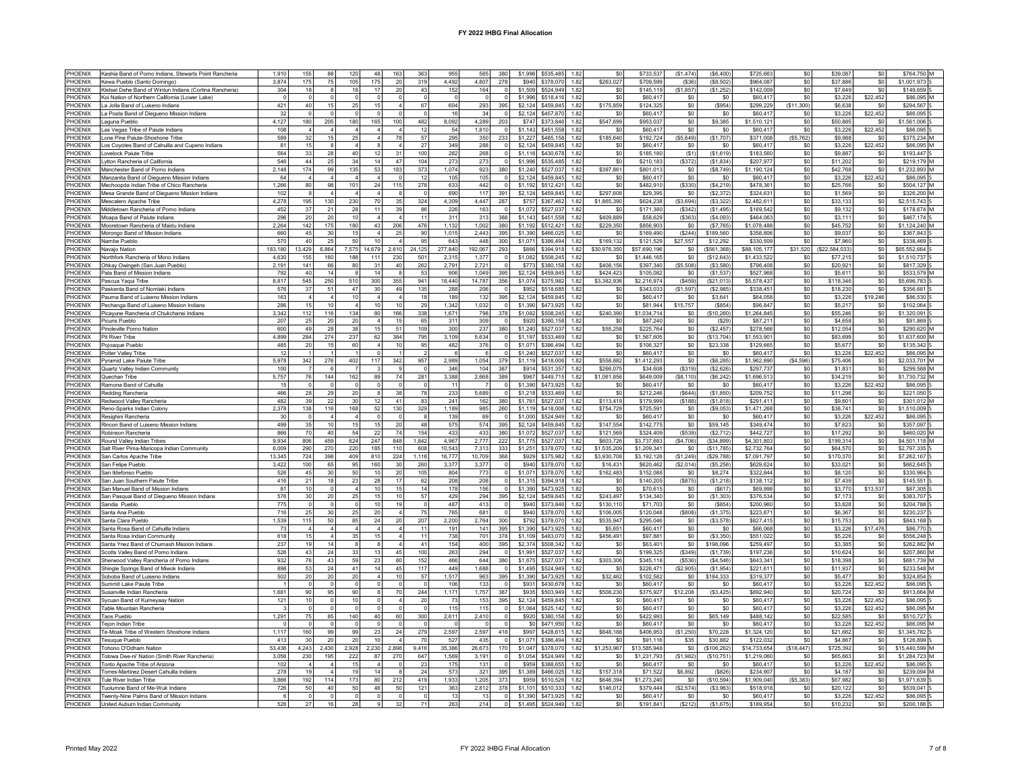| PHOFNIX            | Kashia Band of Pomo Indians, Stewarts Point Rancheria                              | 1,910               | 155             | 88             | 120             | 48                   | 163                        | 363            | 955               | 565               | 380                           | \$1,996<br>\$535 485                                         | 1.82 | \$0                        | \$733.53                   | (\$1,474)             | (\$6,400)               | \$725,663                  | \$0             | \$39,087              | \$0             | \$764 750 M                  |  |
|--------------------|------------------------------------------------------------------------------------|---------------------|-----------------|----------------|-----------------|----------------------|----------------------------|----------------|-------------------|-------------------|-------------------------------|--------------------------------------------------------------|------|----------------------------|----------------------------|-----------------------|-------------------------|----------------------------|-----------------|-----------------------|-----------------|------------------------------|--|
| PHOENIX            | Kewa Pueblo (Santo Domingo)                                                        | 3,874               | 175             | 75             | 105             | 175                  | 20                         | 319            | 4,492             | 4,807             | 278                           | \$940<br>\$378,070<br>1.82                                   |      | \$263.027                  | \$709,599                  | ( \$36                | (S8.502)                | \$964,087                  | \$0             | \$37,886              | sol             | \$1,001,973                  |  |
| PHOENIX            | Kletsel Dehe Band of Wintun Indians (Cortina Rancheria)                            | 304                 | 18              |                | 18              | 17                   | $20\,$                     | 43             | 152               | 164               | $\overline{0}$                | \$1,509 \$524,949<br>1.82                                    |      | \$0                        | \$145.119                  | (\$1,857)             | (\$1,252)               | \$142,009                  | \$0             | \$7,649               | \$0             | \$149,659                    |  |
| PHOENIX            | Koi Nation of Northern California (Lower Lake)                                     | $\Omega$            |                 |                |                 |                      | $^{\circ}$                 |                | $\Omega$          |                   |                               | \$1,996<br>\$518,416<br>1.82                                 |      | \$0                        | \$60,417                   | \$0                   | \$0                     | \$60,417                   | \$0             | \$3,226               | \$22,452        | \$86,095 M                   |  |
| PHOENIX<br>PHOENIX | La Jolla Band of Luiseno Indians<br>La Posta Band of Diegueno Mission Indians      | 421<br>32           | 40<br>$\Omega$  | 15             | 25<br>$\Omega$  | 15<br>$\mathfrak{c}$ | $\overline{4}$<br>$\Omega$ | 67<br>$\Omega$ | 604<br>16         | 293<br>34         | 395<br>$\Omega$               | \$2,124<br>\$459,845<br>1.82<br>\$2,124<br>\$457,870<br>1.82 |      | \$175,859<br>\$0           | \$124.325<br>\$60,417      | $\$0$<br>\$0          | (\$954)<br>\$0          | \$299.229<br>\$60,417      | (S11.300<br>\$0 | \$6,638<br>\$3,226    | \$0<br>\$22.452 | \$294.567<br>\$86,095        |  |
| PHOENIX            | Laguna Pueblo                                                                      | 4,127               | 180             | 205            | 180             | 165                  | 100                        | 482            | 8.092             | 4.289             | 203                           | \$373,846<br>\$747<br>1.82                                   |      | \$547,699                  | \$953.037                  | \$0                   | \$9,385                 | \$1,510,121                | \$0             | \$50,885              | \$0             | \$1,561,006                  |  |
| PHOENIX            | Las Vegas Tribe of Paiute Indians                                                  | 108                 |                 |                |                 |                      | $\overline{4}$             | 12             | 54                | 1.810             | $\Omega$                      | \$1,143<br>\$451,558<br>1.82                                 |      | \$0                        | \$60,417                   | \$0                   | \$0                     | \$60,417                   | \$0             | \$3,226               | \$22,452        | \$86,095                     |  |
| PHOENIX            | Lone Pine Paiute-Shoshone Tribe                                                    | 589                 | 32              | 15             | 25              |                      | 78                         | 57             | 295               | 350               | 233                           | \$485,158<br>\$1.227<br>1.82                                 |      | \$185,640                  | \$192.724                  | (\$5,649)             | (S1.707)                | \$371.008                  | (\$5,762)       | \$9,988               | \$0             | \$375.234 M                  |  |
| PHOFNIX            | Los Coyotes Band of Cahuilla and Cupeno Indians                                    | 81                  | 15              |                |                 |                      | $\overline{4}$             | 27             | 349               | 288               | $\Omega$                      | \$459,845<br>\$2,124<br>1.82                                 |      | S <sub>0</sub>             | \$60.417                   | \$0                   | \$0                     | \$60.417                   | \$0             | \$3,226               | \$22.452        | \$86,095 M                   |  |
| PHOENIX            | Lovelock Paiute Tribe                                                              | 564                 | 33              | 28             | 40              | 12                   | 31                         | 100            | 282               | 268               |                               | \$430,678<br>\$1,116<br>1.82                                 |      | \$0                        | \$185,180                  | (S1)                  | (\$1,619)               | \$183,560                  | \$0             | \$9,887               | \$0             | \$193,447 S                  |  |
| PHOENIX<br>PHOENIX | Lytton Rancheria of California<br>Manchester Band of Pomo Indians                  | 546<br>2.148        | 44<br>174       | 25<br>qa       | 34<br>135       | 14<br>53             | 47<br>183                  | 104<br>373     | 273<br>1,074      | 273<br>923        | 380                           | \$535,485<br>\$1,996<br>1.82<br>\$1,240<br>\$527,037<br>1.82 |      | \$0<br>\$397,861           | \$210,183<br>\$801,013     | (S372)<br>\$0         | (S1, 834)<br>(S8, 749)  | \$207,977<br>\$1,190.124   | \$0<br>\$0      | \$11,202<br>\$42,768  | \$0<br>\$0      | \$219,179 M<br>\$1.232.893 M |  |
| PHOFNIX            | Manzanita Band of Diegueno Mission Indians                                         | 64                  |                 |                |                 |                      | $\Omega$                   | 12             | 105               | 105               | $\Omega$                      | \$2,124<br>\$459,845<br>1.82                                 |      | \$0                        | \$60.417                   | \$0                   | \$0                     | \$60,417                   | \$0             | \$3,226               | \$22,452        | \$86,095 S                   |  |
| PHOENIX            | Mechoopda Indian Tribe of Chico Rancheria                                          | 1.266               | 80              | 98             | 101             | 24                   | 115                        | 278            | 633               | 442               | $\Omega$                      | \$1,192<br>\$512,421<br>1.82                                 |      | \$0                        | \$482.910                  | (S330)                | (S4.219)                | \$478.36                   | \$0             | \$25,766              | \$0             | \$504.127 M                  |  |
| PHOENIX            | Mesa Grande Band of Diegueno Mission Indians                                       | 102                 |                 |                |                 |                      | 8                          |                | 690               | 117               | 391                           | \$2,124 \$459,845<br>1.82                                    |      | \$297,608                  | \$29,395                   | \$0                   | (S2, 372)               | \$324.63                   | \$0             | \$1,569               | \$0             | \$326,200 M                  |  |
| PHOFNIX            | Mescalero Anache Tribe                                                             | 4.278               | 195             | 130            | 230             | 70                   | 35                         | 324            | 4,309             | 4 4 4 7           | 287                           | \$367,462<br>\$757<br>1.82                                   |      | \$1,865,390                | \$624 238                  | (\$3,694)             | (S3.322)                | \$2,482.611                | \$0             | \$33.133              | \$0             | \$2,515,743                  |  |
| PHOENIX            | Middletown Rancheria of Pomo Indians                                               | 452                 | 37              | $2^{\circ}$    | 28              | 11                   | 39                         | 86             | 226               | 163               |                               | \$1,072<br>\$527.037<br>1.82                                 |      | \$O                        | \$171.380                  | (\$342)               | (\$1,495]               | \$169.542                  | \$0             | \$9,132               | \$0             | \$178,674 M                  |  |
| PHOENIX            | Moapa Band of Paiute Indians                                                       | 296                 | 20              | 20             | 10<br>180       | 43                   | $\overline{4}$             | 11<br>476      | 311               | 313               | 388                           | \$1,143<br>\$451,558<br>1.82                                 |      | \$409,889                  | \$58,629                   | (\$363                | (S4,093)                | \$464.063                  | \$0             | \$3,111<br>\$45.752   | \$0             | \$467,174 S                  |  |
| PHOENIX<br>PHOENIX | Mooretown Rancheria of Maidu Indians<br>Morongo Band of Mission Indians            | 2,264<br>660        | 142<br>45       | 175<br>30      | 15              |                      | 206<br>25                  | 90             | 1,132<br>1,015    | 1,002<br>2.443    | 380<br>395                    | \$1,192<br>\$512,421<br>1.82<br>\$1,390<br>\$466,025<br>1.82 |      | \$229,350<br>\$0           | \$856,903<br>\$169,490     | \$0<br>(S244)         | (S7, 765)<br>\$189,560  | \$1,078,488<br>\$358,806   | \$0<br>\$0      | \$9,037               | \$0<br>\$0      | \$1,124,240 M<br>\$367,843   |  |
| PHOENIX            | Nambe Pueblo                                                                       | 570                 | 40              | 25             | 50              | 10                   | $\overline{4}$             | 95             | 643               | 448               | 300                           | \$386,494<br>\$1,071<br>1.82                                 |      | \$169.132                  | \$121,529                  | \$27,557              | \$12.292                | \$330,509                  | \$0             | \$7,960               | sol             | \$338,469                    |  |
| PHOFNIX            | Navajo Nation                                                                      | 183,180             | 13,429          | 6.864          | 7,575           | 14,679               | 2,610                      | 24,125         | 277,840           | 192,067           | 293                           | \$866<br>\$394.918<br>1.82                                   |      | \$30.976.350               | \$57,690,196               | \$0                   | \$561.368               | \$88,105,177               | \$31,520        | (\$22,584,033         | \$0             | \$65.552.664                 |  |
| PHOENIX            | Northfork Rancheria of Mono Indians                                                | 4.63                | 155             | 160            | 186             | 111                  | 230                        | 501            | 2.315             | 1.377             |                               | \$1,082<br>\$508,245<br>1.82                                 |      | \$0                        | \$1,446,165                | \$0                   | (\$12.643)              | \$1,433,522                | \$0             | \$77,215              | \$0             | \$1,510,737                  |  |
| PHOENIX            | Ohkay Owingeh (San Juan Pueblo)                                                    | 2.191               | 141             | 66             | 80              | 31                   | 40                         | 262            | 2,791             | 2.72'             |                               | \$773<br>\$380.158<br>1.82                                   |      | \$408.156                  | \$397,340                  | (\$5,508              | (\$3,580)               | \$796,408                  | \$0             | \$20.921              | \$0             | \$817,329                    |  |
| PHOENIX<br>PHOFNIX | Pala Band of Mission Indians<br>Pascua Yagui Tribe                                 | 792<br>8.817        | 40<br>545       | 14<br>250      | 510             | 14<br>300            | $\mathbf{R}$<br>355        | 53<br>941      | 906<br>18,440     | 1,049<br>14.787   | 395<br>356                    | \$2,124<br>\$459,845<br>1.82<br>\$1.074<br>\$375,982<br>1.82 |      | \$424,423<br>\$3,382,936   | \$105,082<br>\$2,216,974   | \$0<br>(S459)         | (S1, 537)<br>(\$21.013) | \$527,968<br>\$5,578,437   | \$0<br>\$0      | \$5,611<br>\$118,346  | \$0<br>$\sin$   | \$533.579 M<br>\$5,696,783   |  |
| PHOENIX            | Paskenta Band of Nomlaki Indians                                                   | 576                 | 37              | 5 <sup>′</sup> | 47              | 30                   | 49                         | 135            | 288               | 206               |                               | \$952<br>\$518,685<br>1.82                                   |      | \$0                        | \$343,033                  | (\$1,597              | (\$2,985)               | \$338,451                  | \$0             | \$18,230              | \$0             | \$356,681                    |  |
| PHOENIX            | Pauma Band of Luiseno Mission Indians                                              | 163                 | $\Delta$        |                | 10              |                      | $\overline{4}$             | 18             | 189               | 132               | 395                           | \$2,124<br>\$459,845<br>1.82                                 |      | \$0                        | \$60,417                   | \$0                   | \$3.641                 | \$64,058                   | \$0             | \$3,226               | \$19,246        | \$86,530                     |  |
| PHOFNIX            | Pechanga Band of Luiseno Mission Indians                                           | 286                 | 15              | 10             | $\overline{4}$  | 10                   | 10                         | 29             | 1.342             | 1,032             | $\Omega$                      | \$1,390 \$473,925<br>1.82                                    |      | \$0                        | \$81,944                   | \$15,757              | (\$854)                 | \$96,847                   | \$0             | \$5,217               | \$0             | \$102.064                    |  |
| PHOENIX            | Picavune Rancheria of Chukchansi Indians                                           | 3.342               | 112             | 116            | 134             | 80                   | 166                        | 338            | 1,671             | 798               | 378                           | \$1.082<br>\$508,245<br>1.82                                 |      | \$240,390                  | \$1.034.714                | \$0                   | \$10,260                | \$1,264,845                | \$0             | \$55,246              | \$0             | \$1,320,091                  |  |
| PHOENIX            | Picuris Pueblo                                                                     | 207                 | 25              | 20             | 20              |                      | 15                         | 65             | 311               | 309               |                               | \$920<br>\$380,158<br>1.82                                   |      | \$0                        | \$87,240                   | $\$0$                 | (S29)                   | \$87,21                    | \$0             | \$4,658               | \$0             | \$91,869                     |  |
| PHOENIX            | Pinoleville Pomo Nation                                                            | 600                 | 49              | 28             | 38              | 15                   | 51                         | 109            | 300               | 237               | 380                           | \$1,240<br>\$527.037<br>1.82                                 |      | \$55.258                   | \$225,764                  | $\$0$                 | (\$2,457)               | \$278.566                  | \$0             | \$12,054              | \$0             | \$290.620 M                  |  |
| PHOFNIX<br>PHOENIX | Pit River Tribe<br>Pojoaque Pueblo                                                 | 4899<br>485         | 284<br>20       | 274<br>15      | 237<br>60       | 62                   | 384<br>10                  | 795<br>95      | 3.109<br>482      | 5.634<br>376      | $\Omega$<br>$\circ$           | \$1.197<br>\$533,469<br>1.82<br>\$1,071<br>\$386,494<br>1.82 |      | \$0<br>\$0                 | \$1,567,605<br>\$106.327   | \$0<br>\$0            | (\$13.704"<br>\$23,338  | \$1,553,901<br>\$129,665   | \$0<br>\$0      | \$83,699<br>\$5,677   | $\sin$<br>\$0   | \$1,637,600 M<br>\$135,342   |  |
| PHOENIX            | Potter Valley Tribe                                                                | 12                  |                 |                |                 |                      | $\overline{1}$             | $\overline{2}$ | -6                |                   | $\overline{0}$                | \$1,240 \$527,037<br>1.82                                    |      | \$0                        | \$60,417                   | \$0                   | \$0                     | \$60,417                   | \$0             | \$3,226               | \$22,452        | \$86,095 M                   |  |
| PHOENIX            | Pyramid Lake Paiute Tribe                                                          | 5.978               | 342             | 276            | 402             | 117                  | 342                        | 957            | 2,989             | 1.054             | 379                           | \$418,006<br>1.82<br>\$1,119                                 |      | \$558.882                  | \$1,412,293                | \$0                   | (\$8.285)               | \$1,962,890                | (\$4,596)       | \$75,406              | \$0             | \$2.033.701 M                |  |
| PHOENIX            | Quartz Valley Indian Community                                                     | 100                 |                 |                |                 |                      | 9                          |                | 346               | 104               | 387                           | \$914<br>\$531,357                                           | 1.82 | \$266,075                  | \$34,608                   | ( \$319)              | (\$2,626)               | \$297,737                  | \$0             | \$1,831               | \$0             | \$299,568 M                  |  |
| PHOENIX            | Quechan Tribe                                                                      | 5,757               | 76              | 144            | 162             | 89                   | 74                         | 281            | 3.388             | 2,668             | 389                           | \$967<br>\$449,715<br>1.82                                   |      | \$1,061,856                | \$649,009                  | (\$8, 110             | (\$6, 242               | \$1,696,513                | \$0             | \$34,219              | \$0             | \$1,730,732 M                |  |
| PHOFNIX            | Ramona Band of Cahuilla                                                            | 15                  | $\Omega$        | $\sqrt{ }$     | $\Omega$        | $\Omega$             | $\Omega$                   | $\sqrt{2}$     | 11                | $\overline{7}$    | $\Omega$                      | \$1,390<br>\$473,925<br>1.82                                 |      | S <sub>0</sub>             | \$60.417                   | \$0                   | \$0                     | \$60.417                   | \$0             | \$3,226               | \$22.452        | \$86,095 5                   |  |
| PHOENIX<br>PHOENIX | Redding Rancheria<br>Redwood Valley Rancheria                                      | 466<br>482          | 28<br>39        | 29<br>22       | 20<br>30        | 12                   | 38<br>41                   | 78<br>83       | 233<br>241        | 5,689<br>162      | 380                           | \$1,218<br>\$533,469<br>1.82<br>\$1,781<br>\$527.037<br>1.82 |      | \$0<br>\$113,419           | \$212,246<br>\$179.999     | (S644)<br>(S188)      | (\$1,850)<br>(S1.818)   | \$209,752<br>\$291.41      | \$0<br>\$0      | \$11,298<br>\$9,601   | \$0<br>\$0      | \$221,050 S<br>\$301.012 M   |  |
| PHOFNIX            | Reno-Sparks Indian Colony                                                          | 2,378               | 138             | 116            | 168             | 52                   | 130                        | 329            | 1,189             | 985               | 260                           | \$1,119 \$418,006<br>1.82                                    |      | \$754.729                  | \$725,591                  | \$0                   | (S9,053)                | \$1,471,268                | \$0             | \$38.741              | \$0             | \$1,510,009 5                |  |
| PHOENIX            | Resighini Rancheria                                                                | 30                  |                 |                |                 |                      | $\circ$                    |                | 139               | 89                | $\Omega$                      | \$1,000<br>\$524,949<br>1.82                                 |      | \$0                        | \$60,417                   | \$0                   | \$0                     | \$60,417                   | \$0             | \$3,226               | \$22,452        | \$86,095                     |  |
| PHOENIX            | Rincon Band of Luiseno Mission Indians                                             | 499                 | 35              | 10             | 15              | 15                   | 20                         | 48             | 575               | 574               | 395                           | \$2,124<br>\$459,845<br>1.82                                 |      | \$147,554                  | \$142,775                  | $\$0$                 | \$59,145                | \$349,474                  | \$0             | \$7,623               | \$0             | \$357.097                    |  |
| PHOENIX            | Robinson Rancheria                                                                 | 866                 | 70              | 40             | 54              | 22                   | 74                         | 154            | 433               | 433               | 380                           | \$1,072<br>\$527,037<br>1.82                                 |      | \$121,569                  | \$324,409                  | (\$539)               | (\$2,712)               | \$442.727                  | \$0             | \$17,292              | \$0             | \$460,020 M                  |  |
| PHOFNIX            | Round Valley Indian Tribes                                                         | 9.934               | 806             | 459            | 624             | 247                  | 848                        | 1.842          | 4.967             | 2.777             | 222                           | \$1.775<br>\$527,037<br>1.82                                 |      | \$603.726                  | \$3,737,683                | (\$4,706)             | (\$34,899)              | \$4,301,803                | \$0             | \$199,314             | $\sin$          | \$4,501,118 M                |  |
| PHOENIX<br>PHOENIX | Salt River Pima-Maricopa Indian Community<br>San Carlos Apache Tribe               | 6.009<br>13,345     | 290<br>724      | 270<br>398     | 220<br>409      | 185<br>810           | 110<br>224                 | 608<br>1,116   | 10.543<br>16,777  | 7.313<br>10,709   | 333<br>368                    | \$1.251<br>\$378,070<br>1.82<br>\$929<br>\$375,982<br>1.82   |      | \$1,535,209<br>\$3,930,708 | \$1,209,341<br>\$3,192,126 | \$O<br>(\$1,249)      | (\$11.785)<br>\$29,788  | \$2,732,764<br>\$7,091,797 | \$0<br>\$0      | \$64,570<br>\$170,370 | sol<br>\$0      | \$2,797,335<br>\$7,262,167   |  |
| PHOENIX            | San Felipe Pueblo                                                                  | 3,422               | 100             | 65             | 95              | 160                  | 30                         | 260            | 3,377             | 3,377             | $\Omega$                      | \$940<br>\$378,070<br>1.82                                   |      | \$16,431                   | \$620,462                  | (\$2,014              | (S5, 256)               | \$629,624                  | \$0             | \$33,021              | \$0             | \$662,645                    |  |
| PHOENIX            | San Ildefonso Pueblo                                                               | 526                 | 45              | 30             | 50              | 10                   | 20                         | 105            | 804               | 773               |                               | \$1,071<br>\$378,070                                         | 1.82 | \$162,483                  | \$152,088                  | $\$0$                 | \$8,274                 | \$322,844                  | \$0             | \$8,120               | \$0             | \$330,964                    |  |
| PHOENIX            | San Juan Southern Paiute Tribe                                                     | 416                 | 21              | 18             | 23              | 28                   | 17                         | 62             | 208               | 208               |                               | \$1,315<br>\$394.918<br>1.82                                 |      | \$0                        | \$140.205                  | (\$875                | (S1.218)                | \$138,112                  | \$0             | \$7,439               | \$0             | \$145.551                    |  |
| PHOENIX            | San Manuel Band of Mission Indians                                                 | 81                  | 10              |                | $\Delta$        | 10                   | 15                         | 14             | 178               | 156               | $\Omega$                      | \$1,390<br>\$473,925<br>1.82                                 |      | \$0                        | \$70,615                   | \$0                   | (\$617                  | \$69,998                   | \$0             | \$3,770               | \$13,537        | \$87,305                     |  |
| PHOENIX            | San Pasqual Band of Diegueno Mission Indians                                       | 576                 | 30              | $\overline{2}$ | 25              | 15                   | 10                         | 57             | 429               | 294               | 395                           | \$2,124<br>\$459,845<br>1.82                                 |      | \$243,497                  | \$134,340                  | \$0                   | (S1.303)                | \$376,534                  | \$0             | \$7,173               | \$0             | \$383,707                    |  |
| PHOENIX            | Sandia Pueblo                                                                      | 775                 |                 | 30             |                 | 10                   | 19<br>$\overline{4}$       |                | 487               | 413<br>681        | $\mathbf 0$<br>$\overline{0}$ | \$940 \$373,846<br>1.82                                      |      | \$130.110                  | \$71,703                   | \$0                   | (\$854)                 | \$200.960                  | \$0             | \$3.828               | \$0             | \$204.788                    |  |
| PHOENIX<br>PHOFNIX | Santa Ana Pueblo<br>Santa Clara Pueblo                                             | 716<br>1,539        | 25<br>115       | 50             | 25<br>85        | 20<br>24             | 20 <sup>2</sup>            | 75<br>207      | 765<br>2.200      | 2,764             | 300                           | \$940<br>\$378,070<br>1.82<br>\$792<br>\$378,070<br>1.82     |      | \$106,005<br>\$535.947     | \$120,048<br>\$295.046     | (\$808)<br>\$0        | (S1, 375)<br>(S3.578)   | \$223,871<br>\$827.415     | \$0<br>\$0      | \$6,367<br>\$15,753   | \$0<br>\$0      | \$230,237<br>\$843.168       |  |
| PHOENIX            | Santa Rosa Band of Cahuilla Indians                                                | 73                  |                 |                |                 |                      | $\overline{4}$             | 11             | 191               | 141               | 395                           | \$1,390<br>\$473,925<br>1.82                                 |      | \$5,651                    | \$60,417                   | $\$0$                 | $$0$$                   | \$66,068                   | \$0             | \$3,226               | \$17,476        | \$86,770                     |  |
| PHOENIX            | Santa Rosa Indian Community                                                        | 618                 | 15              |                | 35              | 15                   | $\overline{4}$             | 11             | 738               | 701               | 378                           | \$483,070<br>\$1,109<br>1.82                                 |      | \$456.491                  | \$97,881                   | \$0                   | (\$3,350)               | \$551.022                  | \$0             | \$5.226               | \$0             | \$556.248                    |  |
| PHOENIX            | Santa Ynez Band of Chumash Mission Indians                                         | 237                 | 19              | 14             | 8               | -8                   | $\overline{4}$             | 41             | 154               | 400               | 395                           | \$508,342<br>\$2,374<br>1.82                                 |      | S <sub>0</sub>             | \$63,401                   | \$0                   | \$196,096               | \$259.497                  | \$0             | \$3,385               | sol             | \$262,882 M                  |  |
| PHOENIX            | Scotts Valley Band of Pomo Indians                                                 | 526                 | 43              | 24             | 33              | 13                   | 45                         | 100            | 263               | 294               | $\Omega$                      | \$1,991<br>\$527,037<br>1.82                                 |      | \$0                        | \$199,325                  | ( \$349)              | (S1,739)                | \$197,236                  | \$0             | \$10,624              | \$0             | \$207,860 M                  |  |
| PHOENIX<br>PHOENIX | Sherwood Valley Rancheria of Pomo Indians<br>Shingle Springs Band of Miwok Indians | 932<br>898          | 76<br>53        | 43<br>24       | 59<br>41        | 23<br>14             | 80<br>45                   | 152<br>117     | 466<br>449        | 644<br>1.688      | 380<br>$\Omega$               | \$1,675<br>\$527,037<br>1.82<br>\$1,495<br>\$524,949<br>1.82 |      | \$303,306<br>\$0           | \$345,118<br>\$226,471     | ( \$536)<br>(\$2,905) | (S4, 546)<br>(\$1,954)  | \$643,34<br>\$221,611      | \$0<br>\$0      | \$18,398<br>\$11,937  | \$0<br>\$0      | \$661,739 M<br>\$233,548 M   |  |
| PHOFNIX            | Soboba Band of Luiseno Indians                                                     | 502                 | 20              | 20             | 20              |                      | 10 <sup>10</sup>           | 57             | 1.517             | 963               | 395                           | \$1,390<br>\$473.925<br>1.82                                 |      | \$32,462                   | \$102,582                  | \$0                   | \$184,333               | \$319.377                  | \$0             | \$5,477               | \$0             | \$324 854                    |  |
| PHOENIX            | Summit Lake Paiute Tribe                                                           |                     |                 |                |                 |                      | $\mathbf 0$                |                | 106               | 133               |                               | \$931<br>\$430,678<br>1.82                                   |      | \$0                        | \$60,41                    | \$0                   | \$0                     | \$60.417                   | \$0             | \$3,226               | \$22.452        | \$86,095 S                   |  |
| PHOENIX            | Susanville Indian Rancheria                                                        | 1,681               | 90              | 95             | 90              |                      | 70                         | 244            | 1,171             | 1.757             | 387                           | \$935<br>\$503,949<br>1.82                                   |      | \$508,230                  | \$375,927                  | \$12,208              | (\$3,425)               | \$892.940                  | \$0             | \$20.724              | \$0             | \$913,664 M                  |  |
| PHOENIX            | Sycuan Band of Kumeyaay Nation                                                     | 121                 | 10 <sup>1</sup> |                | 10              |                      | $\overline{4}$             | 20             | 73                | 153               | 395                           | \$2,124<br>\$459,845<br>1.82                                 |      | \$0                        | \$60,417                   | \$0                   | \$0                     | \$60,417                   | \$0             | \$3,226               | \$22.452        | \$86,095                     |  |
| PHOENIX            | Table Mountain Rancheria                                                           |                     |                 |                |                 |                      | $\mathbf 0$                |                | 115               | 115               |                               | \$1,064 \$525,142<br>1.82                                    |      | \$O                        | \$60,417                   | \$O                   | \$0                     | \$60,417                   | \$0             | \$3,226               | \$22,452        | \$86,095 M                   |  |
| PHOENIX<br>PHOFNIX | <b>Taos Pueblo</b><br>Tejon Indian Tribe                                           | 1,291<br>$\sqrt{2}$ | 75<br>$\Omega$  | 85             | 140<br>$\Omega$ | $40\,$<br>- 0        | 60<br>$\,0\,$              | 300            | 2,611<br>$\Omega$ | 2,410<br>$\Omega$ | $\circ$<br>$\Omega$           | \$920 \$380,158<br>1.82<br>\$0 \$471,950<br>1.82             |      | \$0<br>\$0                 | \$422,993<br>\$60,417      | \$0<br>\$0            | \$65,149<br>\$0         | \$488,142<br>\$60,417      | \$0<br>\$0      | \$22,585<br>\$3,226   | \$0<br>\$22,452 | \$510,727 S<br>\$86,095 M    |  |
| PHOENIX            | Te-Moak Tribe of Western Shoshone Indians                                          | 1,117               | 160             | 99             | 99              | 23                   | 24                         | 279            | 2,597             | 2,597             | 418                           | \$997<br>\$428,615<br>1.82                                   |      | \$848,188                  | \$406.953                  | (\$1,250)             | \$70,228                | \$1,324,120                | \$0             | \$21,662              | \$0             | \$1,345,782                  |  |
| PHOENIX            | <b>Tesugue Pueblo</b>                                                              | 413                 | 30              | 20             | 20              | 10                   | $\overline{4}$             | 70             | 527               | 435               |                               | \$1,071<br>\$386,494<br>1.82                                 |      | \$0                        | \$91.116                   | \$35                  | \$30,882                | \$122.032                  | \$0             | \$4,867               | \$0             | \$126,899 \$                 |  |
| PHOENIX            | Tohono O'Odham Nation                                                              | 53.436              | 4.243           | 2.430          | 2.928           | 2.230                | 2.898                      | 9.416          | 35.386            | 26.673            | 170                           | \$1,047<br>\$378,070<br>1.82                                 |      | \$1,253,967                | \$13,585,948               | \$0                   | (\$106.262)             | \$14.733.654               | (S18.447)       | \$725.392             | sol             | \$15,440,599 M               |  |
| PHOENIX            | Tolowa Dee-ni' Nation (Smith River Rancheria)                                      | 3.056               | 230             | 195            | 222             | 87                   | 270                        | 647            | 1.569             | 3.19 <sup>°</sup> | $\Omega$                      | \$1,054<br>\$524.949<br>1.82                                 |      | \$0                        | \$1,231,793                | (S1.982)              | (\$10.751)              | \$1,219,060                | \$0             | \$65,663              | \$0             | \$1,284,723 M                |  |
| PHOENIX<br>PHOFNIX | Tonto Apache Tribe of Arizona                                                      | 102                 | 19              |                | 15<br>19        | 14                   |                            | 23<br>24       | 175               | 131               | $\circ$                       | \$959<br>\$388,655<br>1.82<br>\$466,025                      |      | \$O                        | \$60.417                   | \$0                   | \$0                     | \$60,417<br>\$234.907      | \$0<br>\$0      | \$3.226               | \$22,452        | \$86,095                     |  |
| PHOFNIX            | Torres-Martinez Desert Cahuilla Indians<br>Tule River Indian Tribe                 | 278<br>3.866        | 192             | 114            | 173             | 80                   | 8<br>212                   | 419            | 573<br>1.933      | 321<br>1.205      | 395<br>373                    | \$1,389<br>1.82<br>\$959<br>\$510,526                        | 1.82 | \$157,318<br>\$646,394     | \$71,522<br>\$1,273,240    | \$6,892<br>\$0        | (\$826)<br>\$10.594     | \$1,909,040                | (\$5.383)       | \$4,187<br>\$67,982   | \$0<br>$\sin$   | \$239.094 M<br>\$1,971,639   |  |
| PHOENIX            | Tuolumne Band of Me-Wuk Indians                                                    | 726                 | 50              | 4(             | 50              | 46                   | 50                         | 121            | 363               | 2,812             | 378                           | \$1,101<br>\$510,333<br>1.82                                 |      | \$146,012                  | \$379,444                  | (\$2,574              | (\$3,963)               | \$518.918                  | \$0             | \$20,122              | \$0             | \$539,041                    |  |
| PHOENIX            | Twenty-Nine Palms Band of Mission Indians                                          |                     |                 |                |                 |                      | $\Omega$                   |                | 13                | 13                |                               | \$1,390<br>\$473,925<br>1.82                                 |      | \$0                        | \$60,417                   | \$0                   | \$0                     | \$60,417                   | \$0             | \$3,226               | \$22,452        | \$86,095                     |  |
| PHOENIX            | United Auburn Indian Community                                                     | 526                 | 27              |                |                 |                      | 32                         | 71             | 263               | 214               |                               | \$1,495 \$524.949<br>1.82                                    |      | \$0                        | \$191.841                  | (S212)                | (S1.675)                | \$189.954                  | \$0             | \$10,232              | \$0             | \$200.186                    |  |
|                    |                                                                                    |                     |                 |                |                 |                      |                            |                |                   |                   |                               |                                                              |      |                            |                            |                       |                         |                            |                 |                       |                 |                              |  |